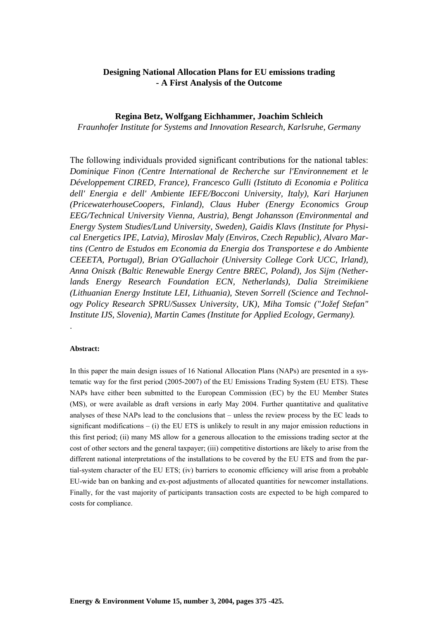## **Designing National Allocation Plans for EU emissions trading - A First Analysis of the Outcome**

## **Regina Betz, Wolfgang Eichhammer, Joachim Schleich**

*Fraunhofer Institute for Systems and Innovation Research, Karlsruhe, Germany* 

The following individuals provided significant contributions for the national tables: *Dominique Finon (Centre International de Recherche sur l'Environnement et le Développement CIRED, France), Francesco Gulli (Istituto di Economia e Politica dell' Energia e dell' Ambiente IEFE/Bocconi University, Italy), Kari Harjunen (PricewaterhouseCoopers, Finland), Claus Huber (Energy Economics Group EEG/Technical University Vienna, Austria), Bengt Johansson (Environmental and Energy System Studies/Lund University, Sweden), Gaidis Klavs (Institute for Physical Energetics IPE, Latvia), Miroslav Maly (Enviros, Czech Republic), Alvaro Martins (Centro de Estudos em Economia da Energia dos Transportese e do Ambiente CEEETA, Portugal), Brian O'Gallachoir (University College Cork UCC, Irland), Anna Oniszk (Baltic Renewable Energy Centre BREC, Poland), Jos Sijm (Netherlands Energy Research Foundation ECN, Netherlands), Dalia Streimikiene (Lithuanian Energy Institute LEI, Lithuania), Steven Sorrell (Science and Technology Policy Research SPRU/Sussex University, UK), Miha Tomsic ("Jožef Stefan" Institute IJS, Slovenia), Martin Cames (Institute for Applied Ecology, Germany).* 

#### **Abstract:**

.

In this paper the main design issues of 16 National Allocation Plans (NAPs) are presented in a systematic way for the first period (2005-2007) of the EU Emissions Trading System (EU ETS). These NAPs have either been submitted to the European Commission (EC) by the EU Member States (MS), or were available as draft versions in early May 2004. Further quantitative and qualitative analyses of these NAPs lead to the conclusions that – unless the review process by the EC leads to significant modifications – (i) the EU ETS is unlikely to result in any major emission reductions in this first period; (ii) many MS allow for a generous allocation to the emissions trading sector at the cost of other sectors and the general taxpayer; (iii) competitive distortions are likely to arise from the different national interpretations of the installations to be covered by the EU ETS and from the partial-system character of the EU ETS; (iv) barriers to economic efficiency will arise from a probable EU-wide ban on banking and ex-post adjustments of allocated quantities for newcomer installations. Finally, for the vast majority of participants transaction costs are expected to be high compared to costs for compliance.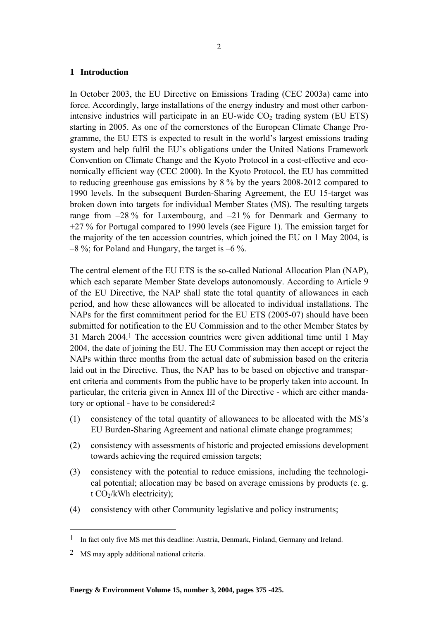## **1 Introduction**

In October 2003, the EU Directive on Emissions Trading (CEC 2003a) came into force. Accordingly, large installations of the energy industry and most other carbonintensive industries will participate in an EU-wide  $CO<sub>2</sub>$  trading system (EU ETS) starting in 2005. As one of the cornerstones of the European Climate Change Programme, the EU ETS is expected to result in the world's largest emissions trading system and help fulfil the EU's obligations under the United Nations Framework Convention on Climate Change and the Kyoto Protocol in a cost-effective and economically efficient way (CEC 2000). In the Kyoto Protocol, the EU has committed to reducing greenhouse gas emissions by 8 % by the years 2008-2012 compared to 1990 levels. In the subsequent Burden-Sharing Agreement, the EU 15-target was broken down into targets for individual Member States (MS). The resulting targets range from –28 % for Luxembourg, and –21 % for Denmark and Germany to +27 % for Portugal compared to 1990 levels (see Figure 1). The emission target for the majority of the ten accession countries, which joined the EU on 1 May 2004, is  $-8\%$ ; for Poland and Hungary, the target is  $-6\%$ .

The central element of the EU ETS is the so-called National Allocation Plan (NAP), which each separate Member State develops autonomously. According to Article 9 of the EU Directive, the NAP shall state the total quantity of allowances in each period, and how these allowances will be allocated to individual installations. The NAPs for the first commitment period for the EU ETS (2005-07) should have been submitted for notification to the EU Commission and to the other Member States by 31 March 2004.1 The accession countries were given additional time until 1 May 2004, the date of joining the EU. The EU Commission may then accept or reject the NAPs within three months from the actual date of submission based on the criteria laid out in the Directive. Thus, the NAP has to be based on objective and transparent criteria and comments from the public have to be properly taken into account. In particular, the criteria given in Annex III of the Directive - which are either mandatory or optional - have to be considered:2

- (1) consistency of the total quantity of allowances to be allocated with the MS's EU Burden-Sharing Agreement and national climate change programmes;
- (2) consistency with assessments of historic and projected emissions development towards achieving the required emission targets;
- (3) consistency with the potential to reduce emissions, including the technological potential; allocation may be based on average emissions by products (e. g. t  $CO<sub>2</sub>/kWh$  electricity);
- (4) consistency with other Community legislative and policy instruments;

 $\overline{a}$ 

<sup>1</sup> In fact only five MS met this deadline: Austria, Denmark, Finland, Germany and Ireland.

<sup>2</sup> MS may apply additional national criteria.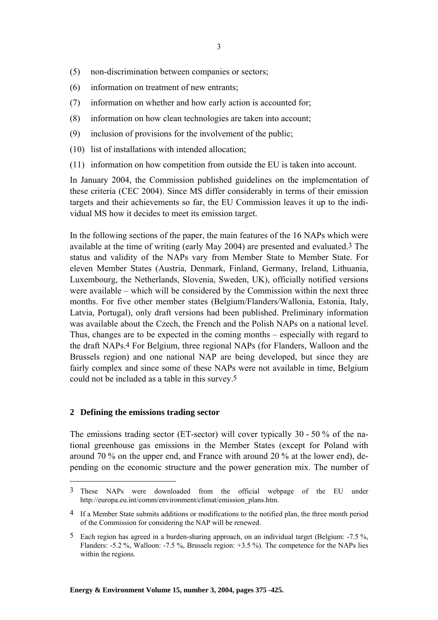- (5) non-discrimination between companies or sectors;
- (6) information on treatment of new entrants;
- (7) information on whether and how early action is accounted for;
- (8) information on how clean technologies are taken into account;
- (9) inclusion of provisions for the involvement of the public;
- (10) list of installations with intended allocation;
- (11) information on how competition from outside the EU is taken into account.

In January 2004, the Commission published guidelines on the implementation of these criteria (CEC 2004). Since MS differ considerably in terms of their emission targets and their achievements so far, the EU Commission leaves it up to the individual MS how it decides to meet its emission target.

In the following sections of the paper, the main features of the 16 NAPs which were available at the time of writing (early May 2004) are presented and evaluated.3 The status and validity of the NAPs vary from Member State to Member State. For eleven Member States (Austria, Denmark, Finland, Germany, Ireland, Lithuania, Luxembourg, the Netherlands, Slovenia, Sweden, UK), officially notified versions were available – which will be considered by the Commission within the next three months. For five other member states (Belgium/Flanders/Wallonia, Estonia, Italy, Latvia, Portugal), only draft versions had been published. Preliminary information was available about the Czech, the French and the Polish NAPs on a national level. Thus, changes are to be expected in the coming months – especially with regard to the draft NAPs.4 For Belgium, three regional NAPs (for Flanders, Walloon and the Brussels region) and one national NAP are being developed, but since they are fairly complex and since some of these NAPs were not available in time, Belgium could not be included as a table in this survey.5

## **2 Defining the emissions trading sector**

 $\overline{a}$ 

The emissions trading sector (ET-sector) will cover typically 30 - 50 % of the national greenhouse gas emissions in the Member States (except for Poland with around 70 % on the upper end, and France with around 20 % at the lower end), depending on the economic structure and the power generation mix. The number of

<sup>3</sup> These NAPs were downloaded from the official webpage of the EU under http://europa.eu.int/comm/environment/climat/emission\_plans.htm.

<sup>4</sup> If a Member State submits additions or modifications to the notified plan, the three month period of the Commission for considering the NAP will be renewed.

<sup>5</sup> Each region has agreed in a burden-sharing approach, on an individual target (Belgium: -7.5 %, Flanders: -5.2 %, Walloon: -7.5 %, Brussels region: +3.5 %). The competence for the NAPs lies within the regions.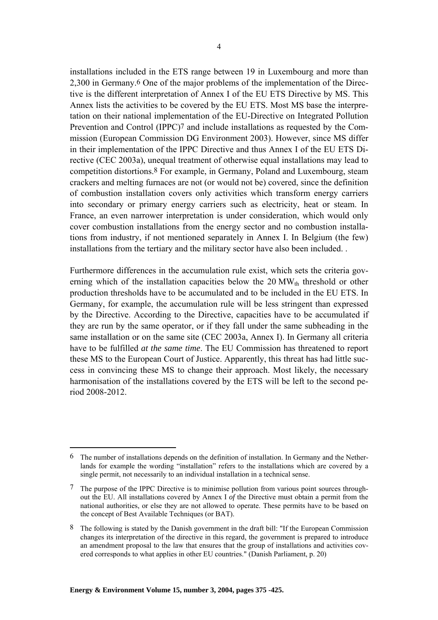installations included in the ETS range between 19 in Luxembourg and more than 2,300 in Germany.6 One of the major problems of the implementation of the Directive is the different interpretation of Annex I of the EU ETS Directive by MS. This Annex lists the activities to be covered by the EU ETS. Most MS base the interpretation on their national implementation of the EU-Directive on Integrated Pollution Prevention and Control (IPPC)7 and include installations as requested by the Commission (European Commission DG Environment 2003). However, since MS differ in their implementation of the IPPC Directive and thus Annex I of the EU ETS Directive (CEC 2003a), unequal treatment of otherwise equal installations may lead to competition distortions.8 For example, in Germany, Poland and Luxembourg, steam crackers and melting furnaces are not (or would not be) covered, since the definition of combustion installation covers only activities which transform energy carriers into secondary or primary energy carriers such as electricity, heat or steam. In France, an even narrower interpretation is under consideration, which would only cover combustion installations from the energy sector and no combustion installations from industry, if not mentioned separately in Annex I. In Belgium (the few) installations from the tertiary and the military sector have also been included. .

Furthermore differences in the accumulation rule exist, which sets the criteria governing which of the installation capacities below the  $20 \text{ MW}_{th}$  threshold or other production thresholds have to be accumulated and to be included in the EU ETS. In Germany, for example, the accumulation rule will be less stringent than expressed by the Directive. According to the Directive, capacities have to be accumulated if they are run by the same operator, or if they fall under the same subheading in the same installation or on the same site (CEC 2003a, Annex I). In Germany all criteria have to be fulfilled *at the same time*. The EU Commission has threatened to report these MS to the European Court of Justice. Apparently, this threat has had little success in convincing these MS to change their approach. Most likely, the necessary harmonisation of the installations covered by the ETS will be left to the second period 2008-2012.

 $\overline{a}$ 

<sup>6</sup> The number of installations depends on the definition of installation. In Germany and the Netherlands for example the wording "installation" refers to the installations which are covered by a single permit, not necessarily to an individual installation in a technical sense.

<sup>7</sup> The purpose of the IPPC Directive is to minimise pollution from various point sources throughout the EU. All installations covered by Annex I *of* the Directive must obtain a permit from the national authorities, or else they are not allowed to operate. These permits have to be based on the concept of Best Available Techniques (or BAT).

<sup>8</sup> The following is stated by the Danish government in the draft bill: "If the European Commission changes its interpretation of the directive in this regard, the government is prepared to introduce an amendment proposal to the law that ensures that the group of installations and activities covered corresponds to what applies in other EU countries." (Danish Parliament, p. 20)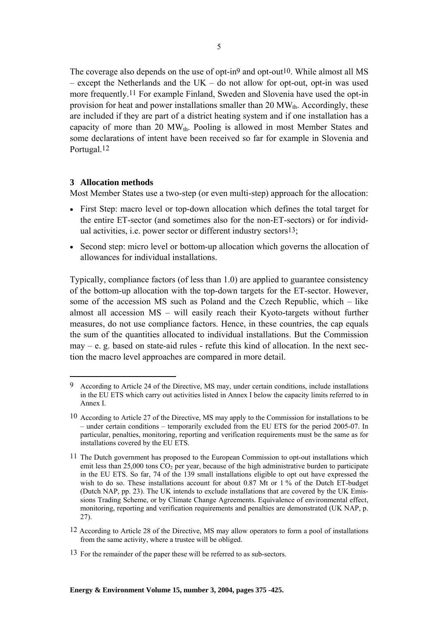The coverage also depends on the use of opt-in<sup>9</sup> and opt-out<sup>10</sup>. While almost all MS – except the Netherlands and the UK – do not allow for opt-out, opt-in was used more frequently.<sup>11</sup> For example Finland, Sweden and Slovenia have used the opt-in provision for heat and power installations smaller than  $20 \text{ MW}_{th}$ . Accordingly, these are included if they are part of a district heating system and if one installation has a capacity of more than 20  $MW_{th}$ . Pooling is allowed in most Member States and some declarations of intent have been received so far for example in Slovenia and Portugal.12

## **3 Allocation methods**

 $\overline{a}$ 

Most Member States use a two-step (or even multi-step) approach for the allocation:

- First Step: macro level or top-down allocation which defines the total target for the entire ET-sector (and sometimes also for the non-ET-sectors) or for individual activities, i.e. power sector or different industry sectors13;
- Second step: micro level or bottom-up allocation which governs the allocation of allowances for individual installations.

Typically, compliance factors (of less than 1.0) are applied to guarantee consistency of the bottom-up allocation with the top-down targets for the ET-sector. However, some of the accession MS such as Poland and the Czech Republic, which – like almost all accession MS – will easily reach their Kyoto-targets without further measures, do not use compliance factors. Hence, in these countries, the cap equals the sum of the quantities allocated to individual installations. But the Commission  $may - e$ . g. based on state-aid rules - refute this kind of allocation. In the next section the macro level approaches are compared in more detail.

12 According to Article 28 of the Directive, MS may allow operators to form a pool of installations from the same activity, where a trustee will be obliged.

<sup>9</sup> According to Article 24 of the Directive, MS may, under certain conditions, include installations in the EU ETS which carry out activities listed in Annex I below the capacity limits referred to in Annex I.

<sup>10</sup> According to Article 27 of the Directive, MS may apply to the Commission for installations to be – under certain conditions – temporarily excluded from the EU ETS for the period 2005-07. In particular, penalties, monitoring, reporting and verification requirements must be the same as for installations covered by the EU ETS.

<sup>11</sup> The Dutch government has proposed to the European Commission to opt-out installations which emit less than 25,000 tons  $CO<sub>2</sub>$  per year, because of the high administrative burden to participate in the EU ETS. So far, 74 of the 139 small installations eligible to opt out have expressed the wish to do so. These installations account for about 0.87 Mt or 1 % of the Dutch ET-budget (Dutch NAP, pp. 23). The UK intends to exclude installations that are covered by the UK Emissions Trading Scheme, or by Climate Change Agreements. Equivalence of environmental effect, monitoring, reporting and verification requirements and penalties are demonstrated (UK NAP, p. 27).

<sup>13</sup> For the remainder of the paper these will be referred to as sub-sectors.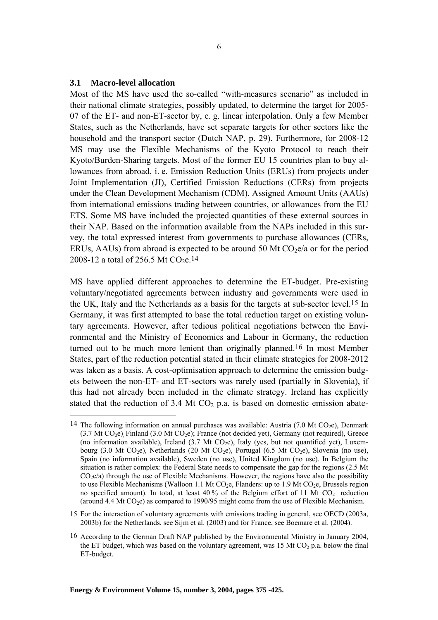## **3.1 Macro-level allocation**

 $\overline{a}$ 

Most of the MS have used the so-called "with-measures scenario" as included in their national climate strategies, possibly updated, to determine the target for 2005- 07 of the ET- and non-ET-sector by, e. g. linear interpolation. Only a few Member States, such as the Netherlands, have set separate targets for other sectors like the household and the transport sector (Dutch NAP, p. 29). Furthermore, for 2008-12 MS may use the Flexible Mechanisms of the Kyoto Protocol to reach their Kyoto/Burden-Sharing targets. Most of the former EU 15 countries plan to buy allowances from abroad, i. e. Emission Reduction Units (ERUs) from projects under Joint Implementation (JI), Certified Emission Reductions (CERs) from projects under the Clean Development Mechanism (CDM), Assigned Amount Units (AAUs) from international emissions trading between countries, or allowances from the EU ETS. Some MS have included the projected quantities of these external sources in their NAP. Based on the information available from the NAPs included in this survey, the total expressed interest from governments to purchase allowances (CERs, ERUs, AAUs) from abroad is expected to be around 50 Mt  $CO<sub>2</sub>e/a$  or for the period 2008-12 a total of 256.5 Mt  $CO<sub>2</sub>e<sub>14</sub>$ 

MS have applied different approaches to determine the ET-budget. Pre-existing voluntary/negotiated agreements between industry and governments were used in the UK, Italy and the Netherlands as a basis for the targets at sub-sector level.15 In Germany, it was first attempted to base the total reduction target on existing voluntary agreements. However, after tedious political negotiations between the Environmental and the Ministry of Economics and Labour in Germany, the reduction turned out to be much more lenient than originally planned.16 In most Member States, part of the reduction potential stated in their climate strategies for 2008-2012 was taken as a basis. A cost-optimisation approach to determine the emission budgets between the non-ET- and ET-sectors was rarely used (partially in Slovenia), if this had not already been included in the climate strategy. Ireland has explicitly stated that the reduction of 3.4 Mt  $CO<sub>2</sub>$  p.a. is based on domestic emission abate-

<sup>&</sup>lt;sup>14</sup> The following information on annual purchases was available: Austria (7.0 Mt CO<sub>2</sub>e), Denmark  $(3.7 \text{ Mt CO}_2)$ : Finland  $(3.0 \text{ Mt CO}_2)$ ; France (not decided yet), Germany (not required), Greece (no information available), Ireland  $(3.7 \text{ Mt } CO<sub>2</sub>e)$ , Italy (yes, but not quantified yet), Luxembourg (3.0 Mt CO<sub>2</sub>e), Netherlands (20 Mt CO<sub>2</sub>e), Portugal (6.5 Mt CO<sub>2</sub>e), Slovenia (no use), Spain (no information available), Sweden (no use), United Kingdom (no use). In Belgium the situation is rather complex: the Federal State needs to compensate the gap for the regions (2.5 Mt  $CO<sub>2</sub>e/a$ ) through the use of Flexible Mechanisms. However, the regions have also the possibility to use Flexible Mechanisms (Walloon 1.1 Mt CO<sub>2</sub>e, Flanders: up to 1.9 Mt CO<sub>2</sub>e, Brussels region no specified amount). In total, at least 40 % of the Belgium effort of 11 Mt  $CO<sub>2</sub>$  reduction (around  $4.4$  Mt CO<sub>2</sub>e) as compared to 1990/95 might come from the use of Flexible Mechanism.

<sup>15</sup> For the interaction of voluntary agreements with emissions trading in general, see OECD (2003a, 2003b) for the Netherlands, see Sijm et al. (2003) and for France, see Boemare et al. (2004).

<sup>16</sup> According to the German Draft NAP published by the Environmental Ministry in January 2004, the ET budget, which was based on the voluntary agreement, was  $15$  Mt CO<sub>2</sub> p.a. below the final ET-budget.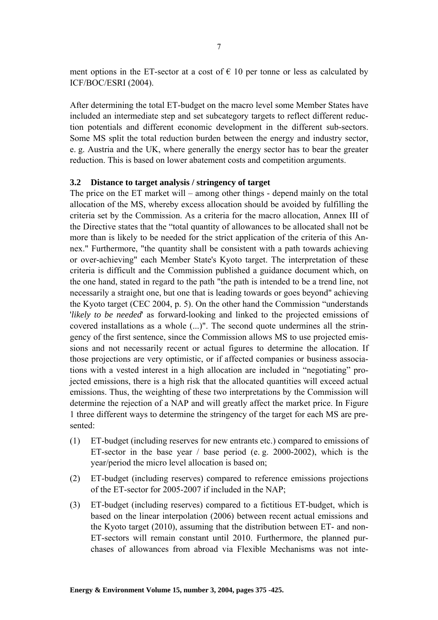ment options in the ET-sector at a cost of  $\epsilon$  10 per tonne or less as calculated by ICF/BOC/ESRI (2004).

After determining the total ET-budget on the macro level some Member States have included an intermediate step and set subcategory targets to reflect different reduction potentials and different economic development in the different sub-sectors. Some MS split the total reduction burden between the energy and industry sector, e. g. Austria and the UK, where generally the energy sector has to bear the greater reduction. This is based on lower abatement costs and competition arguments.

## **3.2 Distance to target analysis / stringency of target**

The price on the ET market will – among other things - depend mainly on the total allocation of the MS, whereby excess allocation should be avoided by fulfilling the criteria set by the Commission. As a criteria for the macro allocation, Annex III of the Directive states that the "total quantity of allowances to be allocated shall not be more than is likely to be needed for the strict application of the criteria of this Annex." Furthermore, "the quantity shall be consistent with a path towards achieving or over-achieving" each Member State's Kyoto target. The interpretation of these criteria is difficult and the Commission published a guidance document which, on the one hand, stated in regard to the path "the path is intended to be a trend line, not necessarily a straight one, but one that is leading towards or goes beyond" achieving the Kyoto target (CEC 2004, p. 5). On the other hand the Commission "understands '*likely to be needed*' as forward-looking and linked to the projected emissions of covered installations as a whole (...)". The second quote undermines all the stringency of the first sentence, since the Commission allows MS to use projected emissions and not necessarily recent or actual figures to determine the allocation. If those projections are very optimistic, or if affected companies or business associations with a vested interest in a high allocation are included in "negotiating" projected emissions, there is a high risk that the allocated quantities will exceed actual emissions. Thus, the weighting of these two interpretations by the Commission will determine the rejection of a NAP and will greatly affect the market price. In Figure 1 three different ways to determine the stringency of the target for each MS are presented:

- (1) ET-budget (including reserves for new entrants etc.) compared to emissions of ET-sector in the base year / base period (e. g. 2000-2002), which is the year/period the micro level allocation is based on;
- (2) ET-budget (including reserves) compared to reference emissions projections of the ET-sector for 2005-2007 if included in the NAP;
- (3) ET-budget (including reserves) compared to a fictitious ET-budget, which is based on the linear interpolation (2006) between recent actual emissions and the Kyoto target (2010), assuming that the distribution between ET- and non-ET-sectors will remain constant until 2010. Furthermore, the planned purchases of allowances from abroad via Flexible Mechanisms was not inte-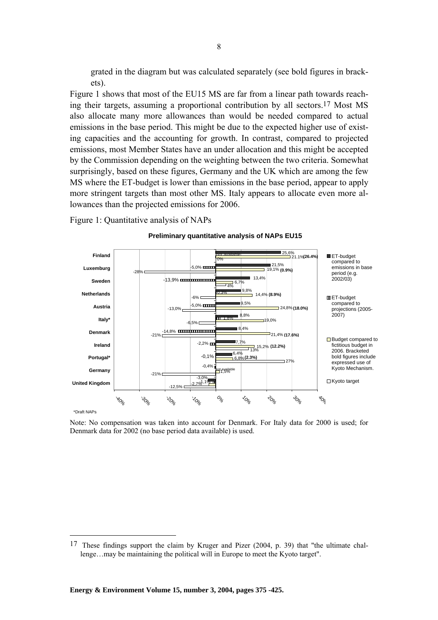grated in the diagram but was calculated separately (see bold figures in brackets).

Figure 1 shows that most of the EU15 MS are far from a linear path towards reaching their targets, assuming a proportional contribution by all sectors.17 Most MS also allocate many more allowances than would be needed compared to actual emissions in the base period. This might be due to the expected higher use of existing capacities and the accounting for growth. In contrast, compared to projected emissions, most Member States have an under allocation and this might be accepted by the Commission depending on the weighting between the two criteria. Somewhat surprisingly, based on these figures, Germany and the UK which are among the few MS where the ET-budget is lower than emissions in the base period, appear to apply more stringent targets than most other MS. Italy appears to allocate even more allowances than the projected emissions for 2006.

Figure 1: Quantitative analysis of NAPs



**Preliminary quantitative analysis of NAPs EU15** 

Note: No compensation was taken into account for Denmark. For Italy data for 2000 is used; for Denmark data for 2002 (no base period data available) is used.

 $\overline{a}$ 

<sup>17</sup> These findings support the claim by Kruger and Pizer (2004, p. 39) that "the ultimate challenge…may be maintaining the political will in Europe to meet the Kyoto target".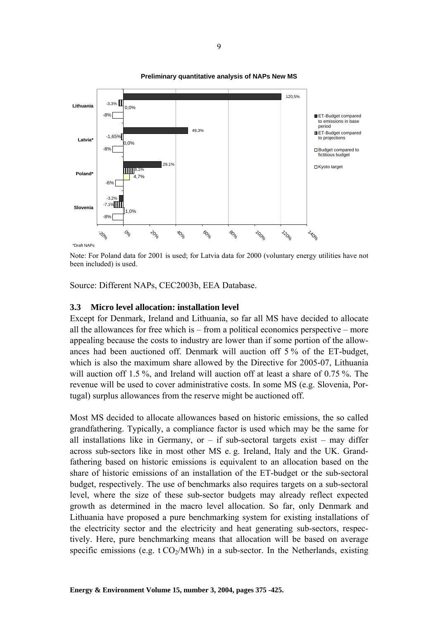

**Preliminary quantitative analysis of NAPs New MS** 

Note: For Poland data for 2001 is used; for Latvia data for 2000 (voluntary energy utilities have not been included) is used.

Source: Different NAPs, CEC2003b, EEA Database.

### **3.3 Micro level allocation: installation level**

Except for Denmark, Ireland and Lithuania, so far all MS have decided to allocate all the allowances for free which is – from a political economics perspective – more appealing because the costs to industry are lower than if some portion of the allowances had been auctioned off. Denmark will auction off 5 % of the ET-budget, which is also the maximum share allowed by the Directive for 2005-07, Lithuania will auction off 1.5 %, and Ireland will auction off at least a share of 0.75 %. The revenue will be used to cover administrative costs. In some MS (e.g. Slovenia, Portugal) surplus allowances from the reserve might be auctioned off.

Most MS decided to allocate allowances based on historic emissions, the so called grandfathering. Typically, a compliance factor is used which may be the same for all installations like in Germany, or  $-$  if sub-sectoral targets exist  $-$  may differ across sub-sectors like in most other MS e. g. Ireland, Italy and the UK. Grandfathering based on historic emissions is equivalent to an allocation based on the share of historic emissions of an installation of the ET-budget or the sub-sectoral budget, respectively. The use of benchmarks also requires targets on a sub-sectoral level, where the size of these sub-sector budgets may already reflect expected growth as determined in the macro level allocation. So far, only Denmark and Lithuania have proposed a pure benchmarking system for existing installations of the electricity sector and the electricity and heat generating sub-sectors, respectively. Here, pure benchmarking means that allocation will be based on average specific emissions (e.g. t  $CO<sub>2</sub>/MWh$ ) in a sub-sector. In the Netherlands, existing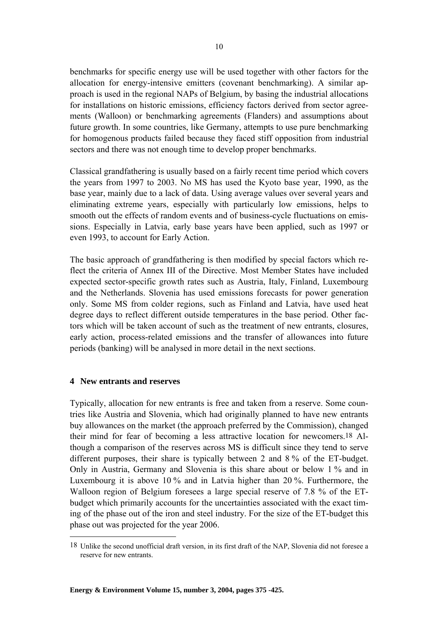benchmarks for specific energy use will be used together with other factors for the allocation for energy-intensive emitters (covenant benchmarking). A similar approach is used in the regional NAPs of Belgium, by basing the industrial allocations for installations on historic emissions, efficiency factors derived from sector agreements (Walloon) or benchmarking agreements (Flanders) and assumptions about future growth. In some countries, like Germany, attempts to use pure benchmarking for homogenous products failed because they faced stiff opposition from industrial sectors and there was not enough time to develop proper benchmarks.

Classical grandfathering is usually based on a fairly recent time period which covers the years from 1997 to 2003. No MS has used the Kyoto base year, 1990, as the base year, mainly due to a lack of data. Using average values over several years and eliminating extreme years, especially with particularly low emissions, helps to smooth out the effects of random events and of business-cycle fluctuations on emissions. Especially in Latvia, early base years have been applied, such as 1997 or even 1993, to account for Early Action.

The basic approach of grandfathering is then modified by special factors which reflect the criteria of Annex III of the Directive. Most Member States have included expected sector-specific growth rates such as Austria, Italy, Finland, Luxembourg and the Netherlands. Slovenia has used emissions forecasts for power generation only. Some MS from colder regions, such as Finland and Latvia, have used heat degree days to reflect different outside temperatures in the base period. Other factors which will be taken account of such as the treatment of new entrants, closures, early action, process-related emissions and the transfer of allowances into future periods (banking) will be analysed in more detail in the next sections.

### **4 New entrants and reserves**

 $\overline{a}$ 

Typically, allocation for new entrants is free and taken from a reserve. Some countries like Austria and Slovenia, which had originally planned to have new entrants buy allowances on the market (the approach preferred by the Commission), changed their mind for fear of becoming a less attractive location for newcomers.18 Although a comparison of the reserves across MS is difficult since they tend to serve different purposes, their share is typically between 2 and 8 % of the ET-budget. Only in Austria, Germany and Slovenia is this share about or below 1 % and in Luxembourg it is above 10 % and in Latvia higher than 20 %. Furthermore, the Walloon region of Belgium foresees a large special reserve of 7.8 % of the ETbudget which primarily accounts for the uncertainties associated with the exact timing of the phase out of the iron and steel industry. For the size of the ET-budget this phase out was projected for the year 2006.

<sup>18</sup> Unlike the second unofficial draft version, in its first draft of the NAP, Slovenia did not foresee a reserve for new entrants.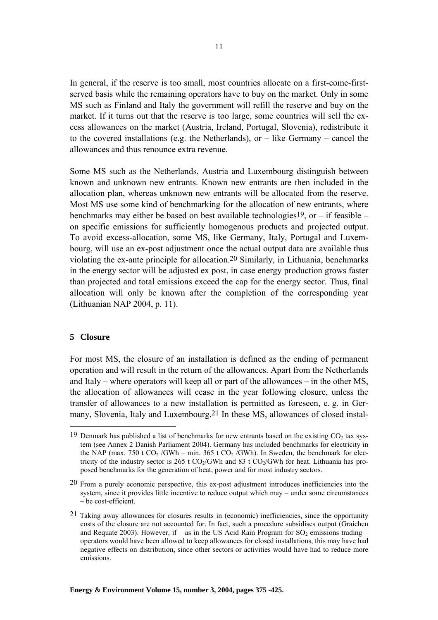In general, if the reserve is too small, most countries allocate on a first-come-firstserved basis while the remaining operators have to buy on the market. Only in some MS such as Finland and Italy the government will refill the reserve and buy on the market. If it turns out that the reserve is too large, some countries will sell the excess allowances on the market (Austria, Ireland, Portugal, Slovenia), redistribute it to the covered installations (e.g. the Netherlands), or – like Germany – cancel the allowances and thus renounce extra revenue.

Some MS such as the Netherlands, Austria and Luxembourg distinguish between known and unknown new entrants. Known new entrants are then included in the allocation plan, whereas unknown new entrants will be allocated from the reserve. Most MS use some kind of benchmarking for the allocation of new entrants, where benchmarks may either be based on best available technologies<sup>19</sup>, or – if feasible – on specific emissions for sufficiently homogenous products and projected output. To avoid excess-allocation, some MS, like Germany, Italy, Portugal and Luxembourg, will use an ex-post adjustment once the actual output data are available thus violating the ex-ante principle for allocation.20 Similarly, in Lithuania, benchmarks in the energy sector will be adjusted ex post, in case energy production grows faster than projected and total emissions exceed the cap for the energy sector. Thus, final allocation will only be known after the completion of the corresponding year (Lithuanian NAP 2004, p. 11).

## **5 Closure**

 $\overline{a}$ 

For most MS, the closure of an installation is defined as the ending of permanent operation and will result in the return of the allowances. Apart from the Netherlands and Italy – where operators will keep all or part of the allowances – in the other MS, the allocation of allowances will cease in the year following closure, unless the transfer of allowances to a new installation is permitted as foreseen, e. g. in Germany, Slovenia, Italy and Luxembourg.21 In these MS, allowances of closed instal-

<sup>&</sup>lt;sup>19</sup> Denmark has published a list of benchmarks for new entrants based on the existing  $CO<sub>2</sub>$  tax system (see Annex 2 Danish Parliament 2004). Germany has included benchmarks for electricity in the NAP (max. 750 t CO<sub>2</sub> /GWh – min. 365 t CO<sub>2</sub> /GWh). In Sweden, the benchmark for electricity of the industry sector is 265 t  $CO_2/GWh$  and 83 t  $CO_2/GWh$  for heat. Lithuania has proposed benchmarks for the generation of heat, power and for most industry sectors.

<sup>20</sup> From a purely economic perspective, this ex-post adjustment introduces inefficiencies into the system, since it provides little incentive to reduce output which may – under some circumstances – be cost-efficient.

<sup>21</sup> Taking away allowances for closures results in (economic) inefficiencies, since the opportunity costs of the closure are not accounted for. In fact, such a procedure subsidises output (Graichen and Requate 2003). However, if – as in the US Acid Rain Program for  $SO_2$  emissions trading – operators would have been allowed to keep allowances for closed installations, this may have had negative effects on distribution, since other sectors or activities would have had to reduce more emissions.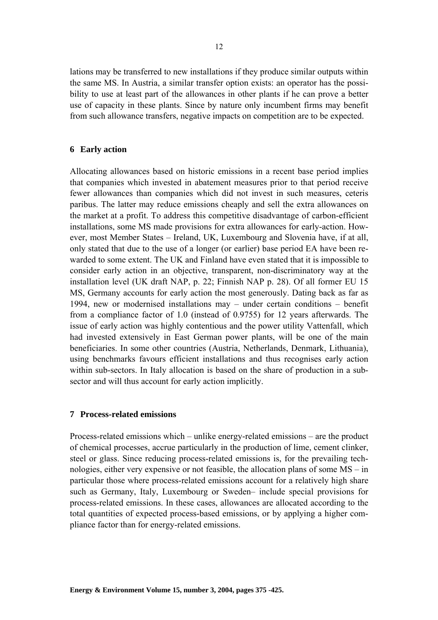lations may be transferred to new installations if they produce similar outputs within the same MS. In Austria, a similar transfer option exists: an operator has the possibility to use at least part of the allowances in other plants if he can prove a better use of capacity in these plants. Since by nature only incumbent firms may benefit from such allowance transfers, negative impacts on competition are to be expected.

## **6 Early action**

Allocating allowances based on historic emissions in a recent base period implies that companies which invested in abatement measures prior to that period receive fewer allowances than companies which did not invest in such measures, ceteris paribus. The latter may reduce emissions cheaply and sell the extra allowances on the market at a profit. To address this competitive disadvantage of carbon-efficient installations, some MS made provisions for extra allowances for early-action. However, most Member States – Ireland, UK, Luxembourg and Slovenia have, if at all, only stated that due to the use of a longer (or earlier) base period EA have been rewarded to some extent. The UK and Finland have even stated that it is impossible to consider early action in an objective, transparent, non-discriminatory way at the installation level (UK draft NAP, p. 22; Finnish NAP p. 28). Of all former EU 15 MS, Germany accounts for early action the most generously. Dating back as far as 1994, new or modernised installations may – under certain conditions – benefit from a compliance factor of 1.0 (instead of 0.9755) for 12 years afterwards. The issue of early action was highly contentious and the power utility Vattenfall, which had invested extensively in East German power plants, will be one of the main beneficiaries. In some other countries (Austria, Netherlands, Denmark, Lithuania), using benchmarks favours efficient installations and thus recognises early action within sub-sectors. In Italy allocation is based on the share of production in a subsector and will thus account for early action implicitly.

## **7 Process-related emissions**

Process-related emissions which – unlike energy-related emissions – are the product of chemical processes, accrue particularly in the production of lime, cement clinker, steel or glass. Since reducing process-related emissions is, for the prevailing technologies, either very expensive or not feasible, the allocation plans of some MS – in particular those where process-related emissions account for a relatively high share such as Germany, Italy, Luxembourg or Sweden– include special provisions for process-related emissions. In these cases, allowances are allocated according to the total quantities of expected process-based emissions, or by applying a higher compliance factor than for energy-related emissions.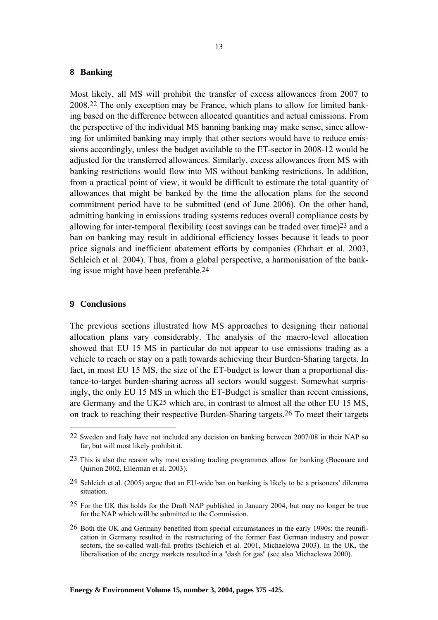## **8 Banking**

Most likely, all MS will prohibit the transfer of excess allowances from 2007 to 2008.22 The only exception may be France, which plans to allow for limited banking based on the difference between allocated quantities and actual emissions. From the perspective of the individual MS banning banking may make sense, since allowing for unlimited banking may imply that other sectors would have to reduce emissions accordingly, unless the budget available to the ET-sector in 2008-12 would be adjusted for the transferred allowances. Similarly, excess allowances from MS with banking restrictions would flow into MS without banking restrictions. In addition, from a practical point of view, it would be difficult to estimate the total quantity of allowances that might be banked by the time the allocation plans for the second commitment period have to be submitted (end of June 2006). On the other hand, admitting banking in emissions trading systems reduces overall compliance costs by allowing for inter-temporal flexibility (cost savings can be traded over time)23 and a ban on banking may result in additional efficiency losses because it leads to poor price signals and inefficient abatement efforts by companies (Ehrhart et al. 2003, Schleich et al. 2004). Thus, from a global perspective, a harmonisation of the banking issue might have been preferable.24

### **9 Conclusions**

 $\overline{a}$ 

The previous sections illustrated how MS approaches to designing their national allocation plans vary considerably. The analysis of the macro-level allocation showed that EU 15 MS in particular do not appear to use emissions trading as a vehicle to reach or stay on a path towards achieving their Burden-Sharing targets. In fact, in most EU 15 MS, the size of the ET-budget is lower than a proportional distance-to-target burden-sharing across all sectors would suggest. Somewhat surprisingly, the only EU 15 MS in which the ET-Budget is smaller than recent emissions, are Germany and the UK25 which are, in contrast to almost all the other EU 15 MS, on track to reaching their respective Burden-Sharing targets.26 To meet their targets

<sup>22</sup> Sweden and Italy have not included any decision on banking between 2007/08 in their NAP so far, but will most likely prohibit it.

<sup>23</sup> This is also the reason why most existing trading programmes allow for banking (Boemare and Quirion 2002, Ellerman et al. 2003).

<sup>24</sup> Schleich et al. (2005) argue that an EU-wide ban on banking is likely to be a prisoners' dilemma situation.

<sup>25</sup> For the UK this holds for the Draft NAP published in January 2004, but may no longer be true for the NAP which will be submitted to the Commission.

<sup>26</sup> Both the UK and Germany benefited from special circumstances in the early 1990s: the reunification in Germany resulted in the restructuring of the former East German industry and power sectors, the so-called wall-fall profits (Schleich et al. 2001, Michaelowa 2003). In the UK, the liberalisation of the energy markets resulted in a "dash for gas" (see also Michaelowa 2000).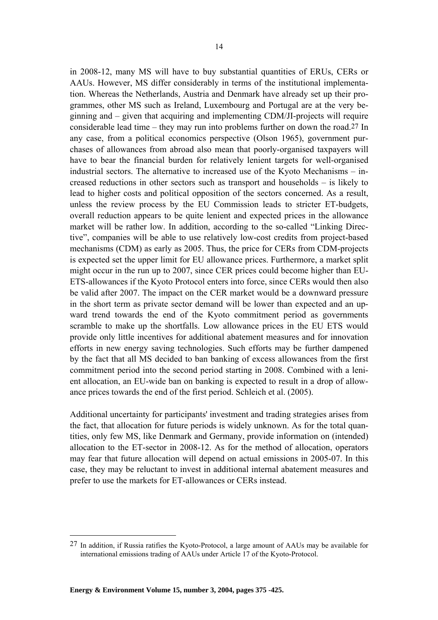in 2008-12, many MS will have to buy substantial quantities of ERUs, CERs or AAUs. However, MS differ considerably in terms of the institutional implementation. Whereas the Netherlands, Austria and Denmark have already set up their programmes, other MS such as Ireland, Luxembourg and Portugal are at the very beginning and – given that acquiring and implementing CDM/JI-projects will require considerable lead time – they may run into problems further on down the road.27 In any case, from a political economics perspective (Olson 1965), government purchases of allowances from abroad also mean that poorly-organised taxpayers will have to bear the financial burden for relatively lenient targets for well-organised industrial sectors. The alternative to increased use of the Kyoto Mechanisms – increased reductions in other sectors such as transport and households – is likely to lead to higher costs and political opposition of the sectors concerned. As a result, unless the review process by the EU Commission leads to stricter ET-budgets, overall reduction appears to be quite lenient and expected prices in the allowance market will be rather low. In addition, according to the so-called "Linking Directive", companies will be able to use relatively low-cost credits from project-based mechanisms (CDM) as early as 2005. Thus, the price for CERs from CDM-projects is expected set the upper limit for EU allowance prices. Furthermore, a market split might occur in the run up to 2007, since CER prices could become higher than EU-ETS-allowances if the Kyoto Protocol enters into force, since CERs would then also be valid after 2007. The impact on the CER market would be a downward pressure in the short term as private sector demand will be lower than expected and an upward trend towards the end of the Kyoto commitment period as governments scramble to make up the shortfalls. Low allowance prices in the EU ETS would provide only little incentives for additional abatement measures and for innovation efforts in new energy saving technologies. Such efforts may be further dampened by the fact that all MS decided to ban banking of excess allowances from the first commitment period into the second period starting in 2008. Combined with a lenient allocation, an EU-wide ban on banking is expected to result in a drop of allowance prices towards the end of the first period. Schleich et al. (2005).

Additional uncertainty for participants' investment and trading strategies arises from the fact, that allocation for future periods is widely unknown. As for the total quantities, only few MS, like Denmark and Germany, provide information on (intended) allocation to the ET-sector in 2008-12. As for the method of allocation, operators may fear that future allocation will depend on actual emissions in 2005-07. In this case, they may be reluctant to invest in additional internal abatement measures and prefer to use the markets for ET-allowances or CERs instead.

 $\overline{a}$ 

<sup>27</sup> In addition, if Russia ratifies the Kyoto-Protocol, a large amount of AAUs may be available for international emissions trading of AAUs under Article 17 of the Kyoto-Protocol.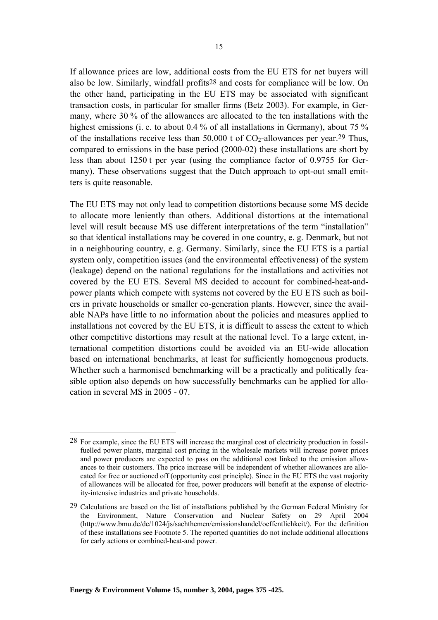If allowance prices are low, additional costs from the EU ETS for net buyers will also be low. Similarly, windfall profits28 and costs for compliance will be low. On the other hand, participating in the EU ETS may be associated with significant transaction costs, in particular for smaller firms (Betz 2003). For example, in Germany, where 30 % of the allowances are allocated to the ten installations with the highest emissions (i. e. to about 0.4 % of all installations in Germany), about 75 % of the installations receive less than 50,000 t of  $CO_2$ -allowances per year.<sup>29</sup> Thus, compared to emissions in the base period (2000-02) these installations are short by less than about 1250 t per year (using the compliance factor of 0.9755 for Germany). These observations suggest that the Dutch approach to opt-out small emitters is quite reasonable.

The EU ETS may not only lead to competition distortions because some MS decide to allocate more leniently than others. Additional distortions at the international level will result because MS use different interpretations of the term "installation" so that identical installations may be covered in one country, e. g. Denmark, but not in a neighbouring country, e. g. Germany. Similarly, since the EU ETS is a partial system only, competition issues (and the environmental effectiveness) of the system (leakage) depend on the national regulations for the installations and activities not covered by the EU ETS. Several MS decided to account for combined-heat-andpower plants which compete with systems not covered by the EU ETS such as boilers in private households or smaller co-generation plants. However, since the available NAPs have little to no information about the policies and measures applied to installations not covered by the EU ETS, it is difficult to assess the extent to which other competitive distortions may result at the national level. To a large extent, international competition distortions could be avoided via an EU-wide allocation based on international benchmarks, at least for sufficiently homogenous products. Whether such a harmonised benchmarking will be a practically and politically feasible option also depends on how successfully benchmarks can be applied for allocation in several MS in 2005 - 07.

 $\overline{a}$ 

<sup>28</sup> For example, since the EU ETS will increase the marginal cost of electricity production in fossilfuelled power plants, marginal cost pricing in the wholesale markets will increase power prices and power producers are expected to pass on the additional cost linked to the emission allowances to their customers. The price increase will be independent of whether allowances are allocated for free or auctioned off (opportunity cost principle). Since in the EU ETS the vast majority of allowances will be allocated for free, power producers will benefit at the expense of electricity-intensive industries and private households.

<sup>29</sup> Calculations are based on the list of installations published by the German Federal Ministry for the Environment, Nature Conservation and Nuclear Safety on 29 April 2004 (http://www.bmu.de/de/1024/js/sachthemen/emissionshandel/oeffentlichkeit/). For the definition of these installations see Footnote 5. The reported quantities do not include additional allocations for early actions or combined-heat-and power.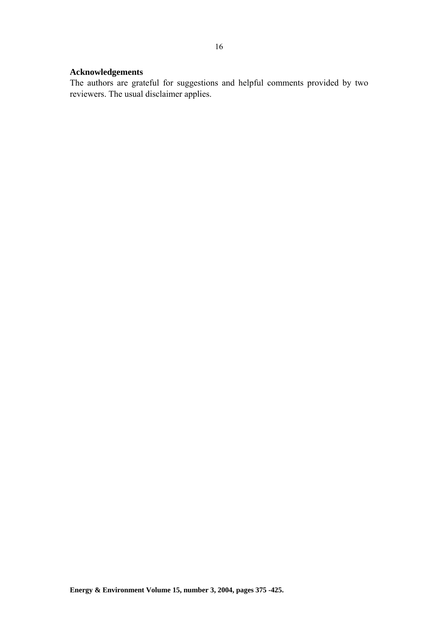## **Acknowledgements**

The authors are grateful for suggestions and helpful comments provided by two reviewers. The usual disclaimer applies.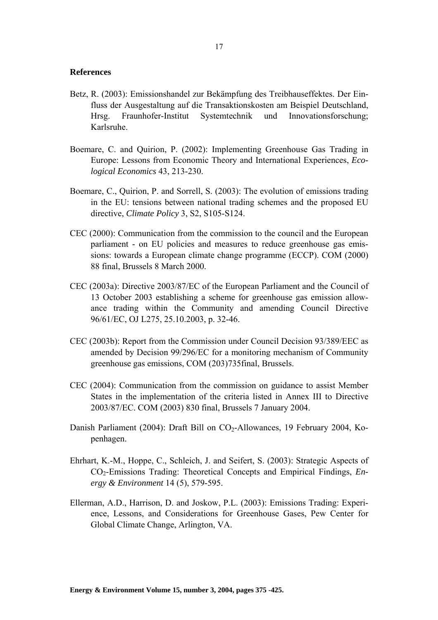## **References**

- Betz, R. (2003): Emissionshandel zur Bekämpfung des Treibhauseffektes. Der Einfluss der Ausgestaltung auf die Transaktionskosten am Beispiel Deutschland, Hrsg. Fraunhofer-Institut Systemtechnik und Innovationsforschung; Karlsruhe.
- Boemare, C. and Quirion, P. (2002): Implementing Greenhouse Gas Trading in Europe: Lessons from Economic Theory and International Experiences, *Ecological Economics* 43, 213-230.
- Boemare, C., Quirion, P. and Sorrell, S. (2003): The evolution of emissions trading in the EU: tensions between national trading schemes and the proposed EU directive, *Climate Policy* 3, S2, S105-S124.
- CEC (2000): Communication from the commission to the council and the European parliament - on EU policies and measures to reduce greenhouse gas emissions: towards a European climate change programme (ECCP). COM (2000) 88 final, Brussels 8 March 2000.
- CEC (2003a): Directive 2003/87/EC of the European Parliament and the Council of 13 October 2003 establishing a scheme for greenhouse gas emission allowance trading within the Community and amending Council Directive 96/61/EC, OJ L275, 25.10.2003, p. 32-46.
- CEC (2003b): Report from the Commission under Council Decision 93/389/EEC as amended by Decision 99/296/EC for a monitoring mechanism of Community greenhouse gas emissions, COM (203)735final, Brussels.
- CEC (2004): Communication from the commission on guidance to assist Member States in the implementation of the criteria listed in Annex III to Directive 2003/87/EC. COM (2003) 830 final, Brussels 7 January 2004.
- Danish Parliament (2004): Draft Bill on  $CO<sub>2</sub>$ -Allowances, 19 February 2004, Kopenhagen.
- Ehrhart, K.-M., Hoppe, C., Schleich, J. and Seifert, S. (2003): Strategic Aspects of CO2-Emissions Trading: Theoretical Concepts and Empirical Findings, *Energy & Environment* 14 (5), 579-595.
- Ellerman, A.D., Harrison, D. and Joskow, P.L. (2003): Emissions Trading: Experience, Lessons, and Considerations for Greenhouse Gases, Pew Center for Global Climate Change, Arlington, VA.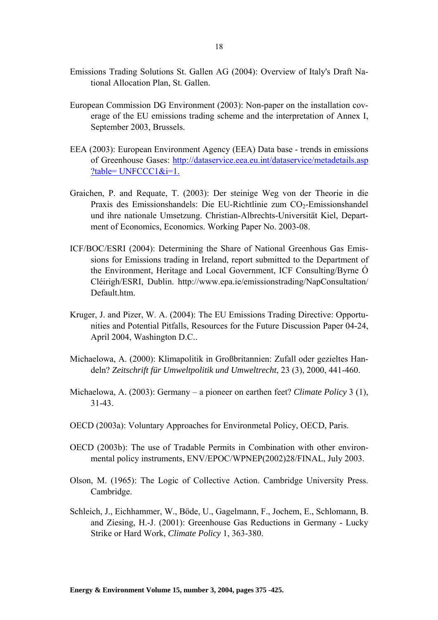- Emissions Trading Solutions St. Gallen AG (2004): Overview of Italy's Draft National Allocation Plan, St. Gallen.
- European Commission DG Environment (2003): Non-paper on the installation coverage of the EU emissions trading scheme and the interpretation of Annex I, September 2003, Brussels.
- EEA (2003): European Environment Agency (EEA) Data base trends in emissions of Greenhouse Gases: http://dataservice.eea.eu.int/dataservice/metadetails.asp ?table= UNFCCC1&i=1.
- Graichen, P. and Requate, T. (2003): Der steinige Weg von der Theorie in die Praxis des Emissionshandels: Die EU-Richtlinie zum CO<sub>2</sub>-Emissionshandel und ihre nationale Umsetzung. Christian-Albrechts-Universität Kiel, Department of Economics, Economics. Working Paper No. 2003-08.
- ICF/BOC/ESRI (2004): Determining the Share of National Greenhous Gas Emissions for Emissions trading in Ireland, report submitted to the Department of the Environment, Heritage and Local Government, ICF Consulting/Byrne Ó Cléirigh/ESRI, Dublin. http://www.epa.ie/emissionstrading/NapConsultation/ Default.htm.
- Kruger, J. and Pizer, W. A. (2004): The EU Emissions Trading Directive: Opportunities and Potential Pitfalls, Resources for the Future Discussion Paper 04-24, April 2004, Washington D.C..
- Michaelowa, A. (2000): Klimapolitik in Großbritannien: Zufall oder gezieltes Handeln? *Zeitschrift für Umweltpolitik und Umweltrecht*, 23 (3), 2000, 441-460.
- Michaelowa, A. (2003): Germany a pioneer on earthen feet? *Climate Policy* 3 (1), 31-43.
- OECD (2003a): Voluntary Approaches for Environmetal Policy, OECD, Paris.
- OECD (2003b): The use of Tradable Permits in Combination with other environmental policy instruments, ENV/EPOC/WPNEP(2002)28/FINAL, July 2003.
- Olson, M. (1965): The Logic of Collective Action. Cambridge University Press. Cambridge.
- Schleich, J., Eichhammer, W., Böde, U., Gagelmann, F., Jochem, E., Schlomann, B. and Ziesing, H.-J. (2001): Greenhouse Gas Reductions in Germany - Lucky Strike or Hard Work, *Climate Policy* 1, 363-380.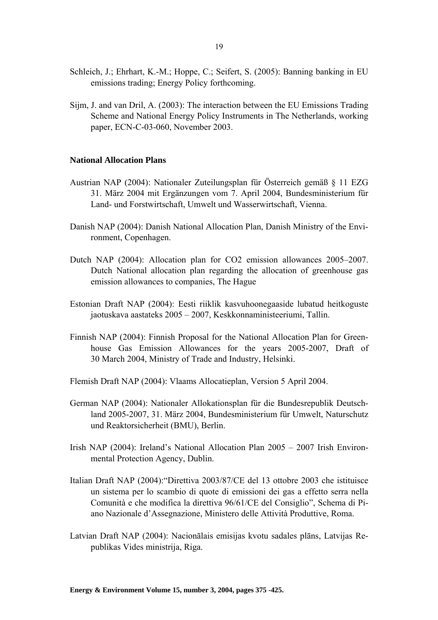- Schleich, J.; Ehrhart, K.-M.; Hoppe, C.; Seifert, S. (2005): Banning banking in EU emissions trading; Energy Policy forthcoming.
- Sijm, J. and van Dril, A. (2003): The interaction between the EU Emissions Trading Scheme and National Energy Policy Instruments in The Netherlands, working paper, ECN-C-03-060, November 2003.

## **National Allocation Plans**

- Austrian NAP (2004): Nationaler Zuteilungsplan für Österreich gemäß § 11 EZG 31. März 2004 mit Ergänzungen vom 7. April 2004, Bundesministerium für Land- und Forstwirtschaft, Umwelt und Wasserwirtschaft, Vienna.
- Danish NAP (2004): Danish National Allocation Plan, Danish Ministry of the Environment, Copenhagen.
- Dutch NAP (2004): Allocation plan for CO2 emission allowances 2005–2007. Dutch National allocation plan regarding the allocation of greenhouse gas emission allowances to companies, The Hague
- Estonian Draft NAP (2004): Eesti riiklik kasvuhoonegaaside lubatud heitkoguste jaotuskava aastateks 2005 – 2007, Keskkonnaministeeriumi, Tallin.
- Finnish NAP (2004): Finnish Proposal for the National Allocation Plan for Greenhouse Gas Emission Allowances for the years 2005-2007, Draft of 30 March 2004, Ministry of Trade and Industry, Helsinki.
- Flemish Draft NAP (2004): Vlaams Allocatieplan, Version 5 April 2004.
- German NAP (2004): Nationaler Allokationsplan für die Bundesrepublik Deutschland 2005-2007, 31. März 2004, Bundesministerium für Umwelt, Naturschutz und Reaktorsicherheit (BMU), Berlin.
- Irish NAP (2004): Ireland's National Allocation Plan 2005 2007 Irish Environmental Protection Agency, Dublin.
- Italian Draft NAP (2004):"Direttiva 2003/87/CE del 13 ottobre 2003 che istituisce un sistema per lo scambio di quote di emissioni dei gas a effetto serra nella Comunità e che modifica la direttiva 96/61/CE del Consiglio", Schema di Piano Nazionale d'Assegnazione, Ministero delle Attività Produttive, Roma.
- Latvian Draft NAP (2004): Nacionālais emisijas kvotu sadales plāns, Latvijas Republikas Vides ministrija, Riga.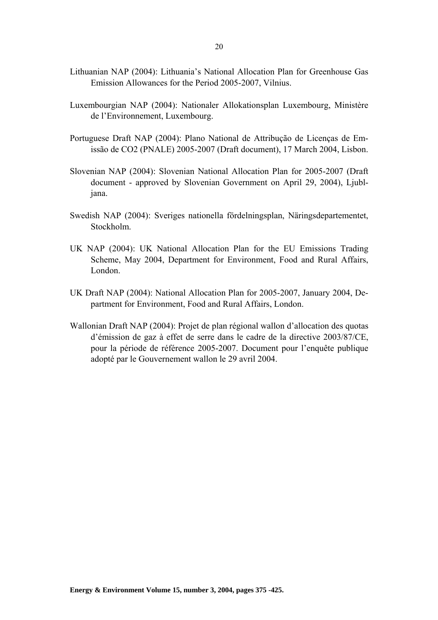- Lithuanian NAP (2004): Lithuania's National Allocation Plan for Greenhouse Gas Emission Allowances for the Period 2005-2007, Vilnius.
- Luxembourgian NAP (2004): Nationaler Allokationsplan Luxembourg, Ministère de l'Environnement, Luxembourg.
- Portuguese Draft NAP (2004): Plano National de Attribução de Licenças de Emissão de CO2 (PNALE) 2005-2007 (Draft document), 17 March 2004, Lisbon.
- Slovenian NAP (2004): Slovenian National Allocation Plan for 2005-2007 (Draft document - approved by Slovenian Government on April 29, 2004), Ljubljana.
- Swedish NAP (2004): Sveriges nationella fördelningsplan, Näringsdepartementet, Stockholm.
- UK NAP (2004): UK National Allocation Plan for the EU Emissions Trading Scheme, May 2004, Department for Environment, Food and Rural Affairs, London.
- UK Draft NAP (2004): National Allocation Plan for 2005-2007, January 2004, Department for Environment, Food and Rural Affairs, London.
- Wallonian Draft NAP (2004): Projet de plan régional wallon d'allocation des quotas d'émission de gaz à effet de serre dans le cadre de la directive 2003/87/CE, pour la période de référence 2005-2007. Document pour l'enquête publique adopté par le Gouvernement wallon le 29 avril 2004.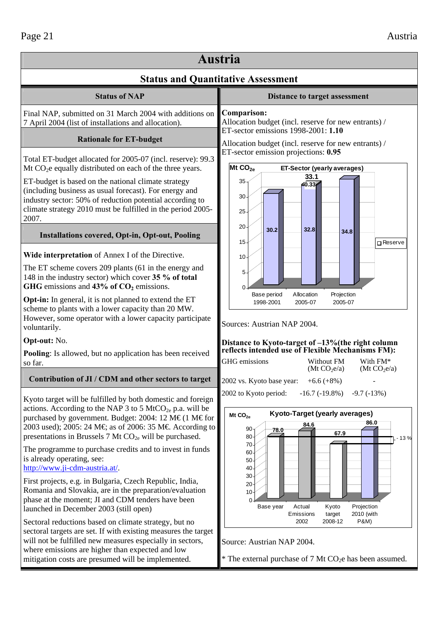| <b>Austria</b>                                                                                                                                                                                                                                                                                                              |                                                                                                                                                                          |  |
|-----------------------------------------------------------------------------------------------------------------------------------------------------------------------------------------------------------------------------------------------------------------------------------------------------------------------------|--------------------------------------------------------------------------------------------------------------------------------------------------------------------------|--|
| <b>Status and Quantitative Assessment</b>                                                                                                                                                                                                                                                                                   |                                                                                                                                                                          |  |
| <b>Status of NAP</b>                                                                                                                                                                                                                                                                                                        | <b>Distance to target assessment</b>                                                                                                                                     |  |
| Final NAP, submitted on 31 March 2004 with additions on<br>7 April 2004 (list of installations and allocation).<br><b>Rationale for ET-budget</b>                                                                                                                                                                           | Comparison:<br>Allocation budget (incl. reserve for new entrants) /<br>ET-sector emissions 1998-2001: 1.10                                                               |  |
|                                                                                                                                                                                                                                                                                                                             | Allocation budget (incl. reserve for new entrants) /<br>ET-sector emission projections: 0.95                                                                             |  |
| Total ET-budget allocated for 2005-07 (incl. reserve): 99.3<br>Mt $CO2e$ equally distributed on each of the three years.                                                                                                                                                                                                    | Mt CO <sub>2e</sub><br>ET-Sector (yearly averages)                                                                                                                       |  |
| ET-budget is based on the national climate strategy<br>(including business as usual forecast). For energy and<br>industry sector: 50% of reduction potential according to<br>climate strategy 2010 must be fulfilled in the period 2005-<br>2007.                                                                           | 33.1<br>35<br>€0.33<br>30<br>25                                                                                                                                          |  |
| <b>Installations covered, Opt-in, Opt-out, Pooling</b>                                                                                                                                                                                                                                                                      | 20<br>30.2<br>32.8<br>34.8<br>15 <sub>2</sub><br>$\sqcap$ Reserve                                                                                                        |  |
| Wide interpretation of Annex I of the Directive.                                                                                                                                                                                                                                                                            | 10                                                                                                                                                                       |  |
| The ET scheme covers 209 plants (61 in the energy and<br>148 in the industry sector) which cover 35 % of total<br>GHG emissions and $43\%$ of $CO2$ emissions.                                                                                                                                                              | 5.<br>$\Omega$ -                                                                                                                                                         |  |
| <b>Opt-in:</b> In general, it is not planned to extend the ET<br>scheme to plants with a lower capacity than 20 MW.<br>However, some operator with a lower capacity participate<br>voluntarily.                                                                                                                             | Base period<br>Projection<br>Allocation<br>1998-2001<br>2005-07<br>2005-07<br>Sources: Austrian NAP 2004.                                                                |  |
| Opt-out: No.                                                                                                                                                                                                                                                                                                                | Distance to Kyoto-target of -13% (the right column<br>reflects intended use of Flexible Mechanisms FM):                                                                  |  |
| <b>Pooling:</b> Is allowed, but no application has been received<br>so far.                                                                                                                                                                                                                                                 | <b>GHG</b> emissions<br>Without FM<br>With FM*<br>(Mt $CO2e/a$ )<br>(Mt $CO2e/a$ )                                                                                       |  |
| Contribution of JI / CDM and other sectors to target                                                                                                                                                                                                                                                                        | 2002 vs. Kyoto base year:<br>$+6.6 (+8%)$                                                                                                                                |  |
| Kyoto target will be fulfilled by both domestic and foreign<br>actions. According to the NAP 3 to 5 MtCO <sub>2e</sub> p.a. will be<br>purchased by government. Budget: 2004: 12 M€(1 M€for<br>2003 used); 2005: 24 M€ as of 2006: 35 M€ According to<br>presentations in Brussels 7 Mt CO <sub>2e</sub> will be purchased. | 2002 to Kyoto period:<br>$-16.7(-19.8%)$<br>$-9.7(-13%)$<br>Kyoto-Target (yearly averages)<br>Mt $CO2e$<br>86.O<br>84.6<br>90<br><u>78.0</u><br>67.9<br>$80 -$<br>$-13%$ |  |
| The programme to purchase credits and to invest in funds<br>is already operating, see:<br>http://www.ji-cdm-austria.at/.                                                                                                                                                                                                    | 70<br>60<br>50<br>40 <sup>1</sup>                                                                                                                                        |  |
| First projects, e.g. in Bulgaria, Czech Republic, India,<br>Romania and Slovakia, are in the preparation/evaluation<br>phase at the moment; JI and CDM tenders have been<br>launched in December 2003 (still open)                                                                                                          | 30<br>20<br>10<br>Projection<br>Base year<br>Actual<br>Kyoto<br>2010 (with<br>Emissions<br>target                                                                        |  |
| Sectoral reductions based on climate strategy, but no<br>sectoral targets are set. If with existing measures the target<br>will not be fulfilled new measures especially in sectors,                                                                                                                                        | 2002<br>2008-12<br>P&M)<br>Source: Austrian NAP 2004.                                                                                                                    |  |
| where emissions are higher than expected and low<br>mitigation costs are presumed will be implemented.                                                                                                                                                                                                                      | * The external purchase of $7 \text{ Mt } CO_2$ e has been assumed.                                                                                                      |  |
|                                                                                                                                                                                                                                                                                                                             |                                                                                                                                                                          |  |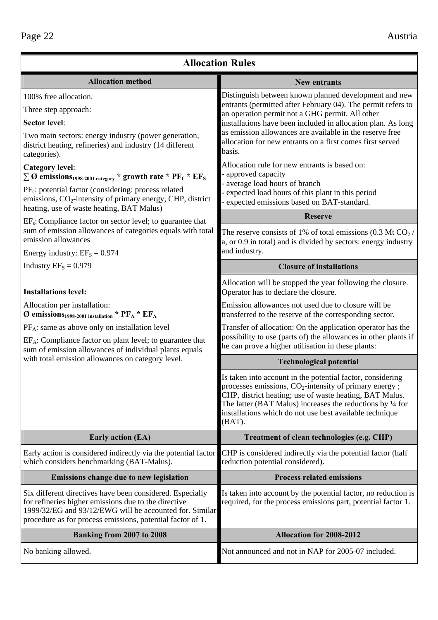| <b>Allocation Rules</b>                                                                                                                                                                                                                                                                                                                |                                                                                                                                                                                                                                                                                                                                   |  |
|----------------------------------------------------------------------------------------------------------------------------------------------------------------------------------------------------------------------------------------------------------------------------------------------------------------------------------------|-----------------------------------------------------------------------------------------------------------------------------------------------------------------------------------------------------------------------------------------------------------------------------------------------------------------------------------|--|
| <b>Allocation method</b>                                                                                                                                                                                                                                                                                                               | <b>New entrants</b>                                                                                                                                                                                                                                                                                                               |  |
| 100% free allocation.<br>Three step approach:                                                                                                                                                                                                                                                                                          | Distinguish between known planned development and new<br>entrants (permitted after February 04). The permit refers to<br>an operation permit not a GHG permit. All other                                                                                                                                                          |  |
| <b>Sector level:</b><br>Two main sectors: energy industry (power generation,<br>district heating, refineries) and industry (14 different<br>categories).                                                                                                                                                                               | installations have been included in allocation plan. As long<br>as emission allowances are available in the reserve free<br>allocation for new entrants on a first comes first served<br>basis.                                                                                                                                   |  |
| <b>Category level:</b><br>$\Sigma$ Ø emissions <sub>1998-2001</sub> category * growth rate * PF <sub>C</sub> * EF <sub>S</sub><br>$PF_c$ : potential factor (considering: process related<br>emissions, $CO2$ -intensity of primary energy, CHP, district                                                                              | Allocation rule for new entrants is based on:<br>approved capacity<br>average load hours of branch<br>expected load hours of this plant in this period<br>expected emissions based on BAT-standard.                                                                                                                               |  |
| heating, use of waste heating, BAT Malus)<br>EF <sub>s</sub> : Compliance factor on sector level; to guarantee that                                                                                                                                                                                                                    | <b>Reserve</b>                                                                                                                                                                                                                                                                                                                    |  |
| sum of emission allowances of categories equals with total<br>emission allowances<br>Energy industry: $EF_s = 0.974$                                                                                                                                                                                                                   | The reserve consists of 1% of total emissions (0.3 Mt $CO2$ )<br>a, or 0.9 in total) and is divided by sectors: energy industry<br>and industry.                                                                                                                                                                                  |  |
| Industry $EF_s = 0.979$                                                                                                                                                                                                                                                                                                                | <b>Closure of installations</b>                                                                                                                                                                                                                                                                                                   |  |
| <b>Installations level:</b><br>Allocation per installation:<br>$\Theta$ emissions <sub>1998-2001</sub> installation * PF <sub>A</sub> * EF <sub>A</sub><br>$PF_A$ : same as above only on installation level<br>$EF_A$ : Compliance factor on plant level; to guarantee that<br>sum of emission allowances of individual plants equals | Allocation will be stopped the year following the closure.<br>Operator has to declare the closure.<br>Emission allowances not used due to closure will be<br>transferred to the reserve of the corresponding sector.                                                                                                              |  |
|                                                                                                                                                                                                                                                                                                                                        | Transfer of allocation: On the application operator has the<br>possibility to use (parts of) the allowances in other plants if<br>he can prove a higher utilisation in these plants:                                                                                                                                              |  |
| with total emission allowances on category level.                                                                                                                                                                                                                                                                                      | <b>Technological potential</b>                                                                                                                                                                                                                                                                                                    |  |
|                                                                                                                                                                                                                                                                                                                                        | Is taken into account in the potential factor, considering<br>processes emissions, CO <sub>2</sub> -intensity of primary energy;<br>CHP, district heating; use of waste heating, BAT Malus.<br>The latter (BAT Malus) increases the reductions by 1/4 for<br>installations which do not use best available technique<br>$(BAT)$ . |  |
| <b>Early action (EA)</b>                                                                                                                                                                                                                                                                                                               | Treatment of clean technologies (e.g. CHP)                                                                                                                                                                                                                                                                                        |  |
| Early action is considered indirectly via the potential factor<br>which considers benchmarking (BAT-Malus).                                                                                                                                                                                                                            | CHP is considered indirectly via the potential factor (half<br>reduction potential considered).                                                                                                                                                                                                                                   |  |
| Emissions change due to new legislation                                                                                                                                                                                                                                                                                                | <b>Process related emissions</b>                                                                                                                                                                                                                                                                                                  |  |
| Six different directives have been considered. Especially<br>for refineries higher emissions due to the directive<br>1999/32/EG and 93/12/EWG will be accounted for. Similar<br>procedure as for process emissions, potential factor of 1.                                                                                             | Is taken into account by the potential factor, no reduction is<br>required, for the process emissions part, potential factor 1.                                                                                                                                                                                                   |  |
| Banking from 2007 to 2008                                                                                                                                                                                                                                                                                                              | <b>Allocation for 2008-2012</b>                                                                                                                                                                                                                                                                                                   |  |
| No banking allowed.                                                                                                                                                                                                                                                                                                                    | Not announced and not in NAP for 2005-07 included.                                                                                                                                                                                                                                                                                |  |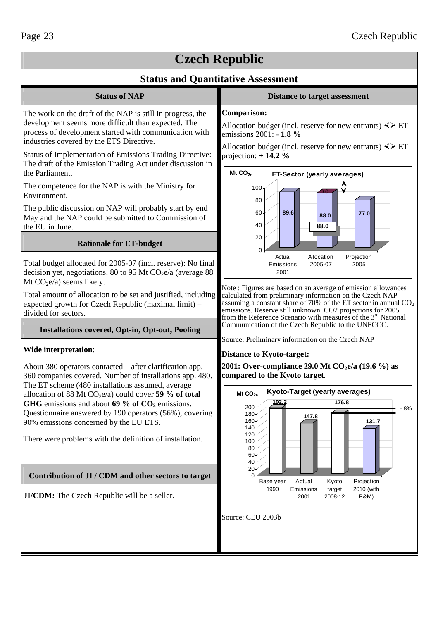#### **Czech Republic Status and Quantitative Assessment Status of NAP Distance to target assessment** The work on the draft of the NAP is still in progress, the development seems more difficult than expected. The process of development started with communication with industries covered by the ETS Directive. Status of Implementation of Emissions Trading Directive: The draft of the Emission Trading Act under discussion in the Parliament. The competence for the NAP is with the Ministry for Environment. The public discussion on NAP will probably start by end May and the NAP could be submitted to Commission of the EU in June. **Rationale for ET-budget**  Total budget allocated for 2005-07 (incl. reserve): No final decision yet, negotiations. 80 to 95 Mt  $CO<sub>2</sub>e/a$  (average 88) Mt  $CO<sub>2</sub>e/a$ ) seems likely. Total amount of allocation to be set and justified, including expected growth for Czech Republic (maximal limit) – divided for sectors. **Installations covered, Opt-in, Opt-out, Pooling Wide interpretation**: About 380 operators contacted – after clarification app. 360 companies covered. Number of installations app. 480. The ET scheme (480 installations assumed, average allocation of 88 Mt  $CO<sub>2</sub>e/a$  could cover **59** % of total GHG emissions and about  $69\%$  of  $CO<sub>2</sub>$  emissions. Questionnaire answered by 190 operators (56%), covering 90% emissions concerned by the EU ETS. There were problems with the definition of installation. **Contribution of JI / CDM and other sectors to target JI/CDM:** The Czech Republic will be a seller. **Comparison:**  Allocation budget (incl. reserve for new entrants)  $\ll$  ET emissions 2001: - **1.8 %**  Allocation budget (incl. reserve for new entrants)  $\leq \triangleright$  ET projection: + **14.2 % 89.6** 88.0 0.0 **77.0** 0  $20$ 40 60  $80$ 100 Actual Emissions 2001 Allocation 2005-07 Projection 2005 **ET-Sector (yearly averages) 88.0** Mt CO<sub>2e</sub> Note : Figures are based on an average of emission allowances calculated from preliminary information on the Czech NAP assuming a constant share of 70% of the ET sector in annual  $CO<sub>2</sub>$ emissions. Reserve still unknown. CO2 projections for 2005 from the Reference Scenario with measures of the 3rd National Communication of the Czech Republic to the UNFCCC. Source: Preliminary information on the Czech NAP **Distance to Kyoto-target:**  2001: Over-compliance 29.0 Mt CO<sub>2</sub>e/a (19.6 %) as **compared to the Kyoto target**. **192.2 147.8 176.8 131.**  $\mathcal{C}$ 20 40 60 80 100 120 140 160 180 200 Base year 1990 Actual Emissions 2001 Kyoto target 2008-12 Projection 2010 (with P&M) **Kyoto-Target (yearly averages)** - 8% Mt CO<sub>2e</sub> Source: CEU 2003b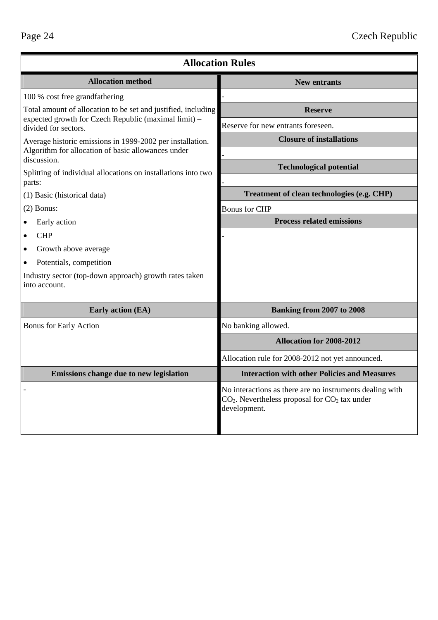| <b>Allocation Rules</b>                                                      |                                                                                                                               |  |
|------------------------------------------------------------------------------|-------------------------------------------------------------------------------------------------------------------------------|--|
| <b>Allocation method</b>                                                     | <b>New entrants</b>                                                                                                           |  |
| 100 % cost free grandfathering                                               |                                                                                                                               |  |
| Total amount of allocation to be set and justified, including                | <b>Reserve</b>                                                                                                                |  |
| expected growth for Czech Republic (maximal limit) -<br>divided for sectors. | Reserve for new entrants foreseen.                                                                                            |  |
| Average historic emissions in 1999-2002 per installation.                    | <b>Closure of installations</b>                                                                                               |  |
| Algorithm for allocation of basic allowances under<br>discussion.            |                                                                                                                               |  |
| Splitting of individual allocations on installations into two                | <b>Technological potential</b>                                                                                                |  |
| parts:                                                                       |                                                                                                                               |  |
| (1) Basic (historical data)                                                  | Treatment of clean technologies (e.g. CHP)                                                                                    |  |
| $(2)$ Bonus:                                                                 | <b>Bonus for CHP</b>                                                                                                          |  |
| Early action<br>$\bullet$                                                    | <b>Process related emissions</b>                                                                                              |  |
| <b>CHP</b><br>$\bullet$                                                      |                                                                                                                               |  |
| Growth above average<br>$\bullet$                                            |                                                                                                                               |  |
| Potentials, competition<br>$\bullet$                                         |                                                                                                                               |  |
| Industry sector (top-down approach) growth rates taken<br>into account.      |                                                                                                                               |  |
|                                                                              |                                                                                                                               |  |
| Early action (EA)                                                            | Banking from 2007 to 2008                                                                                                     |  |
| <b>Bonus for Early Action</b>                                                | No banking allowed.                                                                                                           |  |
|                                                                              | Allocation for 2008-2012                                                                                                      |  |
|                                                                              | Allocation rule for 2008-2012 not yet announced.                                                                              |  |
| Emissions change due to new legislation                                      | <b>Interaction with other Policies and Measures</b>                                                                           |  |
|                                                                              | No interactions as there are no instruments dealing with<br>$CO2$ . Nevertheless proposal for $CO2$ tax under<br>development. |  |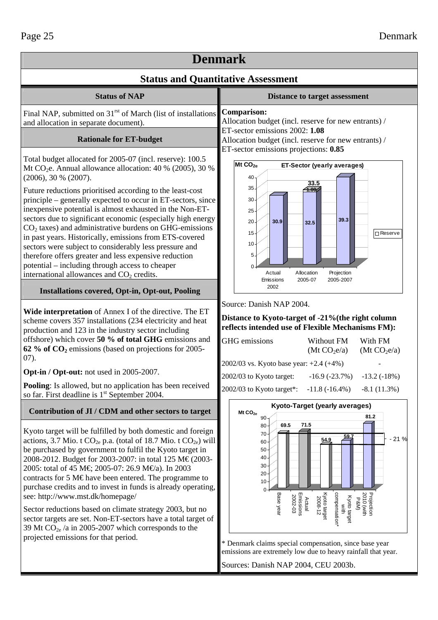| <b>Denmark</b>                                                                                                                                                                                                                                                                                                                                                                                                                                                                                                                                                                                                                                                                                                                                                            |                                                                                                                                                                                                                                                                                                                                                                                                                                                                                                                        |  |
|---------------------------------------------------------------------------------------------------------------------------------------------------------------------------------------------------------------------------------------------------------------------------------------------------------------------------------------------------------------------------------------------------------------------------------------------------------------------------------------------------------------------------------------------------------------------------------------------------------------------------------------------------------------------------------------------------------------------------------------------------------------------------|------------------------------------------------------------------------------------------------------------------------------------------------------------------------------------------------------------------------------------------------------------------------------------------------------------------------------------------------------------------------------------------------------------------------------------------------------------------------------------------------------------------------|--|
| <b>Status and Quantitative Assessment</b>                                                                                                                                                                                                                                                                                                                                                                                                                                                                                                                                                                                                                                                                                                                                 |                                                                                                                                                                                                                                                                                                                                                                                                                                                                                                                        |  |
| <b>Status of NAP</b>                                                                                                                                                                                                                                                                                                                                                                                                                                                                                                                                                                                                                                                                                                                                                      | <b>Distance to target assessment</b>                                                                                                                                                                                                                                                                                                                                                                                                                                                                                   |  |
| Final NAP, submitted on 31 <sup>rst</sup> of March (list of installations<br>and allocation in separate document).                                                                                                                                                                                                                                                                                                                                                                                                                                                                                                                                                                                                                                                        | <b>Comparison:</b><br>Allocation budget (incl. reserve for new entrants) /<br>ET-sector emissions 2002: 1.08                                                                                                                                                                                                                                                                                                                                                                                                           |  |
| <b>Rationale for ET-budget</b>                                                                                                                                                                                                                                                                                                                                                                                                                                                                                                                                                                                                                                                                                                                                            | Allocation budget (incl. reserve for new entrants) /<br>ET-sector emissions projections: 0.85                                                                                                                                                                                                                                                                                                                                                                                                                          |  |
| Total budget allocated for 2005-07 (incl. reserve): 100.5<br>Mt CO <sub>2</sub> e. Annual allowance allocation: $40\%$ (2005), 30 %<br>(2006), 30 % (2007).<br>Future reductions prioritised according to the least-cost<br>principle – generally expected to occur in ET-sectors, since<br>inexpensive potential is almost exhausted in the Non-ET-<br>sectors due to significant economic (especially high energy<br>$CO2$ taxes) and administrative burdens on GHG-emissions<br>in past years. Historically, emissions from ETS-covered<br>sectors were subject to considerably less pressure and<br>therefore offers greater and less expensive reduction<br>potential – including through access to cheaper<br>international allowances and CO <sub>2</sub> credits. | Mt CO <sub>2e</sub><br>ET-Sector (yearly averages)<br>40<br>33.5<br>35<br>4.006<br>30<br>25<br>39.3<br>30.9<br>20<br>32.5<br>$\Box$ Reserve<br>15 <sub>1</sub><br>10<br>5<br>Actual<br>Allocation<br>Projection<br>2005-2007<br><b>Emissions</b><br>2005-07                                                                                                                                                                                                                                                            |  |
| <b>Installations covered, Opt-in, Opt-out, Pooling</b>                                                                                                                                                                                                                                                                                                                                                                                                                                                                                                                                                                                                                                                                                                                    | 2002                                                                                                                                                                                                                                                                                                                                                                                                                                                                                                                   |  |
| Wide interpretation of Annex I of the directive. The ET<br>scheme covers 357 installations (234 electricity and heat<br>production and 123 in the industry sector including<br>offshore) which cover 50 % of total GHG emissions and<br>62 % of $CO2$ emissions (based on projections for 2005-<br>$(07)$ .<br>Opt-in / Opt-out: not used in 2005-2007.<br><b>Pooling:</b> Is allowed, but no application has been received                                                                                                                                                                                                                                                                                                                                               | Source: Danish NAP 2004.<br>Distance to Kyoto-target of -21% (the right column<br>reflects intended use of Flexible Mechanisms FM):<br>GHG emissions<br>Without FM<br>With FM<br>(Mt $CO2e/a$ )<br>(Mt $CO2e/a$ )<br>2002/03 vs. Kyoto base year: +2.4 (+4%)<br>2002/03 to Kyoto target: -16.9 (-23.7%) -13.2 (-18%)<br>2002/03 to Kyoto target*:<br>$-11.8(-16.4\%)$<br>$-8.1(11.3%)$                                                                                                                                 |  |
| so far. First deadline is 1 <sup>st</sup> September 2004.                                                                                                                                                                                                                                                                                                                                                                                                                                                                                                                                                                                                                                                                                                                 | Kyoto-Target (yearly averages)                                                                                                                                                                                                                                                                                                                                                                                                                                                                                         |  |
| Contribution of JI / CDM and other sectors to target<br>Kyoto target will be fulfilled by both domestic and foreign<br>actions, 3.7 Mio. t $CO_{2e}$ p.a. (total of 18.7 Mio. t $CO_{2e}$ ) will<br>be purchased by government to fulfil the Kyoto target in<br>2008-2012. Budget for 2003-2007: in total 125 M€(2003-<br>2005: total of 45 M€ 2005-07: 26.9 M€a). In 2003<br>contracts for 5 M€have been entered. The programme to<br>purchase credits and to invest in funds is already operating,<br>see: http://www.mst.dk/homepage/<br>Sector reductions based on climate strategy 2003, but no<br>sector targets are set. Non-ET-sectors have a total target of<br>39 Mt $CO_{2e}$ /a in 2005-2007 which corresponds to the<br>projected emissions for that period. | Mt CO <sub>2e</sub><br>81.2<br>90<br>71.5<br>69.5<br>80<br>70<br>59. J<br>$-21%$<br>5 <u>4.9</u><br>60<br>50 <sub>2</sub><br>40<br>30 <sup>°</sup><br>20 <sub>1</sub><br>10 <sup>1</sup><br>0<br>Base year<br>compensation'<br>Actual<br>Emissions<br>2002-03<br>Projection<br>2010 (with<br>P&M)<br>Kyoto target<br>2008-12<br>Kyoto target<br>with<br>* Denmark claims special compensation, since base year<br>emissions are extremely low due to heavy rainfall that year.<br>Sources: Danish NAP 2004, CEU 2003b. |  |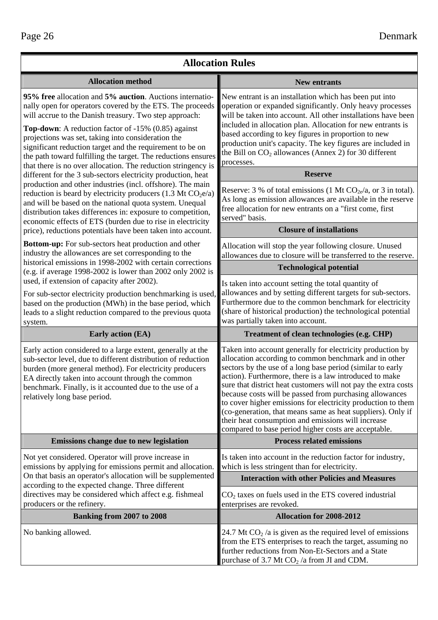# Page 26 Denmark

| <b>Allocation Rules</b>                                                                                                                                                                                                                                                                                                                                                                                                                                                                     |                                                                                                                                                                                                                                                                                                                                                                                                                                                                                                                                                                                                                        |  |
|---------------------------------------------------------------------------------------------------------------------------------------------------------------------------------------------------------------------------------------------------------------------------------------------------------------------------------------------------------------------------------------------------------------------------------------------------------------------------------------------|------------------------------------------------------------------------------------------------------------------------------------------------------------------------------------------------------------------------------------------------------------------------------------------------------------------------------------------------------------------------------------------------------------------------------------------------------------------------------------------------------------------------------------------------------------------------------------------------------------------------|--|
| <b>Allocation method</b>                                                                                                                                                                                                                                                                                                                                                                                                                                                                    | <b>New entrants</b>                                                                                                                                                                                                                                                                                                                                                                                                                                                                                                                                                                                                    |  |
| 95% free allocation and 5% auction. Auctions internatio-<br>nally open for operators covered by the ETS. The proceeds<br>will accrue to the Danish treasury. Two step approach:<br>Top-down: A reduction factor of -15% (0.85) against<br>projections was set, taking into consideration the<br>significant reduction target and the requirement to be on<br>the path toward fulfilling the target. The reductions ensures<br>that there is no over allocation. The reduction stringency is | New entrant is an installation which has been put into<br>operation or expanded significantly. Only heavy processes<br>will be taken into account. All other installations have been<br>included in allocation plan. Allocation for new entrants is<br>based according to key figures in proportion to new<br>production unit's capacity. The key figures are included in<br>the Bill on $CO2$ allowances (Annex 2) for 30 different<br>processes.                                                                                                                                                                     |  |
| different for the 3 sub-sectors electricity production, heat                                                                                                                                                                                                                                                                                                                                                                                                                                | <b>Reserve</b>                                                                                                                                                                                                                                                                                                                                                                                                                                                                                                                                                                                                         |  |
| production and other industries (incl. offshore). The main<br>reduction is beard by electricity producers $(1.3 \text{ Mt } CO_2e/a)$<br>and will be based on the national quota system. Unequal<br>distribution takes differences in: exposure to competition,<br>economic effects of ETS (burden due to rise in electricity                                                                                                                                                               | Reserve: 3 % of total emissions (1 Mt $CO2e/a$ , or 3 in total).<br>As long as emission allowances are available in the reserve<br>free allocation for new entrants on a "first come, first<br>served" basis.                                                                                                                                                                                                                                                                                                                                                                                                          |  |
| price), reductions potentials have been taken into account.                                                                                                                                                                                                                                                                                                                                                                                                                                 | <b>Closure of installations</b>                                                                                                                                                                                                                                                                                                                                                                                                                                                                                                                                                                                        |  |
| Bottom-up: For sub-sectors heat production and other<br>industry the allowances are set corresponding to the<br>historical emissions in 1998-2002 with certain corrections                                                                                                                                                                                                                                                                                                                  | Allocation will stop the year following closure. Unused<br>allowances due to closure will be transferred to the reserve.                                                                                                                                                                                                                                                                                                                                                                                                                                                                                               |  |
| (e.g. if average $1998-2002$ is lower than 2002 only 2002 is<br>used, if extension of capacity after 2002).                                                                                                                                                                                                                                                                                                                                                                                 | <b>Technological potential</b>                                                                                                                                                                                                                                                                                                                                                                                                                                                                                                                                                                                         |  |
| For sub-sector electricity production benchmarking is used,<br>based on the production (MWh) in the base period, which<br>leads to a slight reduction compared to the previous quota<br>system.                                                                                                                                                                                                                                                                                             | Is taken into account setting the total quantity of<br>allowances and by setting different targets for sub-sectors.<br>Furthermore due to the common benchmark for electricity<br>(share of historical production) the technological potential<br>was partially taken into account.                                                                                                                                                                                                                                                                                                                                    |  |
| Early action (EA)                                                                                                                                                                                                                                                                                                                                                                                                                                                                           | Treatment of clean technologies (e.g. CHP)                                                                                                                                                                                                                                                                                                                                                                                                                                                                                                                                                                             |  |
| Early action considered to a large extent, generally at the<br>sub-sector level, due to different distribution of reduction<br>burden (more general method). For electricity producers<br>EA directly taken into account through the common<br>benchmark. Finally, is it accounted due to the use of a<br>relatively long base period.                                                                                                                                                      | Taken into account generally for electricity production by<br>allocation according to common benchmark and in other<br>sectors by the use of a long base period (similar to early<br>action). Furthermore, there is a law introduced to make<br>sure that district heat customers will not pay the extra costs<br>because costs will be passed from purchasing allowances<br>to cover higher emissions for electricity production to them<br>(co-generation, that means same as heat suppliers). Only if<br>their heat consumption and emissions will increase<br>compared to base period higher costs are acceptable. |  |
| <b>Emissions change due to new legislation</b>                                                                                                                                                                                                                                                                                                                                                                                                                                              | <b>Process related emissions</b>                                                                                                                                                                                                                                                                                                                                                                                                                                                                                                                                                                                       |  |
| Not yet considered. Operator will prove increase in<br>emissions by applying for emissions permit and allocation.<br>On that basis an operator's allocation will be supplemented<br>according to the expected change. Three different                                                                                                                                                                                                                                                       | Is taken into account in the reduction factor for industry,<br>which is less stringent than for electricity.<br><b>Interaction with other Policies and Measures</b>                                                                                                                                                                                                                                                                                                                                                                                                                                                    |  |
|                                                                                                                                                                                                                                                                                                                                                                                                                                                                                             |                                                                                                                                                                                                                                                                                                                                                                                                                                                                                                                                                                                                                        |  |
| directives may be considered which affect e.g. fishmeal<br>producers or the refinery.                                                                                                                                                                                                                                                                                                                                                                                                       | $CO2$ taxes on fuels used in the ETS covered industrial<br>enterprises are revoked.                                                                                                                                                                                                                                                                                                                                                                                                                                                                                                                                    |  |
| Banking from 2007 to 2008                                                                                                                                                                                                                                                                                                                                                                                                                                                                   | <b>Allocation for 2008-2012</b>                                                                                                                                                                                                                                                                                                                                                                                                                                                                                                                                                                                        |  |
| No banking allowed.                                                                                                                                                                                                                                                                                                                                                                                                                                                                         | 24.7 Mt $CO2$ /a is given as the required level of emissions<br>from the ETS enterprises to reach the target, assuming no<br>further reductions from Non-Et-Sectors and a State<br>purchase of 3.7 Mt $CO2$ /a from JI and CDM.                                                                                                                                                                                                                                                                                                                                                                                        |  |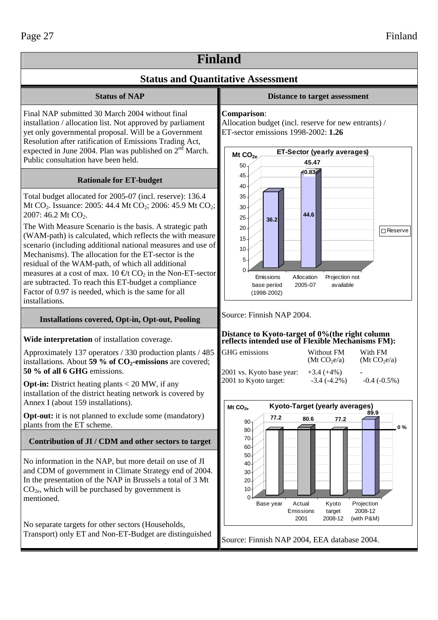| <b>Finland</b>                                                                                                                                                                                                                                                                                                                                                                                                                                                                                                                                                                                                                                                                                                          |                                                                                                                                                                                                                                                                                                |  |
|-------------------------------------------------------------------------------------------------------------------------------------------------------------------------------------------------------------------------------------------------------------------------------------------------------------------------------------------------------------------------------------------------------------------------------------------------------------------------------------------------------------------------------------------------------------------------------------------------------------------------------------------------------------------------------------------------------------------------|------------------------------------------------------------------------------------------------------------------------------------------------------------------------------------------------------------------------------------------------------------------------------------------------|--|
| <b>Status and Quantitative Assessment</b>                                                                                                                                                                                                                                                                                                                                                                                                                                                                                                                                                                                                                                                                               |                                                                                                                                                                                                                                                                                                |  |
| <b>Status of NAP</b>                                                                                                                                                                                                                                                                                                                                                                                                                                                                                                                                                                                                                                                                                                    | <b>Distance to target assessment</b>                                                                                                                                                                                                                                                           |  |
| Final NAP submitted 30 March 2004 without final<br>installation / allocation list. Not approved by parliament<br>yet only governmental proposal. Will be a Government<br>Resolution after ratification of Emissions Trading Act,<br>expected in June 2004. Plan was published on $2nd$ March.<br>Public consultation have been held.                                                                                                                                                                                                                                                                                                                                                                                    | <b>Comparison:</b><br>Allocation budget (incl. reserve for new entrants) /<br>ET-sector emissions 1998-2002: 1.26<br><b>ET-Sector (yearly averages)</b><br>Mt $CO2e$<br>45.47<br>50                                                                                                            |  |
| <b>Rationale for ET-budget</b>                                                                                                                                                                                                                                                                                                                                                                                                                                                                                                                                                                                                                                                                                          | 20.83<br>45<br>$40 -$                                                                                                                                                                                                                                                                          |  |
| Total budget allocated for 2005-07 (incl. reserve): 136.4<br>Mt CO <sub>2</sub> . Issuance: 2005: 44.4 Mt CO <sub>2</sub> ; 2006: 45.9 Mt CO <sub>2</sub> ;<br>2007: 46.2 Mt CO <sub>2</sub> .<br>The With Measure Scenario is the basis. A strategic path<br>(WAM-path) is calculated, which reflects the with measure<br>scenario (including additional national measures and use of<br>Mechanisms). The allocation for the ET-sector is the<br>residual of the WAM-path, of which all additional<br>measures at a cost of max. 10 $\text{\textsterling}t CO_2$ in the Non-ET-sector<br>are subtracted. To reach this ET-budget a compliance<br>Factor of 0.97 is needed, which is the same for all<br>installations. | 35 <sub>1</sub><br>$30 -$<br>44.6<br>25 <sub>1</sub><br>36.2<br>20 <sub>1</sub><br>□ Reserve<br>$15 -$<br>10 <sup>1</sup><br>$5 -$<br>$\mathbf{0}$<br>Emissions<br>Allocation<br>Projection not<br>2005-07<br>available<br>base period<br>$(1998 - 2002)$                                      |  |
| <b>Installations covered, Opt-in, Opt-out, Pooling</b>                                                                                                                                                                                                                                                                                                                                                                                                                                                                                                                                                                                                                                                                  | Source: Finnish NAP 2004.                                                                                                                                                                                                                                                                      |  |
| Wide interpretation of installation coverage.<br>Approximately 137 operators / 330 production plants / 485<br>installations. About 59 % of $CO2$ -emissions are covered;<br>50 % of all 6 GHG emissions.<br><b>Opt-in:</b> District heating plants $<$ 20 MW, if any<br>installation of the district heating network is covered by                                                                                                                                                                                                                                                                                                                                                                                      | Distance to Kyoto-target of 0%(the right column<br>reflects intended use of Flexible Mechanisms FM):<br>GHG emissions<br>Without FM<br>With FM<br>(Mt $CO2e/a$ )<br>(Mt $CO2e/a$ )<br>$+3.4 (+4%)$<br>2001 vs. Kyoto base year:<br>$-0.4$ $(-0.5%)$<br>$-3.4(-4.2\%)$<br>2001 to Kyoto target: |  |
| Annex I (about 159 installations).                                                                                                                                                                                                                                                                                                                                                                                                                                                                                                                                                                                                                                                                                      | Kyoto-Target (yearly averages)<br>Mt $CO2e$                                                                                                                                                                                                                                                    |  |
| <b>Opt-out:</b> it is not planned to exclude some (mandatory)<br>plants from the ET scheme.                                                                                                                                                                                                                                                                                                                                                                                                                                                                                                                                                                                                                             | 89.9<br>77.2<br>80.6<br>77.2<br>90<br>0%                                                                                                                                                                                                                                                       |  |
| Contribution of JI / CDM and other sectors to target<br>No information in the NAP, but more detail on use of JI<br>and CDM of government in Climate Strategy end of 2004.<br>In the presentation of the NAP in Brussels a total of 3 Mt<br>$CO2e$ , which will be purchased by government is<br>mentioned.<br>No separate targets for other sectors (Households,<br>Transport) only ET and Non-ET-Budget are distinguished                                                                                                                                                                                                                                                                                              | 80<br>70<br>60<br>$50 -$<br>$40 -$<br>30 <sub>1</sub><br>20 <sub>1</sub><br>10<br>Projection<br>Base year<br>Actual<br>Kyoto<br>Emissions<br>2008-12<br>target<br>(with P&M)<br>2001<br>2008-12<br>Source: Finnish NAP 2004, EEA database 2004.                                                |  |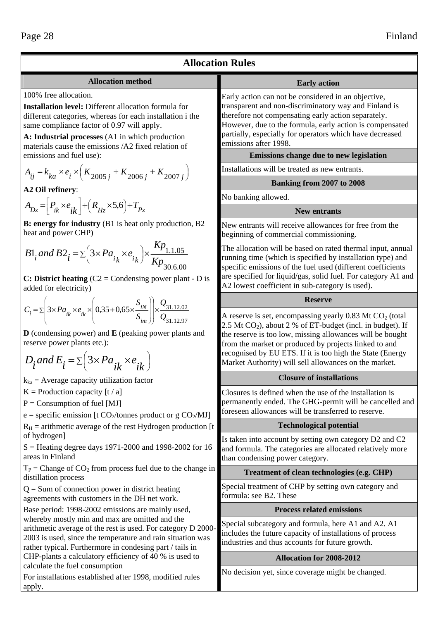$\mathsf{L}$ 

## **Allocation Rules**

| Aliocalion Kuies                                                                                                                                                                                                                                                                                                                              |                                                                                                                                                                                                                                                                                                                                                                                    |  |
|-----------------------------------------------------------------------------------------------------------------------------------------------------------------------------------------------------------------------------------------------------------------------------------------------------------------------------------------------|------------------------------------------------------------------------------------------------------------------------------------------------------------------------------------------------------------------------------------------------------------------------------------------------------------------------------------------------------------------------------------|--|
| <b>Allocation method</b>                                                                                                                                                                                                                                                                                                                      | <b>Early action</b>                                                                                                                                                                                                                                                                                                                                                                |  |
| 100% free allocation.<br><b>Installation level:</b> Different allocation formula for<br>different categories, whereas for each installation i the<br>same compliance factor of 0.97 will apply.<br>A: Industrial processes (A1 in which production<br>materials cause the emissions /A2 fixed relation of                                     | Early action can not be considered in an objective,<br>transparent and non-discriminatory way and Finland is<br>therefore not compensating early action separately.<br>However, due to the formula, early action is compensated<br>partially, especially for operators which have decreased<br>emissions after 1998.                                                               |  |
| emissions and fuel use):                                                                                                                                                                                                                                                                                                                      | Emissions change due to new legislation                                                                                                                                                                                                                                                                                                                                            |  |
| $A_{ij} = k_{ka} \times e_i \times (K_{2005 i} + K_{2006 i} + K_{2007 i})$                                                                                                                                                                                                                                                                    | Installations will be treated as new entrants.                                                                                                                                                                                                                                                                                                                                     |  |
|                                                                                                                                                                                                                                                                                                                                               | Banking from 2007 to 2008                                                                                                                                                                                                                                                                                                                                                          |  |
| A2 Oil refinery:                                                                                                                                                                                                                                                                                                                              | No banking allowed.                                                                                                                                                                                                                                                                                                                                                                |  |
| $A_{Dz} = P_{ik} \times e_{ik} + (R_{Hz} \times 5.6) + T_{Pz}$                                                                                                                                                                                                                                                                                | <b>New entrants</b>                                                                                                                                                                                                                                                                                                                                                                |  |
| B: energy for industry (B1 is heat only production, B2<br>heat and power CHP)                                                                                                                                                                                                                                                                 | New entrants will receive allowances for free from the<br>beginning of commercial commissioning.                                                                                                                                                                                                                                                                                   |  |
| $B1_i$ and $B2_i = \sum (3 \times Pa_{ik} \times e_{ik}) \times \frac{\kappa p_{1.1.05}}{K p_{2.0.6.00}}$<br><b>C:</b> District heating $(C2 = \text{Condensing power plant} - D \text{ is}$                                                                                                                                                  | The allocation will be based on rated thermal input, annual<br>running time (which is specified by installation type) and<br>specific emissions of the fuel used (different coefficients<br>are specified for liquid/gas, solid fuel. For category A1 and                                                                                                                          |  |
| added for electricity)                                                                                                                                                                                                                                                                                                                        | A2 lowest coefficient in sub-category is used).                                                                                                                                                                                                                                                                                                                                    |  |
|                                                                                                                                                                                                                                                                                                                                               | <b>Reserve</b>                                                                                                                                                                                                                                                                                                                                                                     |  |
| $C_i = \sum \left( 3 \times Pa_{ik} \times e_{ik} \times \left( 0.35 + 0.65 \times \frac{S_{iN}}{S_{im}} \right) \right) \times \frac{Q_{31.12.02}}{Q_{31.12.97}}$<br>$\bf{D}$ (condensing power) and $\bf{E}$ (peaking power plants and<br>reserve power plants etc.):<br>$D_i$ and $E_i = \sum \left(3 \times Pa_{ik} \times e_{ik}\right)$ | A reserve is set, encompassing yearly $0.83$ Mt $CO2$ (total<br>2.5 Mt CO <sub>2</sub> ), about 2 % of ET-budget (incl. in budget). If<br>the reserve is too low, missing allowances will be bought<br>from the market or produced by projects linked to and<br>recognised by EU ETS. If it is too high the State (Energy<br>Market Authority) will sell allowances on the market. |  |
| $k_{ka}$ = Average capacity utilization factor                                                                                                                                                                                                                                                                                                | <b>Closure of installations</b>                                                                                                                                                                                                                                                                                                                                                    |  |
| $K =$ Production capacity $[t / a]$<br>$P =$ Consumption of fuel [MJ]<br>$e =$ specific emission [t CO <sub>2</sub> /tonnes product or g CO <sub>2</sub> /MJ]                                                                                                                                                                                 | Closures is defined when the use of the installation is<br>permanently ended. The GHG-permit will be cancelled and<br>foreseen allowances will be transferred to reserve.                                                                                                                                                                                                          |  |
| $R_H$ = arithmetic average of the rest Hydrogen production [t                                                                                                                                                                                                                                                                                 | <b>Technological potential</b>                                                                                                                                                                                                                                                                                                                                                     |  |
| of hydrogen]<br>$S =$ Heating degree days 1971-2000 and 1998-2002 for 16<br>areas in Finland                                                                                                                                                                                                                                                  | Is taken into account by setting own category D2 and C2<br>and formula. The categories are allocated relatively more<br>than condensing power category.                                                                                                                                                                                                                            |  |
| $T_P$ = Change of CO <sub>2</sub> from process fuel due to the change in<br>distillation process                                                                                                                                                                                                                                              | Treatment of clean technologies (e.g. CHP)                                                                                                                                                                                                                                                                                                                                         |  |
| $Q = Sum$ of connection power in district heating<br>agreements with customers in the DH net work.                                                                                                                                                                                                                                            | Special treatment of CHP by setting own category and<br>formula: see B2. These                                                                                                                                                                                                                                                                                                     |  |
| Base period: 1998-2002 emissions are mainly used,                                                                                                                                                                                                                                                                                             | <b>Process related emissions</b>                                                                                                                                                                                                                                                                                                                                                   |  |
| whereby mostly min and max are omitted and the<br>arithmetic average of the rest is used. For category D 2000-<br>2003 is used, since the temperature and rain situation was<br>rather typical. Furthermore in condesing part / tails in                                                                                                      | Special subcategory and formula, here A1 and A2. A1<br>includes the future capacity of installations of process<br>industries and thus accounts for future growth.                                                                                                                                                                                                                 |  |
| CHP-plants a calculatory efficiency of 40 % is used to                                                                                                                                                                                                                                                                                        | Allocation for 2008-2012                                                                                                                                                                                                                                                                                                                                                           |  |
| calculate the fuel consumption<br>For installations established after 1998, modified rules<br>apply.                                                                                                                                                                                                                                          | No decision yet, since coverage might be changed.                                                                                                                                                                                                                                                                                                                                  |  |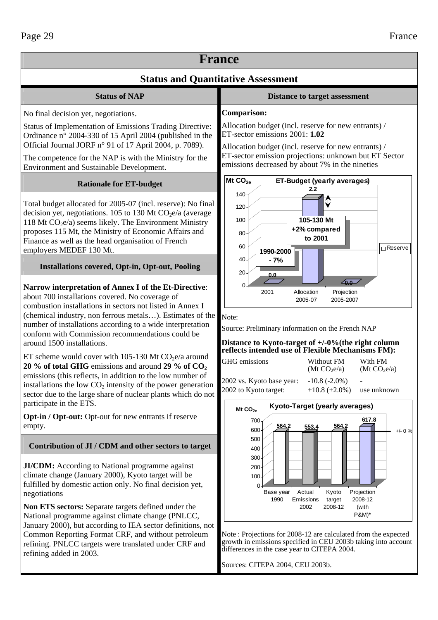## **France**

## **Status and Quantitative Assessment**

## **Status of NAP Distance to target assessment**

No final decision yet, negotiations.

Status of Implementation of Emissions Trading Directive: Ordinance n° 2004-330 of 15 April 2004 (published in the Official Journal JORF n° 91 of 17 April 2004, p. 7089).

The competence for the NAP is with the Ministry for the Environment and Sustainable Development.

## **Rationale for ET-budget**

Total budget allocated for 2005-07 (incl. reserve): No final decision yet, negotiations. 105 to 130 Mt  $CO<sub>2</sub>e/a$  (average 118 Mt  $CO<sub>2</sub>e/a$ ) seems likely. The Environment Ministry proposes 115 Mt, the Ministry of Economic Affairs and Finance as well as the head organisation of French employers MEDEF 130 Mt.

## **Installations covered, Opt-in, Opt-out, Pooling**

## **Narrow interpretation of Annex I of the Et-Directive**:

about 700 installations covered. No coverage of combustion installations in sectors not listed in Annex I (chemical industry, non ferrous metals…). Estimates of the number of installations according to a wide interpretation conform with Commission recommendations could be around 1500 installations.

ET scheme would cover with  $105-130$  Mt CO<sub>2</sub>e/a around **20 % of total GHG** emissions and around **29 % of CO**<sub>2</sub> emissions (this reflects, in addition to the low number of installations the low  $CO<sub>2</sub>$  intensity of the power generation sector due to the large share of nuclear plants which do not participate in the ETS.

**Opt-in / Opt-out:** Opt-out for new entrants if reserve empty.

## **Contribution of JI / CDM and other sectors to target**

**JI/CDM:** According to National programme against climate change (January 2000), Kyoto target will be fulfilled by domestic action only. No final decision yet, negotiations

**Non ETS sectors:** Separate targets defined under the National programme against climate change (PNLCC, January 2000), but according to IEA sector definitions, not Common Reporting Format CRF, and without petroleum refining. PNLCC targets were translated under CRF and refining added in 2003.

## **Comparison:**

Allocation budget (incl. reserve for new entrants) / ET-sector emissions 2001: **1.02** 

Allocation budget (incl. reserve for new entrants) / ET-sector emission projections: unknown but ET Sector emissions decreased by about 7% in the nineties



Note:

Source: Preliminary information on the French NAP

**Distance to Kyoto-target of +/-0%(the right column reflects intended use of Flexible Mechanisms FM):** 

| <b>GHG</b> emissions      | Without FM<br>(Mt CO <sub>2</sub> e/a)                                                                   | With FM<br>(Mt $CO2e/a$ ) |
|---------------------------|----------------------------------------------------------------------------------------------------------|---------------------------|
| 2002 vs. Kyoto base year: | $-10.8(-2.0\%)$                                                                                          | $\sim$                    |
| $0.000$ $Y$               | $\overline{a}$ $\overline{a}$ $\overline{a}$ $\overline{a}$ $\overline{a}$ $\overline{a}$ $\overline{a}$ |                           |



Note : Projections for 2008-12 are calculated from the expected growth in emissions specified in CEU 2003b taking into account differences in the case year to CITEPA 2004.

Sources: CITEPA 2004, CEU 2003b.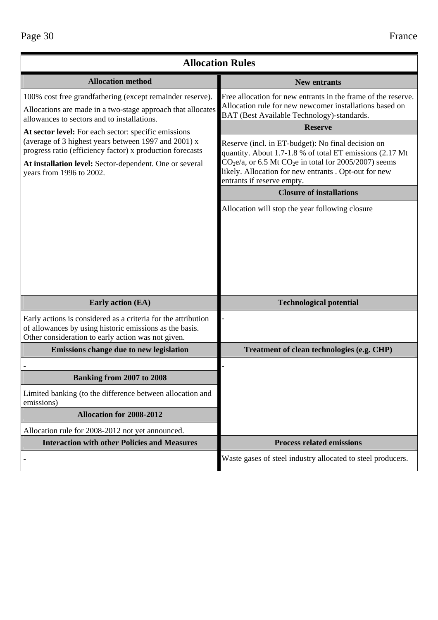| <b>Allocation Rules</b>                                                                                                                                                                                  |                                                                                                                                                                                                                                                                     |  |
|----------------------------------------------------------------------------------------------------------------------------------------------------------------------------------------------------------|---------------------------------------------------------------------------------------------------------------------------------------------------------------------------------------------------------------------------------------------------------------------|--|
| <b>Allocation method</b>                                                                                                                                                                                 | <b>New entrants</b>                                                                                                                                                                                                                                                 |  |
| 100% cost free grandfathering (except remainder reserve).<br>Allocations are made in a two-stage approach that allocates<br>allowances to sectors and to installations.                                  | Free allocation for new entrants in the frame of the reserve.<br>Allocation rule for new newcomer installations based on<br>BAT (Best Available Technology)-standards.                                                                                              |  |
| At sector level: For each sector: specific emissions                                                                                                                                                     | <b>Reserve</b>                                                                                                                                                                                                                                                      |  |
| (average of 3 highest years between 1997 and 2001) x<br>progress ratio (efficiency factor) x production forecasts<br>At installation level: Sector-dependent. One or several<br>years from 1996 to 2002. | Reserve (incl. in ET-budget): No final decision on<br>quantity. About 1.7-1.8 % of total ET emissions (2.17 Mt)<br>$CO2e/a$ , or 6.5 Mt $CO2e$ in total for 2005/2007) seems<br>likely. Allocation for new entrants . Opt-out for new<br>entrants if reserve empty. |  |
|                                                                                                                                                                                                          | <b>Closure of installations</b>                                                                                                                                                                                                                                     |  |
|                                                                                                                                                                                                          | Allocation will stop the year following closure                                                                                                                                                                                                                     |  |
| <b>Early action (EA)</b>                                                                                                                                                                                 | <b>Technological potential</b>                                                                                                                                                                                                                                      |  |
| Early actions is considered as a criteria for the attribution<br>of allowances by using historic emissions as the basis.<br>Other consideration to early action was not given.                           |                                                                                                                                                                                                                                                                     |  |
| <b>Emissions change due to new legislation</b>                                                                                                                                                           | Treatment of clean technologies (e.g. CHP)                                                                                                                                                                                                                          |  |
|                                                                                                                                                                                                          |                                                                                                                                                                                                                                                                     |  |
| Banking from 2007 to 2008                                                                                                                                                                                |                                                                                                                                                                                                                                                                     |  |
| Limited banking (to the difference between allocation and<br>emissions)                                                                                                                                  |                                                                                                                                                                                                                                                                     |  |
| <b>Allocation for 2008-2012</b>                                                                                                                                                                          |                                                                                                                                                                                                                                                                     |  |
| Allocation rule for 2008-2012 not yet announced.                                                                                                                                                         |                                                                                                                                                                                                                                                                     |  |
| <b>Interaction with other Policies and Measures</b>                                                                                                                                                      | <b>Process related emissions</b>                                                                                                                                                                                                                                    |  |
|                                                                                                                                                                                                          | Waste gases of steel industry allocated to steel producers.                                                                                                                                                                                                         |  |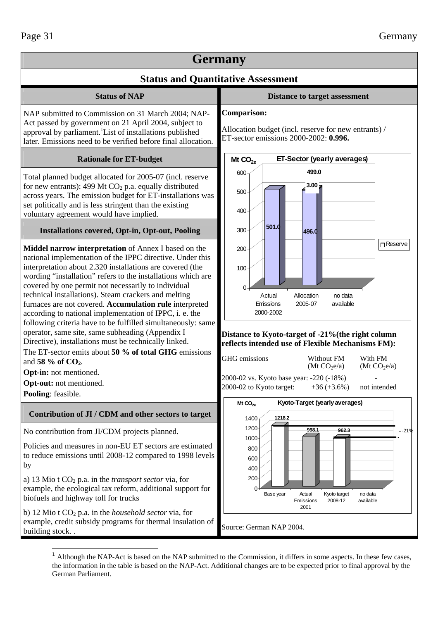| <b>Germany</b>                                                                                                                                                                                                                                                                                                                                                                                                                                                                      |                                                                                                                                                                                 |  |
|-------------------------------------------------------------------------------------------------------------------------------------------------------------------------------------------------------------------------------------------------------------------------------------------------------------------------------------------------------------------------------------------------------------------------------------------------------------------------------------|---------------------------------------------------------------------------------------------------------------------------------------------------------------------------------|--|
| <b>Status and Quantitative Assessment</b>                                                                                                                                                                                                                                                                                                                                                                                                                                           |                                                                                                                                                                                 |  |
| <b>Status of NAP</b>                                                                                                                                                                                                                                                                                                                                                                                                                                                                | <b>Distance to target assessment</b>                                                                                                                                            |  |
| NAP submitted to Commission on 31 March 2004; NAP-<br>Act passed by government on 21 April 2004, subject to<br>approval by parliament. <sup>1</sup> List of installations published<br>later. Emissions need to be verified before final allocation.                                                                                                                                                                                                                                | <b>Comparison:</b><br>Allocation budget (incl. reserve for new entrants) /<br>ET-sector emissions 2000-2002: 0.996.                                                             |  |
| <b>Rationale for ET-budget</b>                                                                                                                                                                                                                                                                                                                                                                                                                                                      | ET-Sector (yearly averages)<br>Mt $CO2e$                                                                                                                                        |  |
| Total planned budget allocated for 2005-07 (incl. reserve<br>for new entrants): 499 Mt $CO2$ p.a. equally distributed<br>across years. The emission budget for ET-installations was<br>set politically and is less stringent than the existing<br>voluntary agreement would have implied.                                                                                                                                                                                           | 499.0<br>600<br>3.00 <sub>1</sub><br>500<br>400                                                                                                                                 |  |
| <b>Installations covered, Opt-in, Opt-out, Pooling</b>                                                                                                                                                                                                                                                                                                                                                                                                                              | 501.0<br>300<br>496.0                                                                                                                                                           |  |
| Middel narrow interpretation of Annex I based on the<br>national implementation of the IPPC directive. Under this<br>interpretation about 2.320 installations are covered (the<br>wording "installation" refers to the installations which are<br>covered by one permit not necessarily to individual<br>technical installations). Steam crackers and melting<br>furnaces are not covered. Accumulation rule interpreted<br>according to national implementation of IPPC, i. e. the | $\Box$ Reserve<br>200<br>100<br>0<br>Actual<br>Allocation<br>no data<br>available<br><b>Emissions</b><br>2005-07<br>2000-2002                                                   |  |
| following criteria have to be fulfilled simultaneously: same<br>operator, same site, same subheading (Appendix I<br>Directive), installations must be technically linked.                                                                                                                                                                                                                                                                                                           | Distance to Kyoto-target of -21% (the right column<br>reflects intended use of Flexible Mechanisms FM):                                                                         |  |
| The ET-sector emits about 50 % of total GHG emissions<br>and 58 % of $CO2$ .                                                                                                                                                                                                                                                                                                                                                                                                        | <b>GHG</b> emissions<br>Without FM<br>With FM<br>(Mt $CO2e/a$ )<br>(Mt $CO2e/a$ )                                                                                               |  |
| Opt-in: not mentioned.<br>Opt-out: not mentioned.<br>Pooling: feasible.                                                                                                                                                                                                                                                                                                                                                                                                             | 2000-02 vs. Kyoto base year: -220 (-18%)<br>2000-02 to Kyoto target:<br>$+36 (+3.6%)$<br>not intended                                                                           |  |
| Contribution of JI / CDM and other sectors to target                                                                                                                                                                                                                                                                                                                                                                                                                                | Kyoto-Target (yearly averages)<br>Mt $CO2e$<br>1218.2                                                                                                                           |  |
| No contribution from JI/CDM projects planned.<br>Policies and measures in non-EU ET sectors are estimated<br>to reduce emissions until 2008-12 compared to 1998 levels<br>by<br>a) 13 Mio t $CO2$ p.a. in the <i>transport sector</i> via, for<br>example, the ecological tax reform, additional support for<br>biofuels and highway toll for trucks<br>b) 12 Mio t $CO2$ p.a. in the <i>household sector</i> via, for                                                              | 1400<br>1200<br>998.1<br>962.3<br>-21%⊧<br>1000<br>800<br>600<br>400<br>200<br>0<br>Actual<br>Kyoto target<br>no data<br>Base year<br>2008-12<br>available<br>Emissions<br>2001 |  |
| example, credit subsidy programs for thermal insulation of<br>building stock                                                                                                                                                                                                                                                                                                                                                                                                        | Source: German NAP 2004.                                                                                                                                                        |  |

 $<sup>1</sup>$  Although the NAP-Act is based on the NAP submitted to the Commission, it differs in some aspects. In these few cases,</sup> the information in the table is based on the NAP-Act. Additional changes are to be expected prior to final approval by the German Parliament.

1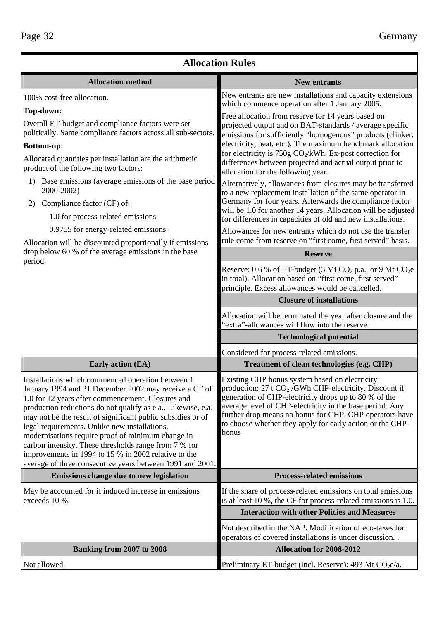#### **Allocation Rules Allocation method New entrants** New entrants are new installations and capacity extensions which commence operation after 1 January 2005. Free allocation from reserve for 14 years based on projected output and on BAT-standards / average specific emissions for sufficiently "homogenous" products (clinker, electricity, heat, etc.). The maximum benchmark allocation for electricity is  $750g \text{ CO}_2/kWh$ . Ex-post correction for differences between projected and actual output prior to allocation for the following year. Alternatively, allowances from closures may be transferred to a new replacement installation of the same operator in Germany for four years. Afterwards the compliance factor will be 1.0 for another 14 years. Allocation will be adjusted for differences in capacities of old and new installations. Allowances for new entrants which do not use the transfer rule come from reserve on "first come, first served" basis. **Reserve**  Reserve: 0.6 % of ET-budget (3 Mt CO<sub>2</sub> p.a., or 9 Mt CO<sub>2</sub>e in total). Allocation based on "first come, first served" principle. Excess allowances would be cancelled. **Closure of installations**  Allocation will be terminated the year after closure and the "extra"-allowances will flow into the reserve. **Technological potential**  100% cost-free allocation. **Top-down:**  Overall ET-budget and compliance factors were set politically. Same compliance factors across all sub-sectors. **Bottom-up:**  Allocated quantities per installation are the arithmetic product of the following two factors: 1) Base emissions (average emissions of the base period 2000-2002) 2) Compliance factor (CF) of: 1.0 for process-related emissions 0.9755 for energy-related emissions. Allocation will be discounted proportionally if emissions drop below 60 % of the average emissions in the base period. Considered for process-related emissions. **Early action (EA) Treatment of clean technologies (e.g. CHP)** Installations which commenced operation between 1 January 1994 and 31 December 2002 may receive a CF of 1.0 for 12 years after commencement. Closures and production reductions do not qualify as e.a.. Likewise, e.a. may not be the result of significant public subsidies or of legal requirements. Unlike new installations, modernisations require proof of minimum change in carbon intensity. These thresholds range from 7 % for improvements in 1994 to 15 % in 2002 relative to the average of three consecutive years between 1991 and 2001. Existing CHP bonus system based on electricity production: 27 t  $CO<sub>2</sub>$  /GWh CHP-electricity. Discount if generation of CHP-electricity drops up to 80 % of the average level of CHP-electricity in the base period. Any further drop means no bonus for CHP. CHP operators have to choose whether they apply for early action or the CHPbonus **Emissions change due to new legislation**  $\parallel$  **Process-related emissions** If the share of process-related emissions on total emissions is at least 10 %, the CF for process-related emissions is 1.0. **Interaction with other Policies and Measures**  May be accounted for if induced increase in emissions exceeds 10 %. Not described in the NAP. Modification of eco-taxes for operators of covered installations is under discussion. . **Banking from 2007 to 2008 Allocation for 2008-2012**  Not allowed. **Preliminary ET-budget (incl. Reserve): 493 Mt CO<sub>2</sub>e/a.**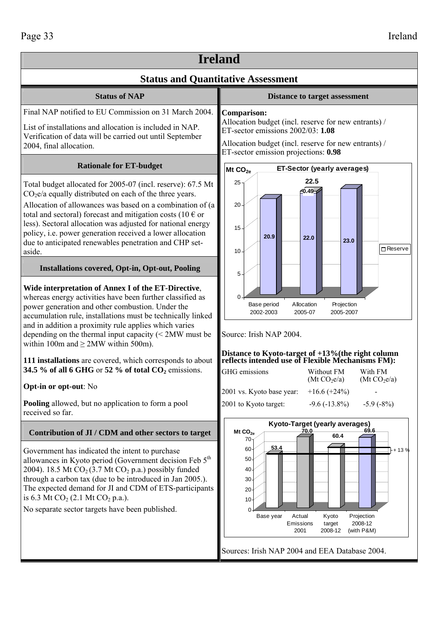# **Ireland**

## **Status and Quantitative Assessment**

Final NAP notified to EU Commission on 31 March 2004. List of installations and allocation is included in NAP. Verification of data will be carried out until September

2004, final allocation.

## **Rationale for ET-budget**

Total budget allocated for 2005-07 (incl. reserve): 67.5 Mt  $CO<sub>2</sub>e/a$  equally distributed on each of the three years.

Allocation of allowances was based on a combination of (a total and sectoral) forecast and mitigation costs (10  $\epsilon$  or less). Sectoral allocation was adjusted for national energy policy, i.e. power generation received a lower allocation due to anticipated renewables penetration and CHP setaside.

**Installations covered, Opt-in, Opt-out, Pooling** 

**Wide interpretation of Annex I of the ET-Directive**, whereas energy activities have been further classified as power generation and other combustion. Under the accumulation rule, installations must be technically linked and in addition a proximity rule applies which varies depending on the thermal input capacity (< 2MW must be within 100m and  $\geq$  2MW within 500m).

**111 installations** are covered, which corresponds to about **34.5** % of all 6 GHG or  $52$  % of total  $CO<sub>2</sub>$  emissions.

## **Opt-in or opt-out**: No

**Pooling** allowed, but no application to form a pool received so far.

## **Contribution of JI / CDM and other sectors to target**

Government has indicated the intent to purchase allowances in Kyoto period (Government decision Feb 5<sup>th</sup> 2004). 18.5 Mt  $CO<sub>2</sub>(3.7 Mt CO<sub>2</sub> p.a.)$  possibly funded through a carbon tax (due to be introduced in Jan 2005.). The expected demand for JI and CDM of ETS-participants is  $6.3$  Mt CO<sub>2</sub> (2.1 Mt CO<sub>2</sub> p.a.).

No separate sector targets have been published.

## **Status of NAP Distance to target assessment**

## **Comparison:**

Allocation budget (incl. reserve for new entrants) / ET-sector emissions 2002/03: **1.08** 

Allocation budget (incl. reserve for new entrants) / ET-sector emission projections: **0.98** 



## Source: Irish NAP 2004.

## **Distance to Kyoto-target of +13%(the right column reflects intended use of Flexible Mechanisms FM):**

| GHG emissions             | Without FM<br>(Mt CO <sub>2</sub> e/a) | With FM<br>(Mt CO <sub>2</sub> e/a) |
|---------------------------|----------------------------------------|-------------------------------------|
| 2001 vs. Kyoto base year: | $+16.6 (+24%)$                         | -                                   |
| 2001 to Kyoto target:     | $-9.6(-13.8\%)$                        | $-5.9(-8%)$                         |



Sources: Irish NAP 2004 and EEA Database 2004.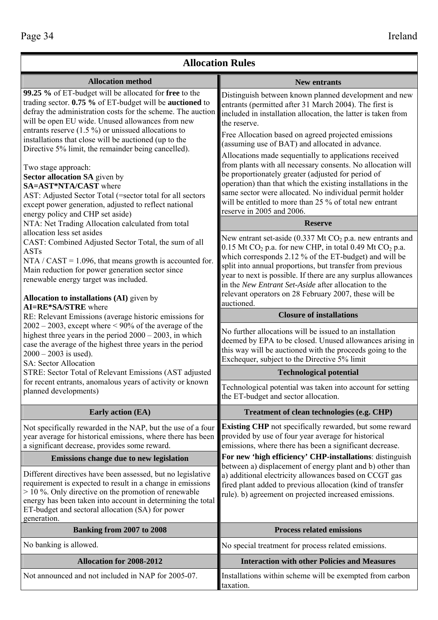| <b>Allocation Rules</b>                                                                                                                                                                                                                                                                                                                                                                                                                                                                                                                                                                                                                                   |                                                                                                                                                                                                                                                                                                                                                                                                                                                                                                                                                                                                                                                                                                              |  |
|-----------------------------------------------------------------------------------------------------------------------------------------------------------------------------------------------------------------------------------------------------------------------------------------------------------------------------------------------------------------------------------------------------------------------------------------------------------------------------------------------------------------------------------------------------------------------------------------------------------------------------------------------------------|--------------------------------------------------------------------------------------------------------------------------------------------------------------------------------------------------------------------------------------------------------------------------------------------------------------------------------------------------------------------------------------------------------------------------------------------------------------------------------------------------------------------------------------------------------------------------------------------------------------------------------------------------------------------------------------------------------------|--|
| <b>Allocation method</b>                                                                                                                                                                                                                                                                                                                                                                                                                                                                                                                                                                                                                                  | <b>New entrants</b>                                                                                                                                                                                                                                                                                                                                                                                                                                                                                                                                                                                                                                                                                          |  |
| 99.25 % of ET-budget will be allocated for free to the<br>trading sector. 0.75 % of ET-budget will be auctioned to<br>defray the administration costs for the scheme. The auction<br>will be open EU wide. Unused allowances from new<br>entrants reserve $(1.5\%)$ or unissued allocations to<br>installations that close will be auctioned (up to the<br>Directive 5% limit, the remainder being cancelled).<br>Two stage approach:<br>Sector allocation SA given by<br>SA=AST*NTA/CAST where<br>AST: Adjusted Sector Total (=sector total for all sectors<br>except power generation, adjusted to reflect national<br>energy policy and CHP set aside) | Distinguish between known planned development and new<br>entrants (permitted after 31 March 2004). The first is<br>included in installation allocation, the latter is taken from<br>the reserve.<br>Free Allocation based on agreed projected emissions<br>(assuming use of BAT) and allocated in advance.<br>Allocations made sequentially to applications received<br>from plants with all necessary consents. No allocation will<br>be proportionately greater (adjusted for period of<br>operation) than that which the existing installations in the<br>same sector were allocated. No individual permit holder<br>will be entitled to more than 25 % of total new entrant<br>reserve in 2005 and 2006. |  |
| NTA: Net Trading Allocation calculated from total                                                                                                                                                                                                                                                                                                                                                                                                                                                                                                                                                                                                         | <b>Reserve</b>                                                                                                                                                                                                                                                                                                                                                                                                                                                                                                                                                                                                                                                                                               |  |
| allocation less set asides<br>CAST: Combined Adjusted Sector Total, the sum of all<br>ASTs<br>NTA / $CAST = 1.096$ , that means growth is accounted for.<br>Main reduction for power generation sector since<br>renewable energy target was included.<br>Allocation to installations (AI) given by<br>AI=RE*SA/STRE where                                                                                                                                                                                                                                                                                                                                 | New entrant set-aside $(0.337 \text{ Mt } CO2 \text{ p.a.}$ new entrants and<br>$0.15$ Mt CO <sub>2</sub> p.a. for new CHP, in total 0.49 Mt CO <sub>2</sub> p.a.<br>which corresponds 2.12 % of the ET-budget) and will be<br>split into annual proportions, but transfer from previous<br>year to next is possible. If there are any surplus allowances<br>in the New Entrant Set-Aside after allocation to the<br>relevant operators on 28 February 2007, these will be<br>auctioned.                                                                                                                                                                                                                     |  |
| RE: Relevant Emissions (average historic emissions for                                                                                                                                                                                                                                                                                                                                                                                                                                                                                                                                                                                                    | <b>Closure of installations</b>                                                                                                                                                                                                                                                                                                                                                                                                                                                                                                                                                                                                                                                                              |  |
| $2002 - 2003$ , except where < 90% of the average of the<br>highest three years in the period $2000 - 2003$ , in which<br>case the average of the highest three years in the period<br>$2000 - 2003$ is used).<br>SA: Sector Allocation                                                                                                                                                                                                                                                                                                                                                                                                                   | No further allocations will be issued to an installation<br>deemed by EPA to be closed. Unused allowances arising in<br>this way will be auctioned with the proceeds going to the<br>Exchequer, subject to the Directive 5% limit                                                                                                                                                                                                                                                                                                                                                                                                                                                                            |  |
| STRE: Sector Total of Relevant Emissions (AST adjusted                                                                                                                                                                                                                                                                                                                                                                                                                                                                                                                                                                                                    | <b>Technological potential</b>                                                                                                                                                                                                                                                                                                                                                                                                                                                                                                                                                                                                                                                                               |  |
| for recent entrants, anomalous years of activity or known<br>planned developments)                                                                                                                                                                                                                                                                                                                                                                                                                                                                                                                                                                        | Technological potential was taken into account for setting<br>the ET-budget and sector allocation.                                                                                                                                                                                                                                                                                                                                                                                                                                                                                                                                                                                                           |  |
| <b>Early action (EA)</b>                                                                                                                                                                                                                                                                                                                                                                                                                                                                                                                                                                                                                                  | Treatment of clean technologies (e.g. CHP)                                                                                                                                                                                                                                                                                                                                                                                                                                                                                                                                                                                                                                                                   |  |
| Not specifically rewarded in the NAP, but the use of a four<br>year average for historical emissions, where there has been<br>a significant decrease, provides some reward.                                                                                                                                                                                                                                                                                                                                                                                                                                                                               | <b>Existing CHP</b> not specifically rewarded, but some reward<br>provided by use of four year average for historical<br>emissions, where there has been a significant decrease.                                                                                                                                                                                                                                                                                                                                                                                                                                                                                                                             |  |
| Emissions change due to new legislation                                                                                                                                                                                                                                                                                                                                                                                                                                                                                                                                                                                                                   | For new 'high efficiency' CHP-installations: distinguish<br>between a) displacement of energy plant and b) other than                                                                                                                                                                                                                                                                                                                                                                                                                                                                                                                                                                                        |  |
| Different directives have been assessed, but no legislative<br>requirement is expected to result in a change in emissions<br>$> 10$ %. Only directive on the promotion of renewable<br>energy has been taken into account in determining the total<br>ET-budget and sectoral allocation (SA) for power<br>generation.                                                                                                                                                                                                                                                                                                                                     | a) additional electricity allowances based on CCGT gas<br>fired plant added to previous allocation (kind of transfer<br>rule). b) agreement on projected increased emissions.                                                                                                                                                                                                                                                                                                                                                                                                                                                                                                                                |  |
| Banking from 2007 to 2008                                                                                                                                                                                                                                                                                                                                                                                                                                                                                                                                                                                                                                 | <b>Process related emissions</b>                                                                                                                                                                                                                                                                                                                                                                                                                                                                                                                                                                                                                                                                             |  |
| No banking is allowed.                                                                                                                                                                                                                                                                                                                                                                                                                                                                                                                                                                                                                                    | No special treatment for process related emissions.                                                                                                                                                                                                                                                                                                                                                                                                                                                                                                                                                                                                                                                          |  |
| Allocation for 2008-2012                                                                                                                                                                                                                                                                                                                                                                                                                                                                                                                                                                                                                                  | <b>Interaction with other Policies and Measures</b>                                                                                                                                                                                                                                                                                                                                                                                                                                                                                                                                                                                                                                                          |  |
| Not announced and not included in NAP for 2005-07.                                                                                                                                                                                                                                                                                                                                                                                                                                                                                                                                                                                                        | Installations within scheme will be exempted from carbon<br>taxation.                                                                                                                                                                                                                                                                                                                                                                                                                                                                                                                                                                                                                                        |  |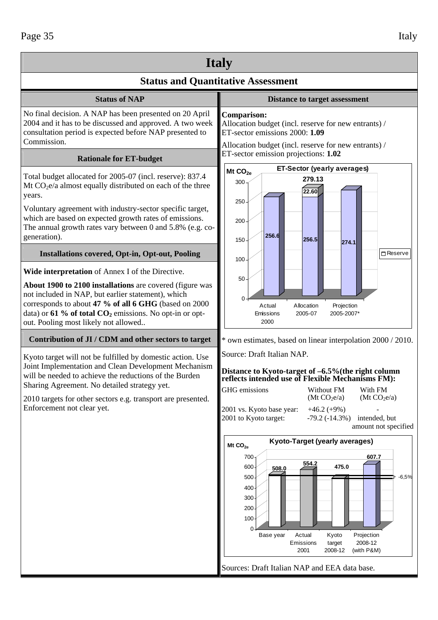|                                                                                                                                                                                                                                                                                                                                        | <b>Italy</b>                                                                                                                                                                                                                                                                                                                                           |
|----------------------------------------------------------------------------------------------------------------------------------------------------------------------------------------------------------------------------------------------------------------------------------------------------------------------------------------|--------------------------------------------------------------------------------------------------------------------------------------------------------------------------------------------------------------------------------------------------------------------------------------------------------------------------------------------------------|
|                                                                                                                                                                                                                                                                                                                                        | <b>Status and Quantitative Assessment</b>                                                                                                                                                                                                                                                                                                              |
| <b>Status of NAP</b>                                                                                                                                                                                                                                                                                                                   | <b>Distance to target assessment</b>                                                                                                                                                                                                                                                                                                                   |
| No final decision. A NAP has been presented on 20 April<br>2004 and it has to be discussed and approved. A two week<br>consultation period is expected before NAP presented to<br>Commission.<br><b>Rationale for ET-budget</b>                                                                                                        | <b>Comparison:</b><br>Allocation budget (incl. reserve for new entrants) /<br>ET-sector emissions 2000: 1.09<br>Allocation budget (incl. reserve for new entrants) /<br>ET-sector emission projections: 1.02<br><b>ET-Sector (yearly averages)</b>                                                                                                     |
| Total budget allocated for 2005-07 (incl. reserve): 837.4<br>Mt $CO2e/a$ almost equally distributed on each of the three<br>years.<br>Voluntary agreement with industry-sector specific target,<br>which are based on expected growth rates of emissions.<br>The annual growth rates vary between 0 and 5.8% (e.g. co-<br>generation). | Mt $CO2e$<br>279.13<br>300<br>22.60<br>250<br>200<br>256.6<br>256.5<br>150<br>274.1                                                                                                                                                                                                                                                                    |
| <b>Installations covered, Opt-in, Opt-out, Pooling</b>                                                                                                                                                                                                                                                                                 | $\Box$ Reserve<br>100                                                                                                                                                                                                                                                                                                                                  |
| Wide interpretation of Annex I of the Directive.<br>About 1900 to 2100 installations are covered (figure was<br>not included in NAP, but earlier statement), which<br>corresponds to about 47 % of all 6 GHG (based on 2000<br>data) or 61 % of total $CO2$ emissions. No opt-in or opt-<br>out. Pooling most likely not allowed       | 50<br>$\Omega$<br>Allocation<br>Projection<br>Actual<br>Emissions<br>2005-2007*<br>2005-07<br>2000                                                                                                                                                                                                                                                     |
| Contribution of JI / CDM and other sectors to target                                                                                                                                                                                                                                                                                   | * own estimates, based on linear interpolation 2000 / 2010.                                                                                                                                                                                                                                                                                            |
| Kyoto target will not be fulfilled by domestic action. Use<br>Joint Implementation and Clean Development Mechanism<br>will be needed to achieve the reductions of the Burden<br>Sharing Agreement. No detailed strategy yet.<br>2010 targets for other sectors e.g. transport are presented.<br>Enforcement not clear yet.             | Source: Draft Italian NAP.<br>Distance to Kyoto-target of -6.5% (the right column<br>reflects intended use of Flexible Mechanisms FM):<br>GHG emissions<br>With FM<br>Without FM<br>(Mt $CO2e/a$ )<br>(Mt $CO2e/a$ )<br>2001 vs. Kyoto base year:<br>$+46.2(+9%)$<br>2001 to Kyoto target:<br>$-79.2(-14.3%)$<br>intended, but<br>amount not specified |
|                                                                                                                                                                                                                                                                                                                                        | Kyoto-Target (yearly averages)<br>Mt $CO2e$                                                                                                                                                                                                                                                                                                            |
|                                                                                                                                                                                                                                                                                                                                        | 700<br>607.7<br>554.2<br>475.0<br>600<br>508.0<br>500<br>$-6.5%$<br>400<br>300<br>200<br>100<br>Base year<br>Kyoto<br>Projection<br>Actual<br>2008-12<br>Emissions<br>target<br>2001<br>(with P&M)<br>2008-12<br>Sources: Draft Italian NAP and EEA data base.                                                                                         |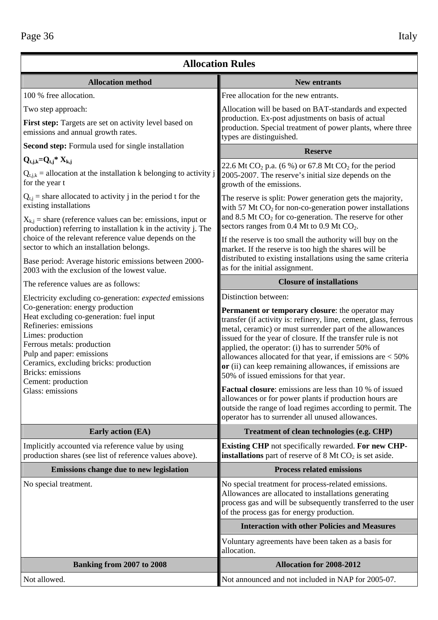| <b>Allocation Rules</b>                                                                                                                                                                                                                |                                                                                                                                                                                                                                                                                                                                                                                                                        |
|----------------------------------------------------------------------------------------------------------------------------------------------------------------------------------------------------------------------------------------|------------------------------------------------------------------------------------------------------------------------------------------------------------------------------------------------------------------------------------------------------------------------------------------------------------------------------------------------------------------------------------------------------------------------|
| <b>Allocation method</b>                                                                                                                                                                                                               | <b>New entrants</b>                                                                                                                                                                                                                                                                                                                                                                                                    |
| 100 % free allocation.                                                                                                                                                                                                                 | Free allocation for the new entrants.                                                                                                                                                                                                                                                                                                                                                                                  |
| Two step approach:<br>First step: Targets are set on activity level based on<br>emissions and annual growth rates.                                                                                                                     | Allocation will be based on BAT-standards and expected<br>production. Ex-post adjustments on basis of actual<br>production. Special treatment of power plants, where three<br>types are distinguished.                                                                                                                                                                                                                 |
| <b>Second step:</b> Formula used for single installation                                                                                                                                                                               | <b>Reserve</b>                                                                                                                                                                                                                                                                                                                                                                                                         |
| $Q_{t,i,k} = Q_{t,i} * X_{k,i}$                                                                                                                                                                                                        | 22.6 Mt CO <sub>2</sub> p.a. (6 %) or 67.8 Mt CO <sub>2</sub> for the period                                                                                                                                                                                                                                                                                                                                           |
| $Q_{t,i,k}$ = allocation at the installation k belonging to activity j<br>for the year t                                                                                                                                               | 2005-2007. The reserve's initial size depends on the<br>growth of the emissions.                                                                                                                                                                                                                                                                                                                                       |
| $Q_{t,j}$ = share allocated to activity j in the period t for the<br>existing installations                                                                                                                                            | The reserve is split: Power generation gets the majority,<br>with 57 Mt $CO2$ for non-co-generation power installations<br>and 8.5 Mt $CO2$ for co-generation. The reserve for other                                                                                                                                                                                                                                   |
| $X_{k,j}$ = share (reference values can be: emissions, input or<br>production) referring to installation k in the activity j. The<br>choice of the relevant reference value depends on the                                             | sectors ranges from $0.4$ Mt to $0.9$ Mt CO <sub>2</sub> .<br>If the reserve is too small the authority will buy on the                                                                                                                                                                                                                                                                                                |
| sector to which an installation belongs.                                                                                                                                                                                               | market. If the reserve is too high the shares will be                                                                                                                                                                                                                                                                                                                                                                  |
| Base period: Average historic emissions between 2000-<br>2003 with the exclusion of the lowest value.                                                                                                                                  | distributed to existing installations using the same criteria<br>as for the initial assignment.                                                                                                                                                                                                                                                                                                                        |
| The reference values are as follows:                                                                                                                                                                                                   | <b>Closure of installations</b>                                                                                                                                                                                                                                                                                                                                                                                        |
| Electricity excluding co-generation: <i>expected</i> emissions<br>Co-generation: energy production                                                                                                                                     | Distinction between:<br>Permanent or temporary closure: the operator may                                                                                                                                                                                                                                                                                                                                               |
| Heat excluding co-generation: fuel input<br>Refineries: emissions<br>Limes: production<br>Ferrous metals: production<br>Pulp and paper: emissions<br>Ceramics, excluding bricks: production<br>Bricks: emissions<br>Cement: production | transfer (if activity is: refinery, lime, cement, glass, ferrous<br>metal, ceramic) or must surrender part of the allowances<br>issued for the year of closure. If the transfer rule is not<br>applied, the operator: (i) has to surrender 50% of<br>allowances allocated for that year, if emissions are $<$ 50%<br>or (ii) can keep remaining allowances, if emissions are<br>50% of issued emissions for that year. |
| Glass: emissions                                                                                                                                                                                                                       | Factual closure: emissions are less than 10 % of issued<br>allowances or for power plants if production hours are<br>outside the range of load regimes according to permit. The<br>operator has to surrender all unused allowances.                                                                                                                                                                                    |
| Early action (EA)                                                                                                                                                                                                                      | Treatment of clean technologies (e.g. CHP)                                                                                                                                                                                                                                                                                                                                                                             |
| Implicitly accounted via reference value by using<br>production shares (see list of reference values above).                                                                                                                           | Existing CHP not specifically rewarded. For new CHP-<br><b>installations</b> part of reserve of 8 Mt $CO2$ is set aside.                                                                                                                                                                                                                                                                                               |
| Emissions change due to new legislation                                                                                                                                                                                                | <b>Process related emissions</b>                                                                                                                                                                                                                                                                                                                                                                                       |
| No special treatment.                                                                                                                                                                                                                  | No special treatment for process-related emissions.<br>Allowances are allocated to installations generating<br>process gas and will be subsequently transferred to the user<br>of the process gas for energy production.                                                                                                                                                                                               |
|                                                                                                                                                                                                                                        | <b>Interaction with other Policies and Measures</b>                                                                                                                                                                                                                                                                                                                                                                    |
|                                                                                                                                                                                                                                        | Voluntary agreements have been taken as a basis for<br>allocation.                                                                                                                                                                                                                                                                                                                                                     |
| Banking from 2007 to 2008                                                                                                                                                                                                              | <b>Allocation for 2008-2012</b>                                                                                                                                                                                                                                                                                                                                                                                        |
| Not allowed.                                                                                                                                                                                                                           | Not announced and not included in NAP for 2005-07.                                                                                                                                                                                                                                                                                                                                                                     |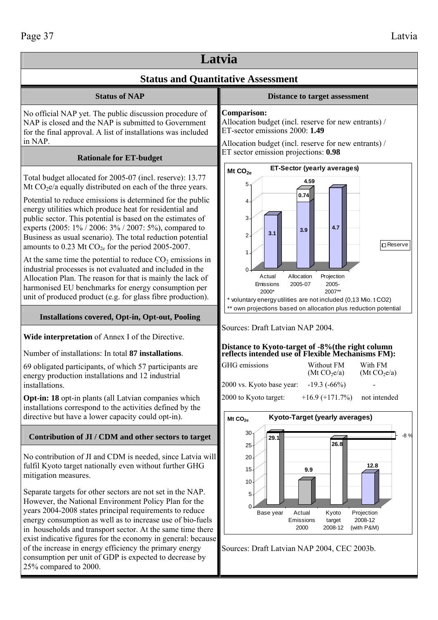| Latvia                                                                                                                                                                                                                                                                                                                                                                                                                                                                                                                                                                                                                                                                                                                                                                                                                                                                              |                                                                                                                                                                                                                                                                                                                                                                                                |
|-------------------------------------------------------------------------------------------------------------------------------------------------------------------------------------------------------------------------------------------------------------------------------------------------------------------------------------------------------------------------------------------------------------------------------------------------------------------------------------------------------------------------------------------------------------------------------------------------------------------------------------------------------------------------------------------------------------------------------------------------------------------------------------------------------------------------------------------------------------------------------------|------------------------------------------------------------------------------------------------------------------------------------------------------------------------------------------------------------------------------------------------------------------------------------------------------------------------------------------------------------------------------------------------|
| <b>Status and Quantitative Assessment</b>                                                                                                                                                                                                                                                                                                                                                                                                                                                                                                                                                                                                                                                                                                                                                                                                                                           |                                                                                                                                                                                                                                                                                                                                                                                                |
| <b>Status of NAP</b>                                                                                                                                                                                                                                                                                                                                                                                                                                                                                                                                                                                                                                                                                                                                                                                                                                                                | <b>Distance to target assessment</b>                                                                                                                                                                                                                                                                                                                                                           |
| No official NAP yet. The public discussion procedure of<br>NAP is closed and the NAP is submitted to Government<br>for the final approval. A list of installations was included<br>in NAP.                                                                                                                                                                                                                                                                                                                                                                                                                                                                                                                                                                                                                                                                                          | <b>Comparison:</b><br>Allocation budget (incl. reserve for new entrants) /<br>ET-sector emissions 2000: 1.49<br>Allocation budget (incl. reserve for new entrants) /                                                                                                                                                                                                                           |
| <b>Rationale for ET-budget</b>                                                                                                                                                                                                                                                                                                                                                                                                                                                                                                                                                                                                                                                                                                                                                                                                                                                      | ET sector emission projections: 0.98                                                                                                                                                                                                                                                                                                                                                           |
| Total budget allocated for 2005-07 (incl. reserve): 13.77<br>Mt $CO2e/a$ equally distributed on each of the three years.<br>Potential to reduce emissions is determined for the public<br>energy utilities which produce heat for residential and<br>public sector. This potential is based on the estimates of<br>experts (2005: 1% / 2006: 3% / 2007: 5%), compared to<br>Business as usual scenario). The total reduction potential<br>amounts to $0.23$ Mt CO <sub>2e</sub> for the period 2005-2007.<br>At the same time the potential to reduce $CO2$ emissions in<br>industrial processes is not evaluated and included in the<br>Allocation Plan. The reason for that is mainly the lack of<br>harmonised EU benchmarks for energy consumption per<br>unit of produced product (e.g. for glass fibre production).<br><b>Installations covered, Opt-in, Opt-out, Pooling</b> | <b>ET-Sector (yearly averages)</b><br>Mt $CO2e$<br>4.59<br>5<br>0.74<br>4<br>$3 -$<br>4.7<br>3.9<br>3.1<br>$2 -$<br>$\Box$ Reserve<br>1<br>$\mathbf{0}$<br>Projection<br>Actual<br>Allocation<br>2005-07<br>2005-<br><b>Emissions</b><br>2007**<br>2000*<br>* voluntary energy utilities are not included (0,13 Mio. t CO2)<br>** own projections based on allocation plus reduction potential |
| Wide interpretation of Annex I of the Directive.                                                                                                                                                                                                                                                                                                                                                                                                                                                                                                                                                                                                                                                                                                                                                                                                                                    | Sources: Draft Latvian NAP 2004.                                                                                                                                                                                                                                                                                                                                                               |
| Number of installations: In total 87 installations.                                                                                                                                                                                                                                                                                                                                                                                                                                                                                                                                                                                                                                                                                                                                                                                                                                 | Distance to Kyoto-target of -8% (the right column<br>reflects intended use of Flexible Mechanisms FM):                                                                                                                                                                                                                                                                                         |
| 69 obligated participants, of which 57 participants are<br>energy production installations and 12 industrial<br>installations.                                                                                                                                                                                                                                                                                                                                                                                                                                                                                                                                                                                                                                                                                                                                                      | GHG emissions<br>Without FM<br>With FM<br>(Mt $CO2e/a$ )<br>(Mt $CO2e/a$ )<br>2000 vs. Kyoto base year: -19.3 (-66%)                                                                                                                                                                                                                                                                           |
| <b>Opt-in: 18</b> opt-in plants (all Latvian companies which<br>installations correspond to the activities defined by the<br>directive but have a lower capacity could opt-in).                                                                                                                                                                                                                                                                                                                                                                                                                                                                                                                                                                                                                                                                                                     | $+16.9 (+171.7%)$<br>2000 to Kyoto target:<br>not intended<br>Kyoto-Target (yearly averages)<br>Mt $CO2e$                                                                                                                                                                                                                                                                                      |
| Contribution of JI / CDM and other sectors to target                                                                                                                                                                                                                                                                                                                                                                                                                                                                                                                                                                                                                                                                                                                                                                                                                                | 30<br>$-8%$<br>29.1<br>26.8<br>25                                                                                                                                                                                                                                                                                                                                                              |
| No contribution of JI and CDM is needed, since Latvia will<br>fulfil Kyoto target nationally even without further GHG<br>mitigation measures.<br>Separate targets for other sectors are not set in the NAP.<br>However, the National Environment Policy Plan for the<br>years 2004-2008 states principal requirements to reduce<br>energy consumption as well as to increase use of bio-fuels<br>in households and transport sector. At the same time there<br>exist indicative figures for the economy in general: because<br>of the increase in energy efficiency the primary energy<br>consumption per unit of GDP is expected to decrease by<br>25% compared to 2000.                                                                                                                                                                                                           | 20<br>12.8<br>$15 -$<br>9.9<br>10 <sub>1</sub><br>5.<br>Actual<br>Kyoto<br>Projection<br>Base year<br>2008-12<br>Emissions<br>target<br>2000<br>2008-12<br>(with P&M)<br>Sources: Draft Latvian NAP 2004, CEC 2003b.                                                                                                                                                                           |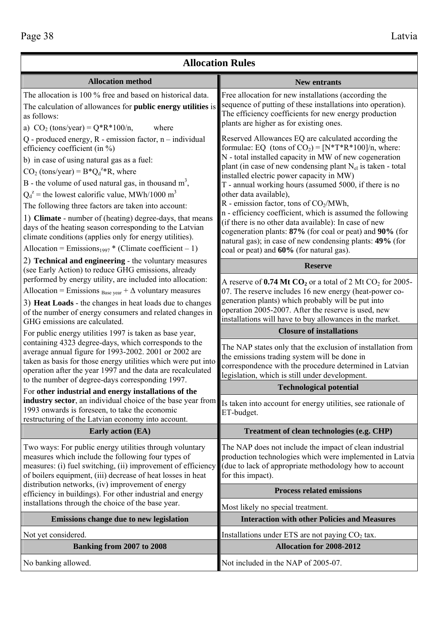#### **Allocation Rules Allocation method New entrants** Free allocation for new installations (according the sequence of putting of these installations into operation). The efficiency coefficients for new energy production plants are higher as for existing ones. Reserved Allowances EQ are calculated according the formulae: EQ (tons of  $CO<sub>2</sub>$ ) = [N\*T\*R\*100]/n, where: N - total installed capacity in MW of new cogeneration plant (in case of new condensing plant  $N<sub>el</sub>$  is taken - total installed electric power capacity in MW) T - annual working hours (assumed 5000, if there is no other data available), R - emission factor, tons of  $CO<sub>2</sub>/MWh$ , n - efficiency coefficient, which is assumed the following (if there is no other data available): In case of new cogeneration plants: **87%** (for coal or peat) and **90%** (for natural gas); in case of new condensing plants: **49%** (for coal or peat) and **60%** (for natural gas). **Reserve**  A reserve of  $0.74$  Mt  $CO<sub>2</sub>$  or a total of 2 Mt  $CO<sub>2</sub>$  for 2005-07. The reserve includes 16 new energy (heat-power cogeneration plants) which probably will be put into operation 2005-2007. After the reserve is used, new installations will have to buy allowances in the market. **Closure of installations**  The NAP states only that the exclusion of installation from the emissions trading system will be done in correspondence with the procedure determined in Latvian legislation, which is still under development. **Technological potential**  The allocation is 100 % free and based on historical data. The calculation of allowances for **public energy utilities** is as follows: a)  $CO<sub>2</sub> (tons/year) = O<sup>*</sup>R<sup>*</sup>100/n$ , where  $Q$  - produced energy,  $R$  - emission factor,  $n$  – individual efficiency coefficient (in %) b) in case of using natural gas as a fuel:  $CO<sub>2</sub>$  (tons/year) =  $B^*Q_d^{z*}R$ , where B - the volume of used natural gas, in thousand  $m^3$ ,  $Q_d^2$  = the lowest calorific value, MWh/1000 m<sup>3</sup> The following three factors are taken into account: 1) **Climate** - number of (heating) degree-days, that means days of the heating season corresponding to the Latvian climate conditions (applies only for energy utilities). Allocation = Emissions<sub>1997</sub> \* (Climate coefficient – 1) 2) **Technical and engineering** - the voluntary measures (see Early Action) to reduce GHG emissions, already performed by energy utility, are included into allocation: Allocation = Emissions  $_{Base\,year} + \Delta$  voluntary measures 3) **Heat Loads** - the changes in heat loads due to changes of the number of energy consumers and related changes in GHG emissions are calculated. For public energy utilities 1997 is taken as base year, containing 4323 degree-days, which corresponds to the average annual figure for 1993-2002. 2001 or 2002 are taken as basis for those energy utilities which were put into operation after the year 1997 and the data are recalculated to the number of degree-days corresponding 1997. For **other industrial and energy installations of the industry sector**, an individual choice of the base year from 1993 onwards is foreseen, to take the economic restructuring of the Latvian economy into account. Is taken into account for energy utilities, see rationale of ET-budget. **Early action (EA)** Treatment of clean technologies (e.g. CHP) The NAP does not include the impact of clean industrial production technologies which were implemented in Latvia (due to lack of appropriate methodology how to account for this impact). **Process related emissions**  Two ways: For public energy utilities through voluntary measures which include the following four types of measures: (i) fuel switching, (ii) improvement of efficiency of boilers equipment, (iii) decrease of heat losses in heat distribution networks, (iv) improvement of energy efficiency in buildings). For other industrial and energy installations through the choice of the base year. Most likely no special treatment. **Emissions change due to new legislation Interaction with other Policies and Measures** Not yet considered. The Installations under ETS are not paying CO<sub>2</sub> tax. **Banking from 2007 to 2008 Allocation for 2008-2012** No banking allowed. Notice has no set of 2005-07.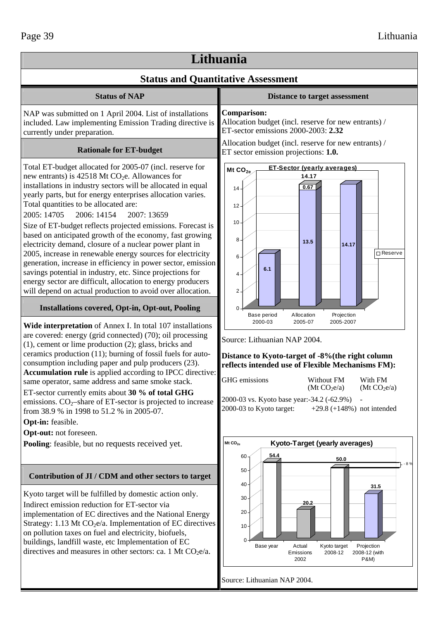# Page 39 Lithuania

| Lithuania                                                                                                                                                                                                                                                                                                                                                                                                                                                                                                                                                                                                                                                                                                                                                                                                                                                  |                                                                                                                                                                                                                                                                                                                                                                                                                                                                  |
|------------------------------------------------------------------------------------------------------------------------------------------------------------------------------------------------------------------------------------------------------------------------------------------------------------------------------------------------------------------------------------------------------------------------------------------------------------------------------------------------------------------------------------------------------------------------------------------------------------------------------------------------------------------------------------------------------------------------------------------------------------------------------------------------------------------------------------------------------------|------------------------------------------------------------------------------------------------------------------------------------------------------------------------------------------------------------------------------------------------------------------------------------------------------------------------------------------------------------------------------------------------------------------------------------------------------------------|
|                                                                                                                                                                                                                                                                                                                                                                                                                                                                                                                                                                                                                                                                                                                                                                                                                                                            | <b>Status and Quantitative Assessment</b>                                                                                                                                                                                                                                                                                                                                                                                                                        |
| <b>Status of NAP</b>                                                                                                                                                                                                                                                                                                                                                                                                                                                                                                                                                                                                                                                                                                                                                                                                                                       | <b>Distance to target assessment</b>                                                                                                                                                                                                                                                                                                                                                                                                                             |
| NAP was submitted on 1 April 2004. List of installations<br>included. Law implementing Emission Trading directive is<br>currently under preparation.                                                                                                                                                                                                                                                                                                                                                                                                                                                                                                                                                                                                                                                                                                       | <b>Comparison:</b><br>Allocation budget (incl. reserve for new entrants) /<br>ET-sector emissions 2000-2003: 2.32                                                                                                                                                                                                                                                                                                                                                |
| <b>Rationale for ET-budget</b>                                                                                                                                                                                                                                                                                                                                                                                                                                                                                                                                                                                                                                                                                                                                                                                                                             | Allocation budget (incl. reserve for new entrants) /<br>ET sector emission projections: 1.0.                                                                                                                                                                                                                                                                                                                                                                     |
| Total ET-budget allocated for 2005-07 (incl. reserve for<br>new entrants) is 42518 Mt CO <sub>2</sub> e. Allowances for<br>installations in industry sectors will be allocated in equal<br>yearly parts, but for energy enterprises allocation varies.<br>Total quantities to be allocated are:<br>2005: 14705<br>2006: 14154<br>2007: 13659<br>Size of ET-budget reflects projected emissions. Forecast is<br>based on anticipated growth of the economy, fast growing<br>electricity demand, closure of a nuclear power plant in<br>2005, increase in renewable energy sources for electricity<br>generation, increase in efficiency in power sector, emission<br>savings potential in industry, etc. Since projections for<br>energy sector are difficult, allocation to energy producers<br>will depend on actual production to avoid over allocation. | <b>ET-Sector (yearly averages)</b><br>Mt $CO2e$<br>14.17<br>0.67<br>14<br>12<br>10<br>$8 -$<br>13.5<br>14.17<br>$\Box$ Reserve<br>$6 -$<br>6.1<br>$\overline{4}$<br>$2 -$                                                                                                                                                                                                                                                                                        |
| <b>Installations covered, Opt-in, Opt-out, Pooling</b>                                                                                                                                                                                                                                                                                                                                                                                                                                                                                                                                                                                                                                                                                                                                                                                                     | Base period<br>Allocation<br>Projection                                                                                                                                                                                                                                                                                                                                                                                                                          |
| Wide interpretation of Annex I. In total 107 installations<br>are covered: energy (grid connected) (70); oil processing<br>$(1)$ , cement or lime production $(2)$ ; glass, bricks and<br>ceramics production (11); burning of fossil fuels for auto-<br>consumption including paper and pulp producers (23).<br>Accumulation rule is applied according to IPCC directive:<br>same operator, same address and same smoke stack.<br>ET-sector currently emits about 30 % of total GHG<br>emissions. $CO2$ -share of ET-sector is projected to increase<br>from 38.9 % in 1998 to 51.2 % in 2005-07.<br>Opt-in: feasible.<br>Opt-out: not foreseen.<br>Pooling: feasible, but no requests received yet.                                                                                                                                                      | 2000-03<br>2005-07<br>2005-2007<br>Source: Lithuanian NAP 2004.<br>Distance to Kyoto-target of -8% (the right column<br>reflects intended use of Flexible Mechanisms FM):<br><b>GHG</b> emissions<br>Without FM<br>With FM<br>(Mt CO <sub>2</sub> e/a)<br>(Mt $CO2e/a$ )<br>2000-03 vs. Kyoto base year:-34.2 (-62.9%)<br>2000-03 to Kyoto target:<br>$+29.8 (+148%)$ not intended<br>Kyoto-Target (yearly averages)<br>Mt $CO2R$<br>54.4<br>60<br>50.0<br>$-8%$ |
| Contribution of JI / CDM and other sectors to target<br>Kyoto target will be fulfilled by domestic action only.<br>Indirect emission reduction for ET-sector via<br>implementation of EC directives and the National Energy<br>Strategy: 1.13 Mt CO <sub>2</sub> e/a. Implementation of EC directives<br>on pollution taxes on fuel and electricity, biofuels,<br>buildings, landfill waste, etc Implementation of EC<br>directives and measures in other sectors: ca. 1 Mt $CO2e/a$ .                                                                                                                                                                                                                                                                                                                                                                     | 50<br>40<br>31.5<br>30<br>20.2<br>20<br>10 <sup>1</sup><br>0<br>Base year<br>Kyoto target<br>Projection<br>Actual<br>Emissions<br>2008-12 (with<br>2008-12<br>2002<br><b>P&amp;M)</b><br>Source: Lithuanian NAP 2004.                                                                                                                                                                                                                                            |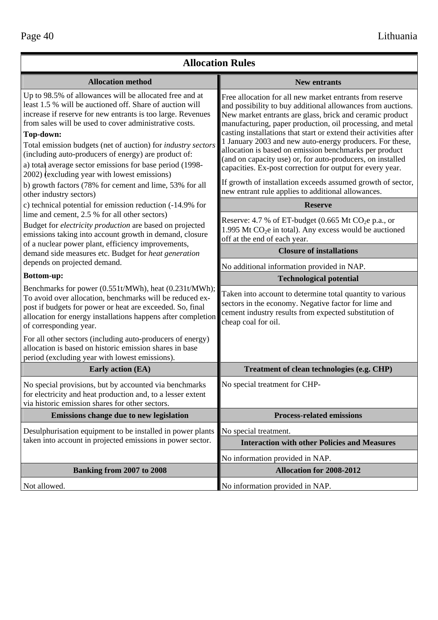$\overline{1}$ 

# **Allocation Rules**

| <b>Allocation method</b>                                                                                                                                                                                                                                                                                                                                                                                                                                                                                                                                                                   | <b>New entrants</b>                                                                                                                                                                                                                                                                                                                                                                                                                                                                                                                                                                                                                                                                          |
|--------------------------------------------------------------------------------------------------------------------------------------------------------------------------------------------------------------------------------------------------------------------------------------------------------------------------------------------------------------------------------------------------------------------------------------------------------------------------------------------------------------------------------------------------------------------------------------------|----------------------------------------------------------------------------------------------------------------------------------------------------------------------------------------------------------------------------------------------------------------------------------------------------------------------------------------------------------------------------------------------------------------------------------------------------------------------------------------------------------------------------------------------------------------------------------------------------------------------------------------------------------------------------------------------|
| Up to 98.5% of allowances will be allocated free and at<br>least 1.5 % will be auctioned off. Share of auction will<br>increase if reserve for new entrants is too large. Revenues<br>from sales will be used to cover administrative costs.<br>Top-down:<br>Total emission budgets (net of auction) for <i>industry sectors</i><br>(including auto-producers of energy) are product of:<br>a) total average sector emissions for base period (1998-<br>2002) (excluding year with lowest emissions)<br>b) growth factors (78% for cement and lime, 53% for all<br>other industry sectors) | Free allocation for all new market entrants from reserve<br>and possibility to buy additional allowances from auctions.<br>New market entrants are glass, brick and ceramic product<br>manufacturing, paper production, oil processing, and metal<br>casting installations that start or extend their activities after<br>1 January 2003 and new auto-energy producers. For these,<br>allocation is based on emission benchmarks per product<br>(and on capacity use) or, for auto-producers, on installed<br>capacities. Ex-post correction for output for every year.<br>If growth of installation exceeds assumed growth of sector,<br>new entrant rule applies to additional allowances. |
| c) technical potential for emission reduction (-14.9% for                                                                                                                                                                                                                                                                                                                                                                                                                                                                                                                                  | <b>Reserve</b>                                                                                                                                                                                                                                                                                                                                                                                                                                                                                                                                                                                                                                                                               |
| lime and cement, 2.5 % for all other sectors)<br>Budget for <i>electricity production</i> are based on projected<br>emissions taking into account growth in demand, closure                                                                                                                                                                                                                                                                                                                                                                                                                | Reserve: 4.7 % of ET-budget (0.665 Mt CO <sub>2</sub> e p.a., or<br>1.995 Mt $CO2e$ in total). Any excess would be auctioned<br>off at the end of each year.                                                                                                                                                                                                                                                                                                                                                                                                                                                                                                                                 |
| of a nuclear power plant, efficiency improvements,<br>demand side measures etc. Budget for heat generation                                                                                                                                                                                                                                                                                                                                                                                                                                                                                 | <b>Closure of installations</b>                                                                                                                                                                                                                                                                                                                                                                                                                                                                                                                                                                                                                                                              |
| depends on projected demand.                                                                                                                                                                                                                                                                                                                                                                                                                                                                                                                                                               | No additional information provided in NAP.                                                                                                                                                                                                                                                                                                                                                                                                                                                                                                                                                                                                                                                   |
| <b>Bottom-up:</b>                                                                                                                                                                                                                                                                                                                                                                                                                                                                                                                                                                          | <b>Technological potential</b>                                                                                                                                                                                                                                                                                                                                                                                                                                                                                                                                                                                                                                                               |
| Benchmarks for power (0.551t/MWh), heat (0.231t/MWh);<br>To avoid over allocation, benchmarks will be reduced ex-<br>post if budgets for power or heat are exceeded. So, final<br>allocation for energy installations happens after completion<br>of corresponding year.                                                                                                                                                                                                                                                                                                                   | Taken into account to determine total quantity to various<br>sectors in the economy. Negative factor for lime and<br>cement industry results from expected substitution of<br>cheap coal for oil.                                                                                                                                                                                                                                                                                                                                                                                                                                                                                            |
| For all other sectors (including auto-producers of energy)<br>allocation is based on historic emission shares in base<br>period (excluding year with lowest emissions).                                                                                                                                                                                                                                                                                                                                                                                                                    |                                                                                                                                                                                                                                                                                                                                                                                                                                                                                                                                                                                                                                                                                              |
| <b>Early action (EA)</b>                                                                                                                                                                                                                                                                                                                                                                                                                                                                                                                                                                   | Treatment of clean technologies (e.g. CHP)                                                                                                                                                                                                                                                                                                                                                                                                                                                                                                                                                                                                                                                   |
| No special provisions, but by accounted via benchmarks<br>for electricity and heat production and, to a lesser extent<br>via historic emission shares for other sectors.                                                                                                                                                                                                                                                                                                                                                                                                                   | No special treatment for CHP-                                                                                                                                                                                                                                                                                                                                                                                                                                                                                                                                                                                                                                                                |
| <b>Emissions change due to new legislation</b>                                                                                                                                                                                                                                                                                                                                                                                                                                                                                                                                             | <b>Process-related emissions</b>                                                                                                                                                                                                                                                                                                                                                                                                                                                                                                                                                                                                                                                             |
| Desulphurisation equipment to be installed in power plants                                                                                                                                                                                                                                                                                                                                                                                                                                                                                                                                 | No special treatment.                                                                                                                                                                                                                                                                                                                                                                                                                                                                                                                                                                                                                                                                        |
| taken into account in projected emissions in power sector.                                                                                                                                                                                                                                                                                                                                                                                                                                                                                                                                 | <b>Interaction with other Policies and Measures</b>                                                                                                                                                                                                                                                                                                                                                                                                                                                                                                                                                                                                                                          |
|                                                                                                                                                                                                                                                                                                                                                                                                                                                                                                                                                                                            | No information provided in NAP.                                                                                                                                                                                                                                                                                                                                                                                                                                                                                                                                                                                                                                                              |
| Banking from 2007 to 2008                                                                                                                                                                                                                                                                                                                                                                                                                                                                                                                                                                  | Allocation for 2008-2012                                                                                                                                                                                                                                                                                                                                                                                                                                                                                                                                                                                                                                                                     |
| Not allowed.                                                                                                                                                                                                                                                                                                                                                                                                                                                                                                                                                                               | No information provided in NAP.                                                                                                                                                                                                                                                                                                                                                                                                                                                                                                                                                                                                                                                              |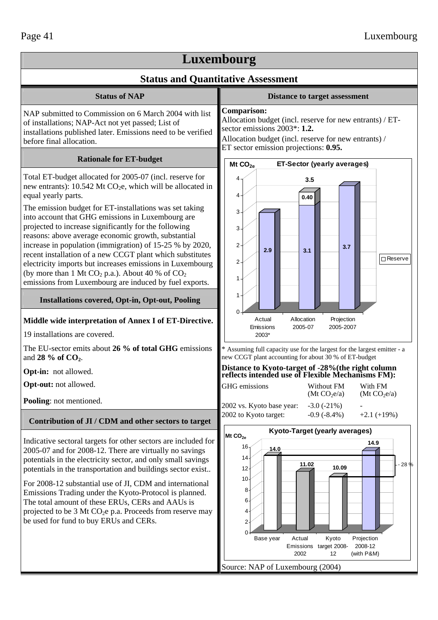| <b>Status and Quantitative Assessment</b>                                                                                                                                                                                                                                                                                                                                                                                                                                                                                                                                                                                                                                                                                                                                                            |                                                                                                                                                                                       |
|------------------------------------------------------------------------------------------------------------------------------------------------------------------------------------------------------------------------------------------------------------------------------------------------------------------------------------------------------------------------------------------------------------------------------------------------------------------------------------------------------------------------------------------------------------------------------------------------------------------------------------------------------------------------------------------------------------------------------------------------------------------------------------------------------|---------------------------------------------------------------------------------------------------------------------------------------------------------------------------------------|
| <b>Status of NAP</b>                                                                                                                                                                                                                                                                                                                                                                                                                                                                                                                                                                                                                                                                                                                                                                                 | <b>Distance to target assessment</b>                                                                                                                                                  |
| <b>Comparison:</b><br>NAP submitted to Commission on 6 March 2004 with list<br>of installations; NAP-Act not yet passed; List of<br>sector emissions 2003*: 1.2.<br>installations published later. Emissions need to be verified<br>before final allocation.<br>ET sector emission projections: 0.95.                                                                                                                                                                                                                                                                                                                                                                                                                                                                                                | Allocation budget (incl. reserve for new entrants) / ET-<br>Allocation budget (incl. reserve for new entrants) /                                                                      |
| <b>Rationale for ET-budget</b><br>Mt $CO2e$                                                                                                                                                                                                                                                                                                                                                                                                                                                                                                                                                                                                                                                                                                                                                          | <b>ET-Sector (yearly averages)</b>                                                                                                                                                    |
| Total ET-budget allocated for 2005-07 (incl. reserve for<br>new entrants): $10.542$ Mt CO <sub>2</sub> e, which will be allocated in<br>equal yearly parts.<br>4.<br>The emission budget for ET-installations was set taking<br>3 <sup>5</sup><br>into account that GHG emissions in Luxembourg are<br>projected to increase significantly for the following<br>3 <sup>5</sup><br>reasons: above average economic growth, substantial<br>increase in population (immigration) of 15-25 % by 2020,<br>$\overline{2}$<br>2.9<br>recent installation of a new CCGT plant which substitutes<br>$\mathbf{2}^{\circ}$<br>electricity imports but increases emissions in Luxembourg<br>(by more than 1 Mt $CO_2$ p.a.). About 40 % of $CO_2$<br>1<br>emissions from Luxembourg are induced by fuel exports. | 3.5<br>0.40<br>3.7<br>3.1<br>$\Box$ Reserve                                                                                                                                           |
| 1<br><b>Installations covered, Opt-in, Opt-out, Pooling</b>                                                                                                                                                                                                                                                                                                                                                                                                                                                                                                                                                                                                                                                                                                                                          |                                                                                                                                                                                       |
| $\Omega$<br>Actual<br>Middle wide interpretation of Annex I of ET-Directive.<br>Emissions<br>19 installations are covered.<br>2003*<br>The EU-sector emits about 26 % of total GHG emissions<br>and 28 $\%$ of CO <sub>2</sub> .                                                                                                                                                                                                                                                                                                                                                                                                                                                                                                                                                                     | Allocation<br>Projection<br>2005-2007<br>2005-07<br>* Assuming full capacity use for the largest for the largest emitter - a<br>new CCGT plant accounting for about 30 % of ET-budget |
| <b>Opt-in:</b> not allowed.                                                                                                                                                                                                                                                                                                                                                                                                                                                                                                                                                                                                                                                                                                                                                                          | Distance to Kyoto-target of -28% (the right column reflects intended use of Flexible Mechanisms FM):                                                                                  |
| Opt-out: not allowed.<br>GHG emissions                                                                                                                                                                                                                                                                                                                                                                                                                                                                                                                                                                                                                                                                                                                                                               | Without FM<br>With FM<br>(Mt $CO2e/a$ )<br>(Mt $CO2e/a$ )                                                                                                                             |
| Pooling: not mentioned.<br>2002 vs. Kyoto base year:                                                                                                                                                                                                                                                                                                                                                                                                                                                                                                                                                                                                                                                                                                                                                 | $-3.0$ $(-21\%)$                                                                                                                                                                      |
| 2002 to Kyoto target:<br>Contribution of JI / CDM and other sectors to target                                                                                                                                                                                                                                                                                                                                                                                                                                                                                                                                                                                                                                                                                                                        | $-0.9(-8.4\%)$<br>$+2.1 (+19%)$                                                                                                                                                       |
| Mt $CO2e$<br>Indicative sectoral targets for other sectors are included for<br>$16 -$<br>2005-07 and for 2008-12. There are virtually no savings<br>14.0<br>14<br>potentials in the electricity sector, and only small savings<br>potentials in the transportation and buildings sector exist<br>12 <sub>1</sub><br>10 <sup>1</sup><br>For 2008-12 substantial use of JI, CDM and international<br>8<br>Emissions Trading under the Kyoto-Protocol is planned.<br>$6 -$<br>The total amount of these ERUs, CERs and AAUs is<br>projected to be 3 Mt CO <sub>2</sub> e p.a. Proceeds from reserve may<br>4<br>be used for fund to buy ERUs and CERs.<br>$\mathbf{2}$<br>0<br>Base year                                                                                                                | Kyoto-Target (yearly averages)<br>14.9<br>11.02<br>- 28 %<br>10.09<br>Projection<br>Actual<br>Kyoto<br>2008-12<br>Emissions target 2008-<br>2002<br>(with P&M)<br>12                  |
| Source: NAP of Luxembourg (2004)                                                                                                                                                                                                                                                                                                                                                                                                                                                                                                                                                                                                                                                                                                                                                                     |                                                                                                                                                                                       |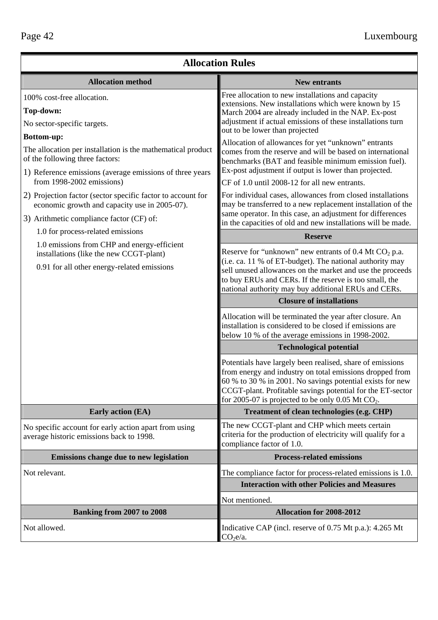| <b>Allocation Rules</b>                                                                                                                                                                                                                                                                                                                                                                                  |                                                                                                                                                                                                                                                                                                                                                                                                                                                                                                                                                                                                                                                                                                                                                                                                                                                                                   |
|----------------------------------------------------------------------------------------------------------------------------------------------------------------------------------------------------------------------------------------------------------------------------------------------------------------------------------------------------------------------------------------------------------|-----------------------------------------------------------------------------------------------------------------------------------------------------------------------------------------------------------------------------------------------------------------------------------------------------------------------------------------------------------------------------------------------------------------------------------------------------------------------------------------------------------------------------------------------------------------------------------------------------------------------------------------------------------------------------------------------------------------------------------------------------------------------------------------------------------------------------------------------------------------------------------|
| <b>Allocation method</b>                                                                                                                                                                                                                                                                                                                                                                                 | <b>New entrants</b>                                                                                                                                                                                                                                                                                                                                                                                                                                                                                                                                                                                                                                                                                                                                                                                                                                                               |
| 100% cost-free allocation.<br>Top-down:<br>No sector-specific targets.<br><b>Bottom-up:</b><br>The allocation per installation is the mathematical product<br>of the following three factors:<br>1) Reference emissions (average emissions of three years<br>from $1998-2002$ emissions)<br>2) Projection factor (sector specific factor to account for<br>economic growth and capacity use in 2005-07). | Free allocation to new installations and capacity<br>extensions. New installations which were known by 15<br>March 2004 are already included in the NAP. Ex-post<br>adjustment if actual emissions of these installations turn<br>out to be lower than projected<br>Allocation of allowances for yet "unknown" entrants<br>comes from the reserve and will be based on international<br>benchmarks (BAT and feasible minimum emission fuel).<br>Ex-post adjustment if output is lower than projected.<br>CF of 1.0 until 2008-12 for all new entrants.<br>For individual cases, allowances from closed installations<br>may be transferred to a new replacement installation of the<br>same operator. In this case, an adjustment for differences                                                                                                                                 |
| 3) Arithmetic compliance factor (CF) of:<br>1.0 for process-related emissions                                                                                                                                                                                                                                                                                                                            | in the capacities of old and new installations will be made.                                                                                                                                                                                                                                                                                                                                                                                                                                                                                                                                                                                                                                                                                                                                                                                                                      |
| 1.0 emissions from CHP and energy-efficient<br>installations (like the new CCGT-plant)<br>0.91 for all other energy-related emissions                                                                                                                                                                                                                                                                    | <b>Reserve</b><br>Reserve for "unknown" new entrants of 0.4 Mt $CO2$ p.a.<br>(i.e. ca. 11 % of ET-budget). The national authority may<br>sell unused allowances on the market and use the proceeds<br>to buy ERUs and CERs. If the reserve is too small, the<br>national authority may buy additional ERUs and CERs.<br><b>Closure of installations</b><br>Allocation will be terminated the year after closure. An<br>installation is considered to be closed if emissions are<br>below 10 % of the average emissions in 1998-2002.<br><b>Technological potential</b><br>Potentials have largely been realised, share of emissions<br>from energy and industry on total emissions dropped from<br>60 % to 30 % in 2001. No savings potential exists for new<br>CCGT-plant. Profitable savings potential for the ET-sector<br>for 2005-07 is projected to be only 0.05 Mt $CO2$ . |
| Early action (EA)                                                                                                                                                                                                                                                                                                                                                                                        | Treatment of clean technologies (e.g. CHP)                                                                                                                                                                                                                                                                                                                                                                                                                                                                                                                                                                                                                                                                                                                                                                                                                                        |
| No specific account for early action apart from using<br>average historic emissions back to 1998.                                                                                                                                                                                                                                                                                                        | The new CCGT-plant and CHP which meets certain<br>criteria for the production of electricity will qualify for a<br>compliance factor of 1.0.                                                                                                                                                                                                                                                                                                                                                                                                                                                                                                                                                                                                                                                                                                                                      |
| Emissions change due to new legislation                                                                                                                                                                                                                                                                                                                                                                  | <b>Process-related emissions</b>                                                                                                                                                                                                                                                                                                                                                                                                                                                                                                                                                                                                                                                                                                                                                                                                                                                  |
| Not relevant.                                                                                                                                                                                                                                                                                                                                                                                            | The compliance factor for process-related emissions is 1.0.<br><b>Interaction with other Policies and Measures</b><br>Not mentioned.                                                                                                                                                                                                                                                                                                                                                                                                                                                                                                                                                                                                                                                                                                                                              |
| Banking from 2007 to 2008                                                                                                                                                                                                                                                                                                                                                                                | <b>Allocation for 2008-2012</b>                                                                                                                                                                                                                                                                                                                                                                                                                                                                                                                                                                                                                                                                                                                                                                                                                                                   |
| Not allowed.                                                                                                                                                                                                                                                                                                                                                                                             | Indicative CAP (incl. reserve of 0.75 Mt p.a.): 4.265 Mt<br>CO <sub>2</sub> e/a.                                                                                                                                                                                                                                                                                                                                                                                                                                                                                                                                                                                                                                                                                                                                                                                                  |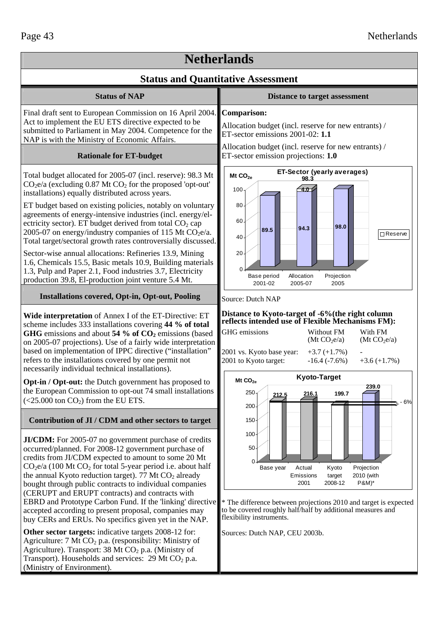#### **Netherlands Status and Quantitative Assessment Status of NAP Distance to target assessment**  Final draft sent to European Commission on 16 April 2004. Act to implement the EU ETS directive expected to be submitted to Parliament in May 2004. Competence for the NAP is with the Ministry of Economic Affairs. **Rationale for ET-budget**  Total budget allocated for 2005-07 (incl. reserve): 98.3 Mt  $CO<sub>2</sub>e/a$  (excluding 0.87 Mt  $CO<sub>2</sub>$  for the proposed 'opt-out' installations) equally distributed across years. ET budget based on existing policies, notably on voluntary agreements of energy-intensive industries (incl. energy/electricity sector). ET budget derived from total  $CO<sub>2</sub>$  cap 2005-07 on energy/industry companies of 115 Mt  $CO<sub>2</sub>e/a$ . Total target/sectoral growth rates controversially discussed. Sector-wise annual allocations: Refineries 13.9, Mining 1.6, Chemicals 15.5, Basic metals 10.9, Building materials 1.3, Pulp and Paper 2.1, Food industries 3.7, Electricity production 39.8, El-production joint venture 5.4 Mt. **Installations covered, Opt-in, Opt-out, Pooling Wide interpretation** of Annex I of the ET-Directive: ET scheme includes 333 installations covering **44 % of total**  GHG emissions and about 54 % of CO<sub>2</sub> emissions (based on 2005-07 projections). Use of a fairly wide interpretation based on implementation of IPPC directive ("installation" refers to the installations covered by one permit not necessarily individual technical installations). **Opt-in / Opt-out:** the Dutch government has proposed to the European Commission to opt-out 74 small installations  $\langle$  <25.000 ton CO<sub>2</sub>) from the EU ETS. **Contribution of JI / CDM and other sectors to target JI/CDM:** For 2005-07 no government purchase of credits occurred/planned. For 2008-12 government purchase of credits from JI/CDM expected to amount to some 20 Mt  $CO<sub>2</sub>e/a$  (100 Mt  $CO<sub>2</sub>$  for total 5-year period i.e. about half the annual Kyoto reduction target). 77 Mt  $CO<sub>2</sub>$  already bought through public contracts to individual companies (CERUPT and ERUPT contracts) and contracts with EBRD and Prototype Carbon Fund. If the 'linking' directive accepted according to present proposal, companies may buy CERs and ERUs. No specifics given yet in the NAP. **Other sector targets:** indicative targets 2008-12 for: Agriculture: 7 Mt  $CO<sub>2</sub>$  p.a. (responsibility: Ministry of Agriculture). Transport: 38 Mt  $CO<sub>2</sub>$  p.a. (Ministry of Transport). Households and services:  $29$  Mt CO<sub>2</sub> p.a. (Ministry of Environment). **Comparison:**  Allocation budget (incl. reserve for new entrants) / ET-sector emissions 2001-02: **1.1**  Allocation budget (incl. reserve for new entrants) / ET-sector emission projections: **1.0**  $\frac{1}{89.5}$   $\frac{1}{1}$  94.3 **4.0 98.0**  $\Omega$ 20  $40$ 60 80 100 Base period 2001-02 Allocation 2005-07 Projection 2005 **ET-Sector (yearly averages)** Reserve **Mt CO<sub>2</sub>** Source: Dutch NAP **Distance to Kyoto-target of -6%(the right column reflects intended use of Flexible Mechanisms FM):**  GHG emissions Without FM With FM  $(Mt CO<sub>2</sub>e/a)$   $(Mt CO<sub>2</sub>e/a)$ 2001 vs. Kyoto base year:  $+3.7 (+1.7%)$ 2001 to Kyoto target:  $-16.4 (-7.6%) +3.6 (+1.7%)$ **212.5 216.1 199.7 239.0**  $\Omega$ 50 100 150 200 250 Base year Actual Emissions 2001 Kyoto target 2008-12 Projection 2010 (with P&M)\* **Kyoto-Target** - 6% Mt CO<sub>2e</sub> \* The difference between projections 2010 and target is expected to be covered roughly half/half by additional measures and flexibility instruments. Sources: Dutch NAP, CEU 2003b.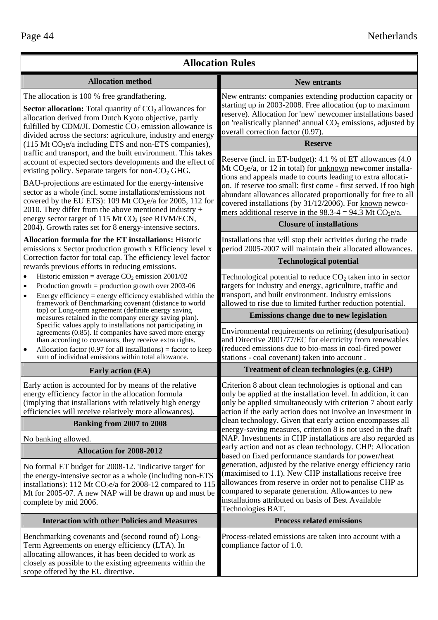| <b>Allocation Rules</b>                                                                                                                                                                                                                                                                                                                                                                                                            |                                                                                                                                                                                                                                                                                                                                                                                                                                                                     |
|------------------------------------------------------------------------------------------------------------------------------------------------------------------------------------------------------------------------------------------------------------------------------------------------------------------------------------------------------------------------------------------------------------------------------------|---------------------------------------------------------------------------------------------------------------------------------------------------------------------------------------------------------------------------------------------------------------------------------------------------------------------------------------------------------------------------------------------------------------------------------------------------------------------|
| <b>Allocation method</b>                                                                                                                                                                                                                                                                                                                                                                                                           | <b>New entrants</b>                                                                                                                                                                                                                                                                                                                                                                                                                                                 |
| The allocation is 100 % free grandfathering.<br><b>Sector allocation:</b> Total quantity of $CO2$ allowances for<br>allocation derived from Dutch Kyoto objective, partly<br>fulfilled by CDM/JI. Domestic $CO2$ emission allowance is<br>divided across the sectors: agriculture, industry and energy                                                                                                                             | New entrants: companies extending production capacity or<br>starting up in 2003-2008. Free allocation (up to maximum<br>reserve). Allocation for 'new' newcomer installations based<br>on 'realistically planned' annual $CO2$ emissions, adjusted by<br>overall correction factor (0.97).                                                                                                                                                                          |
| (115 Mt CO <sub>2</sub> e/a including ETS and non-ETS companies),                                                                                                                                                                                                                                                                                                                                                                  | <b>Reserve</b>                                                                                                                                                                                                                                                                                                                                                                                                                                                      |
| traffic and transport, and the built environment. This takes<br>account of expected sectors developments and the effect of<br>existing policy. Separate targets for non- $CO2$ GHG.<br>BAU-projections are estimated for the energy-intensive<br>sector as a whole (incl. some installations/emissions not<br>covered by the EU ETS): 109 Mt $CO2e/a$ for 2005, 112 for<br>2010. They differ from the above mentioned industry $+$ | Reserve (incl. in ET-budget): 4.1 % of ET allowances (4.0)<br>Mt $CO2e/a$ , or 12 in total) for unknown newcomer installa-<br>tions and appeals made to courts leading to extra allocati-<br>on. If reserve too small: first come - first served. If too high<br>abundant allowances allocated proportionally for free to all<br>covered installations (by $31/12/2006$ ). For known newco-<br>mers additional reserve in the 98.3-4 = 94.3 Mt CO <sub>2</sub> e/a. |
| energy sector target of 115 Mt CO <sub>2</sub> (see RIVM/ECN,<br>2004). Growth rates set for 8 energy-intensive sectors.                                                                                                                                                                                                                                                                                                           | <b>Closure of installations</b>                                                                                                                                                                                                                                                                                                                                                                                                                                     |
| <b>Allocation formula for the ET installations: Historic</b><br>emissions x Sector production growth x Efficiency level x                                                                                                                                                                                                                                                                                                          | Installations that will stop their activities during the trade<br>period 2005-2007 will maintain their allocated allowances.                                                                                                                                                                                                                                                                                                                                        |
| Correction factor for total cap. The efficiency level factor<br>rewards previous efforts in reducing emissions.                                                                                                                                                                                                                                                                                                                    | <b>Technological potential</b>                                                                                                                                                                                                                                                                                                                                                                                                                                      |
| Historic emission = average $CO_2$ emission 2001/02<br>$\bullet$<br>Production growth = production growth over $2003-06$<br>$\bullet$<br>Energy efficiency = energy efficiency established within the<br>$\bullet$<br>framework of Benchmarking covenant (distance to world                                                                                                                                                        | Technological potential to reduce $CO2$ taken into in sector<br>targets for industry and energy, agriculture, traffic and<br>transport, and built environment. Industry emissions<br>allowed to rise due to limited further reduction potential.                                                                                                                                                                                                                    |
| top) or Long-term agreement (definite energy saving<br>measures retained in the company energy saving plan).                                                                                                                                                                                                                                                                                                                       | Emissions change due to new legislation                                                                                                                                                                                                                                                                                                                                                                                                                             |
| Specific values apply to installations not participating in<br>agreements $(0.85)$ . If companies have saved more energy<br>than according to covenants, they receive extra rights.<br>Allocation factor (0.97 for all installations) = factor to keep<br>٠<br>sum of individual emissions within total allowance.                                                                                                                 | Environmental requirements on refining (desulpurisation)<br>and Directive 2001/77/EC for electricity from renewables<br>(reduced emissions due to bio-mass in coal-fired power<br>stations - coal covenant) taken into account.                                                                                                                                                                                                                                     |
| Early action (EA)                                                                                                                                                                                                                                                                                                                                                                                                                  | Treatment of clean technologies (e.g. CHP)                                                                                                                                                                                                                                                                                                                                                                                                                          |
| Early action is accounted for by means of the relative<br>energy efficiency factor in the allocation formula<br>(implying that installations with relatively high energy<br>efficiencies will receive relatively more allowances).<br>Banking from 2007 to 2008                                                                                                                                                                    | Criterion 8 about clean technologies is optional and can<br>only be applied at the installation level. In addition, it can<br>only be applied simultaneously with criterion 7 about early<br>action if the early action does not involve an investment in<br>clean technology. Given that early action encompasses all                                                                                                                                              |
| No banking allowed.                                                                                                                                                                                                                                                                                                                                                                                                                | energy-saving measures, criterion 8 is not used in the draft<br>NAP. Investments in CHP installations are also regarded as                                                                                                                                                                                                                                                                                                                                          |
| Allocation for 2008-2012                                                                                                                                                                                                                                                                                                                                                                                                           | early action and not as clean technology. CHP: Allocation                                                                                                                                                                                                                                                                                                                                                                                                           |
| No formal ET budget for 2008-12. 'Indicative target' for<br>the energy-intensive sector as a whole (including non-ETS<br>installations): 112 Mt $CO2e/a$ for 2008-12 compared to 115<br>Mt for 2005-07. A new NAP will be drawn up and must be<br>complete by mid 2006.                                                                                                                                                            | based on fixed performance standards for power/heat<br>generation, adjusted by the relative energy efficiency ratio<br>(maximised to 1.1). New CHP installations receive free<br>allowances from reserve in order not to penalise CHP as<br>compared to separate generation. Allowances to new<br>installations attributed on basis of Best Available<br>Technologies BAT.                                                                                          |
| <b>Interaction with other Policies and Measures</b>                                                                                                                                                                                                                                                                                                                                                                                | <b>Process related emissions</b>                                                                                                                                                                                                                                                                                                                                                                                                                                    |
| Benchmarking covenants and (second round of) Long-<br>Term Agreements on energy efficiency (LTA). In<br>allocating allowances, it has been decided to work as<br>closely as possible to the existing agreements within the<br>scope offered by the EU directive.                                                                                                                                                                   | Process-related emissions are taken into account with a<br>compliance factor of 1.0.                                                                                                                                                                                                                                                                                                                                                                                |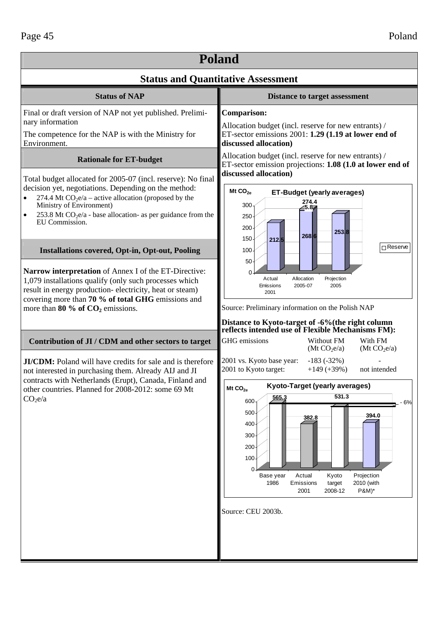|                                                                                                                                                                                                                                                                                                                                  | <b>Poland</b>                                                                                                                                                                                                                                                                                                                                                                                                                                            |
|----------------------------------------------------------------------------------------------------------------------------------------------------------------------------------------------------------------------------------------------------------------------------------------------------------------------------------|----------------------------------------------------------------------------------------------------------------------------------------------------------------------------------------------------------------------------------------------------------------------------------------------------------------------------------------------------------------------------------------------------------------------------------------------------------|
| <b>Status and Quantitative Assessment</b>                                                                                                                                                                                                                                                                                        |                                                                                                                                                                                                                                                                                                                                                                                                                                                          |
| <b>Status of NAP</b>                                                                                                                                                                                                                                                                                                             | <b>Distance to target assessment</b>                                                                                                                                                                                                                                                                                                                                                                                                                     |
| Final or draft version of NAP not yet published. Prelimi-<br>nary information<br>The competence for the NAP is with the Ministry for<br>Environment.<br><b>Rationale for ET-budget</b>                                                                                                                                           | <b>Comparison:</b><br>Allocation budget (incl. reserve for new entrants) /<br>ET-sector emissions $2001: 1.29$ (1.19 at lower end of<br>discussed allocation)<br>Allocation budget (incl. reserve for new entrants) /<br>ET-sector emission projections: 1.08 (1.0 at lower end of<br>discussed allocation)                                                                                                                                              |
| Total budget allocated for 2005-07 (incl. reserve): No final<br>decision yet, negotiations. Depending on the method:<br>274.4 Mt $CO2e/a$ – active allocation (proposed by the<br>Ministry of Environment)<br>253.8 Mt $CO2e/a$ - base allocation- as per guidance from the<br>EU Commission.                                    | Mt $CO2e$<br>ET-Budget (yearly averages)<br>274.4<br>300<br>25.87<br>250<br>200<br>253.8<br>268.6<br>150<br>212 5<br>$\Box$ Reserve                                                                                                                                                                                                                                                                                                                      |
| <b>Installations covered, Opt-in, Opt-out, Pooling</b><br>Narrow interpretation of Annex I of the ET-Directive:<br>1,079 installations qualify (only such processes which<br>result in energy production-electricity, heat or steam)<br>covering more than 70 % of total GHG emissions and<br>more than 80 % of $CO2$ emissions. | 100<br>50<br>O<br>Actual<br>Allocation<br>Projection<br><b>Emissions</b><br>2005-07<br>2005<br>2001<br>Source: Preliminary information on the Polish NAP<br>Distance to Kyoto-target of -6% (the right column                                                                                                                                                                                                                                            |
| Contribution of JI / CDM and other sectors to target                                                                                                                                                                                                                                                                             | reflects intended use of Flexible Mechanisms FM):<br><b>GHG</b> emissions<br>With FM<br>Without FM                                                                                                                                                                                                                                                                                                                                                       |
| <b>JI/CDM:</b> Poland will have credits for sale and is therefore<br>not interested in purchasing them. Already AIJ and JI<br>contracts with Netherlands (Erupt), Canada, Finland and<br>other countries. Planned for 2008-2012: some 69 Mt<br>CO <sub>2</sub> e/a                                                               | (Mt $CO2e/a$ )<br>(Mt $CO2e/a$ )<br>2001 vs. Kyoto base year:<br>$-183(-32%)$<br>2001 to Kyoto target:<br>$+149 (+39\%)$<br>not intended<br>Kyoto-Target (yearly averages)<br>Mt $CO2e$<br>531.3<br>565.3<br>600-<br>6%<br>$500 -$<br>394.0<br>382.8<br>$400 -$<br>300<br>$200 -$<br>$100 -$<br>$\Omega$<br>Kyoto<br>Projection<br>Base year<br>Actual<br>1986<br>Emissions<br>2010 (with<br>target<br>2001<br>2008-12<br>$P&M)^*$<br>Source: CEU 2003b. |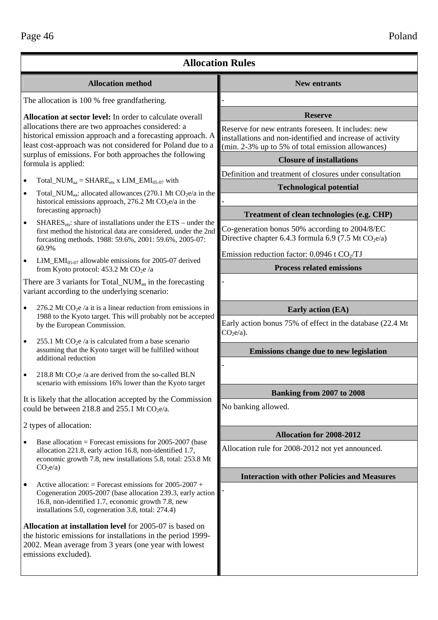|           | <b>Allocation Rules</b>                                                                                                                                                                                                                                                                                                       |                                                                                                                                                                                                                            |
|-----------|-------------------------------------------------------------------------------------------------------------------------------------------------------------------------------------------------------------------------------------------------------------------------------------------------------------------------------|----------------------------------------------------------------------------------------------------------------------------------------------------------------------------------------------------------------------------|
|           | <b>Allocation method</b>                                                                                                                                                                                                                                                                                                      | <b>New entrants</b>                                                                                                                                                                                                        |
|           | The allocation is 100 % free grandfathering.                                                                                                                                                                                                                                                                                  |                                                                                                                                                                                                                            |
|           | Allocation at sector level: In order to calculate overall<br>allocations there are two approaches considered: a<br>historical emission approach and a forecasting approach. A<br>least cost-approach was not considered for Poland due to a<br>surplus of emissions. For both approaches the following<br>formula is applied: | <b>Reserve</b><br>Reserve for new entrants foreseen. It includes: new<br>installations and non-identified and increase of activity<br>(min. 2-3% up to 5% of total emission allowances)<br><b>Closure of installations</b> |
| $\bullet$ | Total_NUM <sub>aa</sub> = SHARE <sub>ets</sub> x LIM_EMI <sub>05-07</sub> with                                                                                                                                                                                                                                                | Definition and treatment of closures under consultation                                                                                                                                                                    |
| $\bullet$ | Total_NUM <sub>aa</sub> : allocated allowances (270.1 Mt $CO2e/a$ in the<br>historical emissions approach, 276.2 Mt $CO2e/a$ in the<br>forecasting approach)                                                                                                                                                                  | <b>Technological potential</b><br>Treatment of clean technologies (e.g. CHP)                                                                                                                                               |
| $\bullet$ | $SHARES_{ets}$ : share of installations under the ETS – under the<br>first method the historical data are considered, under the 2nd<br>forcasting methods. 1988: 59.6%, 2001: 59.6%, 2005-07:<br>60.9%                                                                                                                        | Co-generation bonus 50% according to 2004/8/EC<br>Directive chapter 6.4.3 formula 6.9 (7.5 Mt $CO2e/a$ )                                                                                                                   |
| $\bullet$ | $LIM\_EMI_{05-07}$ allowable emissions for 2005-07 derived<br>from Kyoto protocol: $453.2$ Mt CO <sub>2</sub> e /a                                                                                                                                                                                                            | Emission reduction factor: $0.0946$ t $CO2/TJ$<br><b>Process related emissions</b>                                                                                                                                         |
|           | There are 3 variants for Total_NUM <sub>aa</sub> in the forecasting<br>variant according to the underlying scenario:                                                                                                                                                                                                          |                                                                                                                                                                                                                            |
| $\bullet$ | 276.2 Mt CO <sub>2</sub> e /a it is a linear reduction from emissions in<br>1988 to the Kyoto target. This will probably not be accepted<br>by the European Commission.                                                                                                                                                       | <b>Early action (EA)</b><br>Early action bonus 75% of effect in the database (22.4 Mt)<br>$CO2e/a$ ).                                                                                                                      |
| $\bullet$ | 255.1 Mt $CO2e/a$ is calculated from a base scenario<br>assuming that the Kyoto target will be fulfilled without<br>additional reduction                                                                                                                                                                                      | <b>Emissions change due to new legislation</b>                                                                                                                                                                             |
|           | 218.8 Mt $CO2e/a$ are derived from the so-called BLN<br>scenario with emissions 16% lower than the Kyoto target                                                                                                                                                                                                               |                                                                                                                                                                                                                            |
|           | It is likely that the allocation accepted by the Commission<br>could be between 218.8 and 255.1 Mt $CO2e/a$ .                                                                                                                                                                                                                 | Banking from 2007 to 2008<br>No banking allowed.                                                                                                                                                                           |
|           | 2 types of allocation:                                                                                                                                                                                                                                                                                                        | <b>Allocation for 2008-2012</b>                                                                                                                                                                                            |
| $\bullet$ | Base allocation = Forecast emissions for $2005-2007$ (base<br>allocation 221.8, early action 16.8, non-identified 1.7,<br>economic growth 7.8, new installations 5.8, total: 253.8 Mt<br>CO <sub>2</sub> e/a)                                                                                                                 | Allocation rule for 2008-2012 not yet announced.                                                                                                                                                                           |
| ٠         | Active allocation: = Forecast emissions for $2005-2007 +$<br>Cogeneration 2005-2007 (base allocation 239.3, early action<br>16.8, non-identified 1.7, economic growth 7.8, new<br>installations 5.0, cogeneration 3.8, total: 274.4)                                                                                          | <b>Interaction with other Policies and Measures</b>                                                                                                                                                                        |
|           | Allocation at installation level for 2005-07 is based on<br>the historic emissions for installations in the period 1999-<br>2002. Mean average from 3 years (one year with lowest<br>emissions excluded).                                                                                                                     |                                                                                                                                                                                                                            |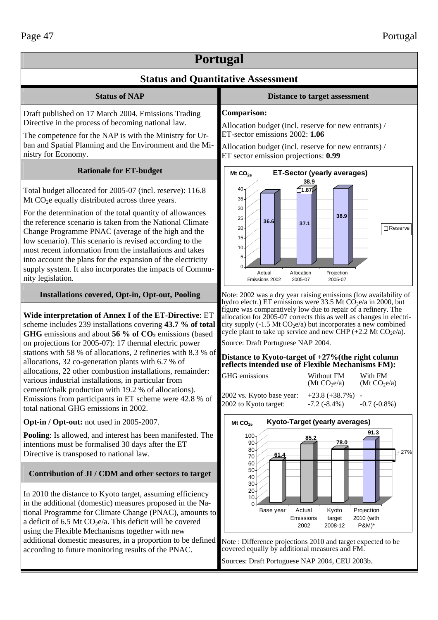# **Portugal**

## **Status and Quantitative Assessment**

**Status of NAP Distance to target assessment** Draft published on 17 March 2004. Emissions Trading Directive in the process of becoming national law. The competence for the NAP is with the Ministry for Urban and Spatial Planning and the Environment and the Ministry for Economy. **Rationale for ET-budget**  Total budget allocated for 2005-07 (incl. reserve): 116.8 Mt  $CO<sub>2</sub>e$  equally distributed across three years. For the determination of the total quantity of allowances the reference scenario is taken from the National Climate Change Programme PNAC (average of the high and the low scenario). This scenario is revised according to the most recent information from the installations and takes into account the plans for the expansion of the electricity supply system. It also incorporates the impacts of Community legislation. **Installations covered, Opt-in, Opt-out, Pooling Wide interpretation of Annex I of the ET-Directive**: ET scheme includes 239 installations covering **43.7 % of total**  GHG emissions and about 56 % of CO<sub>2</sub> emissions (based on projections for 2005-07): 17 thermal electric power stations with 58 % of allocations, 2 refineries with 8.3 % of allocations, 32 co-generation plants with 6.7 % of allocations, 22 other combustion installations, remainder: various industrial installations, in particular from cement/chalk production with 19.2 % of allocations). Emissions from participants in ET scheme were 42.8 % of total national GHG emissions in 2002. **Opt-in / Opt-out:** not used in 2005-2007. **Pooling**: Is allowed, and interest has been manifested. The intentions must be formalised 30 days after the ET Directive is transposed to national law. **Contribution of JI / CDM and other sectors to target Comparison:**  Allocation budget (incl. reserve for new entrants) / ET-sector emissions 2002: **1.06**  Allocation budget (incl. reserve for new entrants) / ET sector emission projections: **0.99**  $36.6$   $37.1$ **1.87 38.9** 0 5  $10$ 15 20 25 30 35  $40$ Actual Emissions 2002 **A**llocation 2005-07 Projection 2005-07 **ET-Sector (yearly averages) □**Reserve Mt CO<sub>2e</sub> **38.9** Note: 2002 was a dry year raising emissions (low availability of hydro electr.) ET emissions were 33.5 Mt  $CO<sub>2</sub>e/a$  in 2000, but figure was comparatively low due to repair of a refinery. The allocation for 2005-07 corrects this as well as changes in electricity supply  $(-1.5 \text{ Mt } CO<sub>2</sub>e/a)$  but incorporates a new combined cycle plant to take up service and new CHP  $(+2.2 \text{ Mt } CO_2e/a)$ . Source: Draft Portuguese NAP 2004. **Distance to Kyoto-target of +27%(the right column reflects intended use of Flexible Mechanisms FM):**  GHG emissions Without FM With FM<br>  $(Mt CO<sub>2</sub>e/a)$  (Mt  $CO<sub>2</sub>e/a$ ) (Mt  $CO<sub>2</sub>e/a$ ) 2002 vs. Kyoto base year: +23.8 (+38.7%) - 2002 to Kyoto target:  $-7.2 (-8.4\%)$  -0.7 (-0.8%) **61.4 85.2 78.0 91.3**  $50$ 60 70  $80$ 90 100 **Kyoto-Target (yearly averages)**  $+27%$ Mt CO<sub>2e</sub>

In 2010 the distance to Kyoto target, assuming efficiency in the additional (domestic) measures proposed in the National Programme for Climate Change (PNAC), amounts to a deficit of 6.5 Mt  $CO<sub>2</sub>e/a$ . This deficit will be covered using the Flexible Mechanisms together with new additional domestic measures, in a proportion to be defined according to future monitoring results of the PNAC.

Note : Difference projections 2010 and target expected to be covered equally by additional measures and FM.

Sources: Draft Portuguese NAP 2004, CEU 2003b.

## Page 47 Portugal



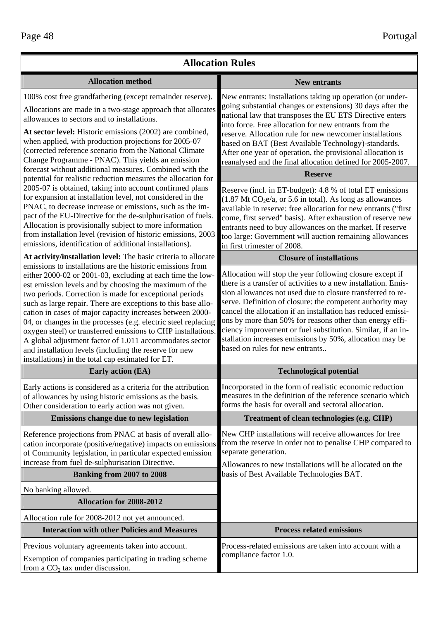| <b>Allocation Rules</b>                                                                                                                                                                                                                                                                                                                                                                                                                                                                                                                                                                                                   |                                                                                                                                                                                                                                                                                                                                                                                                                                                                                                                                                  |
|---------------------------------------------------------------------------------------------------------------------------------------------------------------------------------------------------------------------------------------------------------------------------------------------------------------------------------------------------------------------------------------------------------------------------------------------------------------------------------------------------------------------------------------------------------------------------------------------------------------------------|--------------------------------------------------------------------------------------------------------------------------------------------------------------------------------------------------------------------------------------------------------------------------------------------------------------------------------------------------------------------------------------------------------------------------------------------------------------------------------------------------------------------------------------------------|
| <b>Allocation method</b>                                                                                                                                                                                                                                                                                                                                                                                                                                                                                                                                                                                                  | <b>New entrants</b>                                                                                                                                                                                                                                                                                                                                                                                                                                                                                                                              |
| 100% cost free grandfathering (except remainder reserve).<br>Allocations are made in a two-stage approach that allocates<br>allowances to sectors and to installations.<br>At sector level: Historic emissions (2002) are combined,<br>when applied, with production projections for 2005-07<br>(corrected reference scenario from the National Climate<br>Change Programme - PNAC). This yields an emission<br>forecast without additional measures. Combined with the                                                                                                                                                   | New entrants: installations taking up operation (or under-<br>going substantial changes or extensions) 30 days after the<br>national law that transposes the EU ETS Directive enters<br>into force. Free allocation for new entrants from the<br>reserve. Allocation rule for new newcomer installations<br>based on BAT (Best Available Technology)-standards.<br>After one year of operation, the provisional allocation is<br>reanalysed and the final allocation defined for 2005-2007.                                                      |
| potential for realistic reduction measures the allocation for                                                                                                                                                                                                                                                                                                                                                                                                                                                                                                                                                             | <b>Reserve</b>                                                                                                                                                                                                                                                                                                                                                                                                                                                                                                                                   |
| 2005-07 is obtained, taking into account confirmed plans<br>for expansion at installation level, not considered in the<br>PNAC, to decrease increase or emissions, such as the im-<br>pact of the EU-Directive for the de-sulphurisation of fuels.<br>Allocation is provisionally subject to more information<br>from installation level (revision of historic emissions, 2003<br>emissions, identification of additional installations).                                                                                                                                                                                 | Reserve (incl. in ET-budget): 4.8 % of total ET emissions<br>$(1.87 \text{ Mt } CO2e/a, \text{ or } 5.6 \text{ in total})$ . As long as allowances<br>available in reserve: free allocation for new entrants ("first<br>come, first served" basis). After exhaustion of reserve new<br>entrants need to buy allowances on the market. If reserve<br>too large: Government will auction remaining allowances<br>in first trimester of 2008.                                                                                                       |
| At activity/installation level: The basic criteria to allocate<br>emissions to installations are the historic emissions from                                                                                                                                                                                                                                                                                                                                                                                                                                                                                              | <b>Closure of installations</b>                                                                                                                                                                                                                                                                                                                                                                                                                                                                                                                  |
| either 2000-02 or 2001-03, excluding at each time the low-<br>est emission levels and by choosing the maximum of the<br>two periods. Correction is made for exceptional periods<br>such as large repair. There are exceptions to this base allo-<br>cation in cases of major capacity increases between 2000-<br>04, or changes in the processes (e.g. electric steel replacing<br>oxygen steel) or transferred emissions to CHP installations.<br>A global adjustment factor of 1.011 accommodates sector<br>and installation levels (including the reserve for new<br>installations) in the total cap estimated for ET. | Allocation will stop the year following closure except if<br>there is a transfer of activities to a new installation. Emis-<br>sion allowances not used due to closure transferred to re-<br>serve. Definition of closure: the competent authority may<br>cancel the allocation if an installation has reduced emissi-<br>ons by more than 50% for reasons other than energy effi-<br>ciency improvement or fuel substitution. Similar, if an in-<br>stallation increases emissions by 50%, allocation may be<br>based on rules for new entrants |
| Early action (EA)                                                                                                                                                                                                                                                                                                                                                                                                                                                                                                                                                                                                         | <b>Technological potential</b>                                                                                                                                                                                                                                                                                                                                                                                                                                                                                                                   |
| Early actions is considered as a criteria for the attribution<br>of allowances by using historic emissions as the basis.<br>Other consideration to early action was not given.                                                                                                                                                                                                                                                                                                                                                                                                                                            | Incorporated in the form of realistic economic reduction<br>measures in the definition of the reference scenario which<br>forms the basis for overall and sectoral allocation.                                                                                                                                                                                                                                                                                                                                                                   |
| Emissions change due to new legislation                                                                                                                                                                                                                                                                                                                                                                                                                                                                                                                                                                                   | Treatment of clean technologies (e.g. CHP)                                                                                                                                                                                                                                                                                                                                                                                                                                                                                                       |
| Reference projections from PNAC at basis of overall allo-<br>cation incorporate (positive/negative) impacts on emissions<br>of Community legislation, in particular expected emission<br>increase from fuel de-sulphurisation Directive.                                                                                                                                                                                                                                                                                                                                                                                  | New CHP installations will receive allowances for free<br>from the reserve in order not to penalise CHP compared to<br>separate generation.<br>Allowances to new installations will be allocated on the<br>basis of Best Available Technologies BAT.                                                                                                                                                                                                                                                                                             |
| Banking from 2007 to 2008<br>No banking allowed.                                                                                                                                                                                                                                                                                                                                                                                                                                                                                                                                                                          |                                                                                                                                                                                                                                                                                                                                                                                                                                                                                                                                                  |
| <b>Allocation for 2008-2012</b>                                                                                                                                                                                                                                                                                                                                                                                                                                                                                                                                                                                           |                                                                                                                                                                                                                                                                                                                                                                                                                                                                                                                                                  |
| Allocation rule for 2008-2012 not yet announced.                                                                                                                                                                                                                                                                                                                                                                                                                                                                                                                                                                          |                                                                                                                                                                                                                                                                                                                                                                                                                                                                                                                                                  |
| <b>Interaction with other Policies and Measures</b>                                                                                                                                                                                                                                                                                                                                                                                                                                                                                                                                                                       | <b>Process related emissions</b>                                                                                                                                                                                                                                                                                                                                                                                                                                                                                                                 |
| Previous voluntary agreements taken into account.<br>Exemption of companies participating in trading scheme<br>from a $CO2$ tax under discussion.                                                                                                                                                                                                                                                                                                                                                                                                                                                                         | Process-related emissions are taken into account with a<br>compliance factor 1.0.                                                                                                                                                                                                                                                                                                                                                                                                                                                                |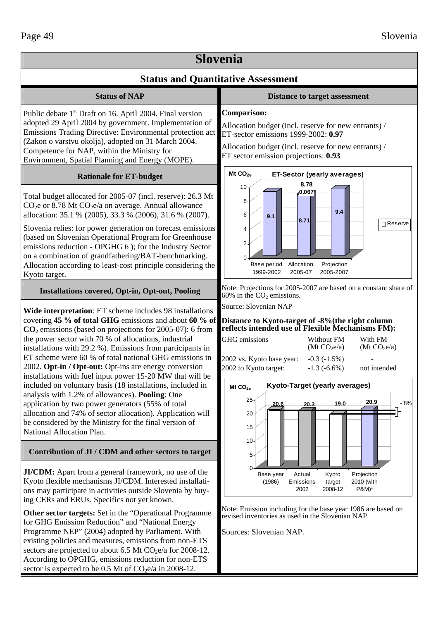## Page 49 Slovenia

| <b>Slovenia</b>                                                                                                                                                                                                                                                                                                                                                                                                                                                                                                                                                                                                                                                                                                                                                                                                            |                                                                                                                                                                                                                                                                                                                                                                                                                                                                            |
|----------------------------------------------------------------------------------------------------------------------------------------------------------------------------------------------------------------------------------------------------------------------------------------------------------------------------------------------------------------------------------------------------------------------------------------------------------------------------------------------------------------------------------------------------------------------------------------------------------------------------------------------------------------------------------------------------------------------------------------------------------------------------------------------------------------------------|----------------------------------------------------------------------------------------------------------------------------------------------------------------------------------------------------------------------------------------------------------------------------------------------------------------------------------------------------------------------------------------------------------------------------------------------------------------------------|
| <b>Status and Quantitative Assessment</b>                                                                                                                                                                                                                                                                                                                                                                                                                                                                                                                                                                                                                                                                                                                                                                                  |                                                                                                                                                                                                                                                                                                                                                                                                                                                                            |
| <b>Status of NAP</b>                                                                                                                                                                                                                                                                                                                                                                                                                                                                                                                                                                                                                                                                                                                                                                                                       | <b>Distance to target assessment</b>                                                                                                                                                                                                                                                                                                                                                                                                                                       |
| Public debate 1 <sup>st</sup> Draft on 16. April 2004. Final version<br>adopted 29 April 2004 by government. Implementation of<br>Emissions Trading Directive: Environmental protection act<br>(Zakon o varstvu okolja), adopted on 31 March 2004.<br>Competence for NAP, within the Ministry for<br>Environment, Spatial Planning and Energy (MOPE).                                                                                                                                                                                                                                                                                                                                                                                                                                                                      | <b>Comparison:</b><br>Allocation budget (incl. reserve for new entrants) /<br>ET-sector emissions 1999-2002: 0.97<br>Allocation budget (incl. reserve for new entrants) /<br>ET sector emission projections: 0.93                                                                                                                                                                                                                                                          |
| <b>Rationale for ET-budget</b>                                                                                                                                                                                                                                                                                                                                                                                                                                                                                                                                                                                                                                                                                                                                                                                             | Mt $CO2e$<br><b>ET-Sector (yearly averages)</b><br>8.78                                                                                                                                                                                                                                                                                                                                                                                                                    |
| Total budget allocated for 2005-07 (incl. reserve): 26.3 Mt<br>$CO2e$ or 8.78 Mt $CO2e/a$ on average. Annual allowance<br>allocation: 35.1 % (2005), 33.3 % (2006), 31.6 % (2007).<br>Slovenia relies: for power generation on forecast emissions<br>(based on Slovenian Operational Program for Greenhouse<br>emissions reduction - OPGHG 6); for the Industry Sector<br>on a combination of grandfathering/BAT-benchmarking.<br>Allocation according to least-cost principle considering the<br>Kyoto target.                                                                                                                                                                                                                                                                                                            | 10<br>0.067<br>8<br>9.4<br>6<br>9.1<br>8.71<br>$\Box$ Reserve<br>4<br>$\overline{c}$<br>$\Omega$<br>Allocation<br>Base period<br>Projection<br>1999-2002<br>2005-07<br>2005-2007                                                                                                                                                                                                                                                                                           |
| <b>Installations covered, Opt-in, Opt-out, Pooling</b>                                                                                                                                                                                                                                                                                                                                                                                                                                                                                                                                                                                                                                                                                                                                                                     | Note: Projections for 2005-2007 are based on a constant share of<br>60% in the $CO2$ emissions.                                                                                                                                                                                                                                                                                                                                                                            |
| Wide interpretation: ET scheme includes 98 installations<br>covering 45 % of total GHG emissions and about 60 % of<br>$CO2$ emissions (based on projections for 2005-07): 6 from<br>the power sector with 70 % of allocations, industrial<br>installations with 29.2 %). Emissions from participants in<br>ET scheme were 60 % of total national GHG emissions in<br>2002. Opt-in / Opt-out: Opt-ins are energy conversion<br>installations with fuel input power 15-20 MW that will be<br>included on voluntary basis (18 installations, included in<br>analysis with 1.2% of allowances). <b>Pooling</b> : One<br>application by two power generators (55% of total<br>allocation and 74% of sector allocation). Application will<br>be considered by the Ministry for the final version of<br>National Allocation Plan. | Source: Slovenian NAP<br>Distance to Kyoto-target of -8% (the right column<br>reflects intended use of Flexible Mechanisms FM):<br>GHG emissions<br>Without FM<br>With FM<br>(Mt $CO2e/a$ )<br>(Mt $CO2e/a$ )<br>2002 vs. Kyoto base year:<br>$-0.3(-1.5%)$<br>2002 to Kyoto target:<br>$-1.3(-6.6%)$<br>not intended<br>Kyoto-Target (yearly averages)<br>Mt $CO2e$<br>25 <sub>2</sub><br>20.9<br>19.0<br>- 8%<br><u> 20.6</u><br>20.3<br>20<br>$15 -$<br>10 <sup>1</sup> |
| Contribution of JI / CDM and other sectors to target                                                                                                                                                                                                                                                                                                                                                                                                                                                                                                                                                                                                                                                                                                                                                                       | 5.                                                                                                                                                                                                                                                                                                                                                                                                                                                                         |
| <b>JI/CDM:</b> Apart from a general framework, no use of the<br>Kyoto flexible mechanisms JI/CDM. Interested installati-<br>ons may participate in activities outside Slovenia by buy-<br>ing CERs and ERUs. Specifics not yet known.<br><b>Other sector targets:</b> Set in the "Operational Programme"<br>for GHG Emission Reduction" and "National Energy<br>Programme NEP" (2004) adopted by Parliament. With<br>existing policies and measures, emissions from non-ETS<br>sectors are projected to about 6.5 Mt $CO2e/a$ for 2008-12.<br>According to OPGHG, emissions reduction for non-ETS<br>sector is expected to be 0.5 Mt of $CO2e/a$ in 2008-12.                                                                                                                                                               | Projection<br>Base year<br>Actual<br>Kyoto<br>(1986)<br>2010 (with<br>Emissions<br>target<br>$P&M)*$<br>2002<br>2008-12<br>Note: Emission including for the base year 1986 are based on<br>revised inventories as used in the Slovenian NAP.<br>Sources: Slovenian NAP.                                                                                                                                                                                                    |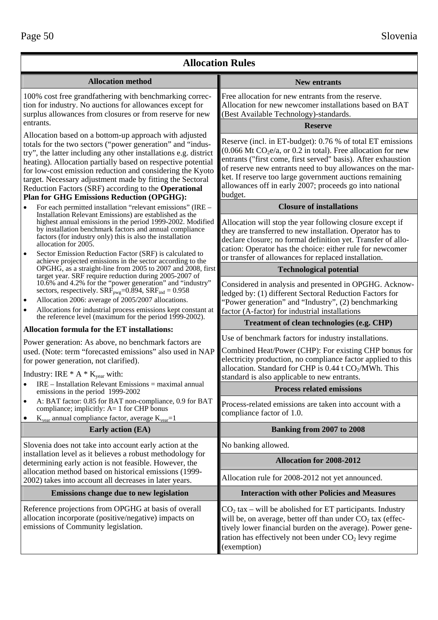## Page 50 Slovenia

| <b>Allocation Rules</b>                                                                                                                                                                                                                                                                                                                                                                                                                                                                               |                                                                                                                                                                                                                                                                                                                                                                                                                        |  |
|-------------------------------------------------------------------------------------------------------------------------------------------------------------------------------------------------------------------------------------------------------------------------------------------------------------------------------------------------------------------------------------------------------------------------------------------------------------------------------------------------------|------------------------------------------------------------------------------------------------------------------------------------------------------------------------------------------------------------------------------------------------------------------------------------------------------------------------------------------------------------------------------------------------------------------------|--|
| <b>Allocation method</b>                                                                                                                                                                                                                                                                                                                                                                                                                                                                              | <b>New entrants</b>                                                                                                                                                                                                                                                                                                                                                                                                    |  |
| 100% cost free grandfathering with benchmarking correc-<br>tion for industry. No auctions for allowances except for<br>surplus allowances from closures or from reserve for new                                                                                                                                                                                                                                                                                                                       | Free allocation for new entrants from the reserve.<br>Allocation for new newcomer installations based on BAT<br>(Best Available Technology)-standards.                                                                                                                                                                                                                                                                 |  |
| entrants.                                                                                                                                                                                                                                                                                                                                                                                                                                                                                             | <b>Reserve</b>                                                                                                                                                                                                                                                                                                                                                                                                         |  |
| Allocation based on a bottom-up approach with adjusted<br>totals for the two sectors ("power generation" and "indus-<br>try", the latter including any other installations e.g. district<br>heating). Allocation partially based on respective potential<br>for low-cost emission reduction and considering the Kyoto<br>target. Necessary adjustment made by fitting the Sectoral<br>Reduction Factors (SRF) according to the <b>Operational</b><br><b>Plan for GHG Emissions Reduction (OPGHG):</b> | Reserve (incl. in ET-budget): 0.76 % of total ET emissions<br>$(0.066 \text{ Mt } CO2e/a, \text{ or } 0.2 \text{ in total})$ . Free allocation for new<br>entrants ("first come, first served" basis). After exhaustion<br>of reserve new entrants need to buy allowances on the mar-<br>ket. If reserve too large government auctions remaining<br>allowances off in early 2007; proceeds go into national<br>budget. |  |
| For each permitted installation "relevant emissions" (IRE -<br>Installation Relevant Emissions) are established as the                                                                                                                                                                                                                                                                                                                                                                                | <b>Closure of installations</b>                                                                                                                                                                                                                                                                                                                                                                                        |  |
| highest annual emissions in the period 1999-2002. Modified<br>by installation benchmark factors and annual compliance<br>factors (for industry only) this is also the installation<br>allocation for 2005.                                                                                                                                                                                                                                                                                            | Allocation will stop the year following closure except if<br>they are transferred to new installation. Operator has to<br>declare closure; no formal definition yet. Transfer of allo-<br>cation: Operator has the choice: either rule for newcomer                                                                                                                                                                    |  |
| Sector Emission Reduction Factor (SRF) is calculated to<br>$\bullet$<br>achieve projected emissions in the sector according to the                                                                                                                                                                                                                                                                                                                                                                    | or transfer of allowances for replaced installation.                                                                                                                                                                                                                                                                                                                                                                   |  |
| OPGHG, as a straight-line from 2005 to 2007 and 2008, first<br>target year. SRF require reduction during 2005-2007 of                                                                                                                                                                                                                                                                                                                                                                                 | <b>Technological potential</b>                                                                                                                                                                                                                                                                                                                                                                                         |  |
| 10.6% and 4.2% for the "power generation" and "industry"<br>sectors, respectively. $SRF_{\text{pwg}}=0.894$ , $SRF_{\text{ind}}=0.958$<br>Allocation 2006: average of 2005/2007 allocations.<br>$\bullet$                                                                                                                                                                                                                                                                                             | Considered in analysis and presented in OPGHG. Acknow-<br>ledged by: (1) different Sectoral Reduction Factors for<br>"Power generation" and "Industry", (2) benchmarking                                                                                                                                                                                                                                               |  |
| Allocations for industrial process emissions kept constant at<br>$\bullet$<br>the reference level (maximum for the period 1999-2002).                                                                                                                                                                                                                                                                                                                                                                 | factor (A-factor) for industrial installations                                                                                                                                                                                                                                                                                                                                                                         |  |
| Allocation formula for the ET installations:                                                                                                                                                                                                                                                                                                                                                                                                                                                          | Treatment of clean technologies (e.g. CHP)                                                                                                                                                                                                                                                                                                                                                                             |  |
| Power generation: As above, no benchmark factors are<br>used. (Note: term "forecasted emissions" also used in NAP<br>for power generation, not clarified).<br>Industry: IRE $* A * K_{year}$ with:                                                                                                                                                                                                                                                                                                    | Use of benchmark factors for industry installations.<br>Combined Heat/Power (CHP): For existing CHP bonus for<br>electricity production, no compliance factor applied to this<br>allocation. Standard for CHP is $0.44$ t $CO2/MWh$ . This<br>standard is also applicable to new entrants.                                                                                                                             |  |
| $\bullet$<br>$IRE$ – Installation Relevant Emissions = maximal annual<br>emissions in the period 1999-2002                                                                                                                                                                                                                                                                                                                                                                                            | <b>Process related emissions</b>                                                                                                                                                                                                                                                                                                                                                                                       |  |
| A: BAT factor: 0.85 for BAT non-compliance, 0.9 for BAT<br>$\bullet$<br>compliance; implicitly: $A = 1$ for CHP bonus<br>$K_{\text{year}}$ annual compliance factor, average $K_{\text{year}} = 1$<br>٠                                                                                                                                                                                                                                                                                               | Process-related emissions are taken into account with a<br>compliance factor of 1.0.                                                                                                                                                                                                                                                                                                                                   |  |
| <b>Early action (EA)</b>                                                                                                                                                                                                                                                                                                                                                                                                                                                                              | Banking from 2007 to 2008                                                                                                                                                                                                                                                                                                                                                                                              |  |
| Slovenia does not take into account early action at the                                                                                                                                                                                                                                                                                                                                                                                                                                               | No banking allowed.                                                                                                                                                                                                                                                                                                                                                                                                    |  |
| installation level as it believes a robust methodology for<br>determining early action is not feasible. However, the                                                                                                                                                                                                                                                                                                                                                                                  | Allocation for 2008-2012                                                                                                                                                                                                                                                                                                                                                                                               |  |
| allocation method based on historical emissions (1999-<br>2002) takes into account all decreases in later years.                                                                                                                                                                                                                                                                                                                                                                                      | Allocation rule for 2008-2012 not yet announced.                                                                                                                                                                                                                                                                                                                                                                       |  |
| Emissions change due to new legislation                                                                                                                                                                                                                                                                                                                                                                                                                                                               | <b>Interaction with other Policies and Measures</b>                                                                                                                                                                                                                                                                                                                                                                    |  |
| Reference projections from OPGHG at basis of overall<br>allocation incorporate (positive/negative) impacts on<br>emissions of Community legislation.                                                                                                                                                                                                                                                                                                                                                  | $CO2$ tax – will be abolished for ET participants. Industry<br>will be, on average, better off than under $CO2$ tax (effec-<br>tively lower financial burden on the average). Power gene-<br>ration has effectively not been under $CO2$ levy regime<br>(exemption)                                                                                                                                                    |  |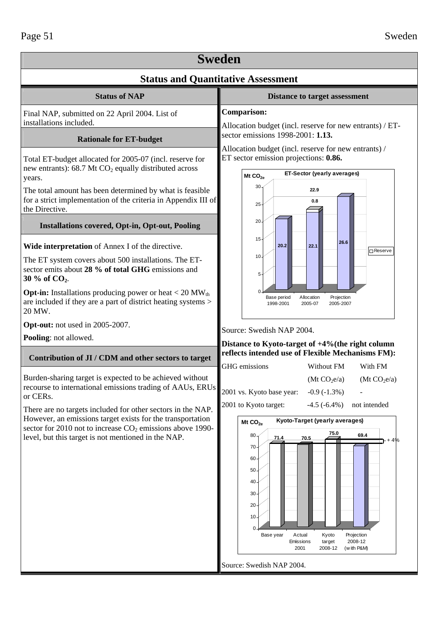| <b>Sweden</b>                                                                                                                                                                                                                                                                                                                                                                                                                                                                      |                                                                                                                                                                                                                                                                                                                                                                                                                                                                                                                                   |  |  |  |
|------------------------------------------------------------------------------------------------------------------------------------------------------------------------------------------------------------------------------------------------------------------------------------------------------------------------------------------------------------------------------------------------------------------------------------------------------------------------------------|-----------------------------------------------------------------------------------------------------------------------------------------------------------------------------------------------------------------------------------------------------------------------------------------------------------------------------------------------------------------------------------------------------------------------------------------------------------------------------------------------------------------------------------|--|--|--|
| <b>Status and Quantitative Assessment</b>                                                                                                                                                                                                                                                                                                                                                                                                                                          |                                                                                                                                                                                                                                                                                                                                                                                                                                                                                                                                   |  |  |  |
| <b>Status of NAP</b>                                                                                                                                                                                                                                                                                                                                                                                                                                                               | <b>Distance to target assessment</b>                                                                                                                                                                                                                                                                                                                                                                                                                                                                                              |  |  |  |
| Final NAP, submitted on 22 April 2004. List of<br>installations included.<br><b>Rationale for ET-budget</b><br>Total ET-budget allocated for 2005-07 (incl. reserve for<br>new entrants): $68.7$ Mt $CO2$ equally distributed across<br>years.<br>The total amount has been determined by what is feasible<br>for a strict implementation of the criteria in Appendix III of<br>the Directive.<br><b>Installations covered, Opt-in, Opt-out, Pooling</b>                           | <b>Comparison:</b><br>Allocation budget (incl. reserve for new entrants) / ET-<br>sector emissions 1998-2001: 1.13.<br>Allocation budget (incl. reserve for new entrants) /<br>ET sector emission projections: 0.86.<br>ET-Sector (yearly averages)<br>Mt $CO2e$<br>30 <sub>1</sub><br>22.9<br>0.8<br>$25 -$<br>20 <sub>1</sub>                                                                                                                                                                                                   |  |  |  |
| Wide interpretation of Annex I of the directive.<br>The ET system covers about 500 installations. The ET-<br>sector emits about 28 % of total GHG emissions and<br>30 % of CO <sub>2</sub> .<br><b>Opt-in:</b> Installations producing power or heat $<$ 20 MW <sub>th</sub><br>are included if they are a part of district heating systems ><br>20 MW.<br><b>Opt-out:</b> not used in 2005-2007.<br>Pooling: not allowed.<br>Contribution of JI / CDM and other sectors to target | $15 -$<br>26.6<br>20.2<br>22.1<br>□ Reserve<br>$10 -$<br>$5 -$<br>Base period<br>Allocation<br>Projection<br>1998-2001<br>2005-07<br>2005-2007<br>Source: Swedish NAP 2004.<br>Distance to Kyoto-target of $+4\%$ (the right column<br>reflects intended use of Flexible Mechanisms FM):                                                                                                                                                                                                                                          |  |  |  |
| Burden-sharing target is expected to be achieved without<br>recourse to international emissions trading of AAUs, ERUs<br>or CERs.<br>There are no targets included for other sectors in the NAP.<br>However, an emissions target exists for the transportation<br>sector for 2010 not to increase $CO2$ emissions above 1990-<br>level, but this target is not mentioned in the NAP.                                                                                               | <b>GHG</b> emissions<br>Without FM<br>With FM<br>(Mt CO <sub>2</sub> e/a)<br>(Mt $CO2e/a$ )<br>2001 vs. Kyoto base year:<br>$-0.9(-1.3%)$<br>2001 to Kyoto target:<br>not intended<br>$-4.5(-6.4\%)$<br>Kyoto-Target (yearly averages)<br>Mt $CO2e$<br><u>75.0</u><br>69.4<br>80<br><u>71.4</u><br>70.5<br>F⊢+4%<br>$70 -$<br>60<br>$50 -$<br>$40 -$<br>30<br>$20 -$<br>$10 -$<br>0<br>Kyoto<br>Projection<br>Base year<br>Actual<br>2008-12<br>Emissions<br>target<br>2001<br>(with P&M)<br>2008-12<br>Source: Swedish NAP 2004. |  |  |  |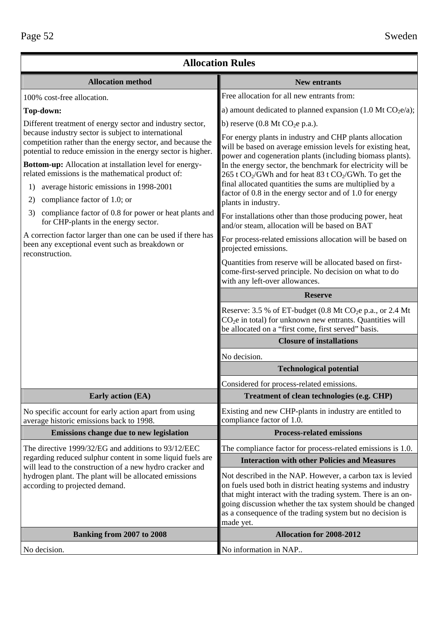| <b>Allocation Rules</b>                                                                                                                                                           |                                                                                                                                                                                                                                                                                                                                 |  |
|-----------------------------------------------------------------------------------------------------------------------------------------------------------------------------------|---------------------------------------------------------------------------------------------------------------------------------------------------------------------------------------------------------------------------------------------------------------------------------------------------------------------------------|--|
| <b>Allocation method</b>                                                                                                                                                          | <b>New entrants</b>                                                                                                                                                                                                                                                                                                             |  |
| 100% cost-free allocation.                                                                                                                                                        | Free allocation for all new entrants from:                                                                                                                                                                                                                                                                                      |  |
| Top-down:                                                                                                                                                                         | a) amount dedicated to planned expansion $(1.0 \text{ Mt } CO_2e/a);$                                                                                                                                                                                                                                                           |  |
| Different treatment of energy sector and industry sector,                                                                                                                         | b) reserve $(0.8 \text{ Mt } CO_2$ e p.a.).                                                                                                                                                                                                                                                                                     |  |
| because industry sector is subject to international<br>competition rather than the energy sector, and because the<br>potential to reduce emission in the energy sector is higher. | For energy plants in industry and CHP plants allocation<br>will be based on average emission levels for existing heat,<br>power and cogeneration plants (including biomass plants).                                                                                                                                             |  |
| <b>Bottom-up:</b> Allocation at installation level for energy-<br>related emissions is the mathematical product of:                                                               | In the energy sector, the benchmark for electricity will be<br>265 t $CO_2/GWh$ and for heat 83 t $CO_2/GWh$ . To get the                                                                                                                                                                                                       |  |
| average historic emissions in 1998-2001<br>1)                                                                                                                                     | final allocated quantities the sums are multiplied by a<br>factor of 0.8 in the energy sector and of 1.0 for energy                                                                                                                                                                                                             |  |
| compliance factor of 1.0; or<br>2)                                                                                                                                                | plants in industry.                                                                                                                                                                                                                                                                                                             |  |
| compliance factor of 0.8 for power or heat plants and<br>3)<br>for CHP-plants in the energy sector.                                                                               | For installations other than those producing power, heat<br>and/or steam, allocation will be based on BAT                                                                                                                                                                                                                       |  |
| A correction factor larger than one can be used if there has<br>been any exceptional event such as breakdown or<br>reconstruction.                                                | For process-related emissions allocation will be based on<br>projected emissions.                                                                                                                                                                                                                                               |  |
|                                                                                                                                                                                   | Quantities from reserve will be allocated based on first-<br>come-first-served principle. No decision on what to do<br>with any left-over allowances.                                                                                                                                                                           |  |
|                                                                                                                                                                                   | <b>Reserve</b>                                                                                                                                                                                                                                                                                                                  |  |
|                                                                                                                                                                                   | Reserve: 3.5 % of ET-budget $(0.8 \text{ Mt CO}_2$ e p.a., or 2.4 Mt<br>$CO2e$ in total) for unknown new entrants. Quantities will<br>be allocated on a "first come, first served" basis.                                                                                                                                       |  |
|                                                                                                                                                                                   | <b>Closure of installations</b>                                                                                                                                                                                                                                                                                                 |  |
|                                                                                                                                                                                   | No decision.                                                                                                                                                                                                                                                                                                                    |  |
|                                                                                                                                                                                   | <b>Technological potential</b>                                                                                                                                                                                                                                                                                                  |  |
|                                                                                                                                                                                   | Considered for process-related emissions                                                                                                                                                                                                                                                                                        |  |
| Early action (EA)                                                                                                                                                                 | Treatment of clean technologies (e.g. CHP)                                                                                                                                                                                                                                                                                      |  |
| No specific account for early action apart from using<br>average historic emissions back to 1998.                                                                                 | Existing and new CHP-plants in industry are entitled to<br>compliance factor of 1.0.                                                                                                                                                                                                                                            |  |
| Emissions change due to new legislation                                                                                                                                           | <b>Process-related emissions</b>                                                                                                                                                                                                                                                                                                |  |
| The directive 1999/32/EG and additions to 93/12/EEC                                                                                                                               | The compliance factor for process-related emissions is 1.0.                                                                                                                                                                                                                                                                     |  |
| regarding reduced sulphur content in some liquid fuels are<br>will lead to the construction of a new hydro cracker and                                                            | <b>Interaction with other Policies and Measures</b>                                                                                                                                                                                                                                                                             |  |
| hydrogen plant. The plant will be allocated emissions<br>according to projected demand.                                                                                           | Not described in the NAP. However, a carbon tax is levied<br>on fuels used both in district heating systems and industry<br>that might interact with the trading system. There is an on-<br>going discussion whether the tax system should be changed<br>as a consequence of the trading system but no decision is<br>made yet. |  |
| Banking from 2007 to 2008                                                                                                                                                         | Allocation for 2008-2012                                                                                                                                                                                                                                                                                                        |  |
| No decision.                                                                                                                                                                      | No information in NAP                                                                                                                                                                                                                                                                                                           |  |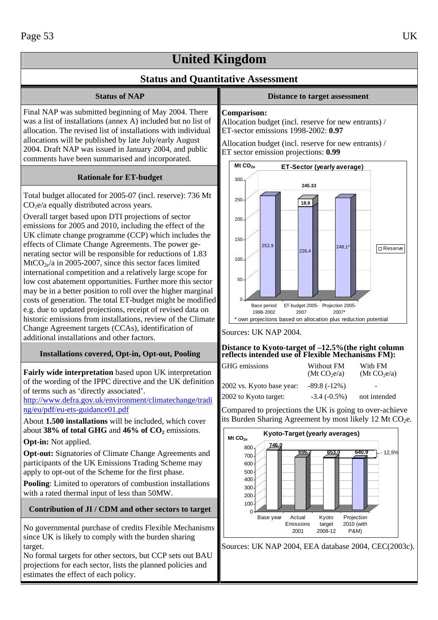# **United Kingdom**

## **Status and Quantitative Assessment**

Final NAP was submitted beginning of May 2004. There was a list of installations (annex A) included but no list of allocation. The revised list of installations with individual allocations will be published by late July/early August 2004. Draft NAP was issued in January 2004, and public comments have been summarised and incorporated.

## **Rationale for ET-budget**

Total budget allocated for 2005-07 (incl. reserve): 736 Mt  $CO<sub>2</sub>e/a$  equally distributed across years.

Overall target based upon DTI projections of sector emissions for 2005 and 2010, including the effect of the UK climate change programme (CCP) which includes the effects of Climate Change Agreements. The power generating sector will be responsible for reductions of 1.83  $MtCO<sub>2e</sub>/a$  in 2005-2007, since this sector faces limited international competition and a relatively large scope for low cost abatement opportunities. Further more this sector may be in a better position to roll over the higher marginal costs of generation. The total ET-budget might be modified e.g. due to updated projections, receipt of revised data on historic emissions from installations, review of the Climate Change Agreement targets (CCAs), identification of additional installations and other factors.

## **Installations covered, Opt-in, Opt-out, Pooling**

**Fairly wide interpretation** based upon UK interpretation of the wording of the IPPC directive and the UK definition of terms such as 'directly associated'.

http://www.defra.gov.uk/environment/climatechange/tradi ng/eu/pdf/eu-ets-guidance01.pdf

About **1.500 installations** will be included, which cover about 38% of total GHG and 46% of  $CO<sub>2</sub>$  emissions.

**Opt-in:** Not applied.

**Opt-out:** Signatories of Climate Change Agreements and participants of the UK Emissions Trading Scheme may apply to opt-out of the Scheme for the first phase.

**Pooling**: Limited to operators of combustion installations with a rated thermal input of less than 50MW.

## **Contribution of JI / CDM and other sectors to target**

No governmental purchase of credits Flexible Mechanisms since UK is likely to comply with the burden sharing target.

No formal targets for other sectors, but CCP sets out BAU projections for each sector, lists the planned policies and estimates the effect of each policy.

## **Status of NAP Distance to target assessment**

## **Comparison:**

Allocation budget (incl. reserve for new entrants) / ET-sector emissions 1998-2002: **0.97** 

Allocation budget (incl. reserve for new entrants) / ET sector emission projections: **0.99**



Sources: UK NAP 2004.

## **Distance to Kyoto-target of –12.5%(the right column reflects intended use of Flexible Mechanisms FM):**

| <b>GHG</b> emissions              | Without FM<br>(Mt $CO2e/a$ ) | With FM<br>(Mt $CO2e/a$ ) |
|-----------------------------------|------------------------------|---------------------------|
| 2002 vs. Kyoto base year:         | $-89.8(-12\%)$               |                           |
| $ 2002 \text{ to Kyoto target:} $ | $-3.4(-0.5\%)$               | not intended              |

Compared to projections the UK is going to over-achieve its Burden Sharing Agreement by most likely 12 Mt  $CO<sub>2</sub>e$ .



Sources: UK NAP 2004, EEA database 2004, CEC(2003c).